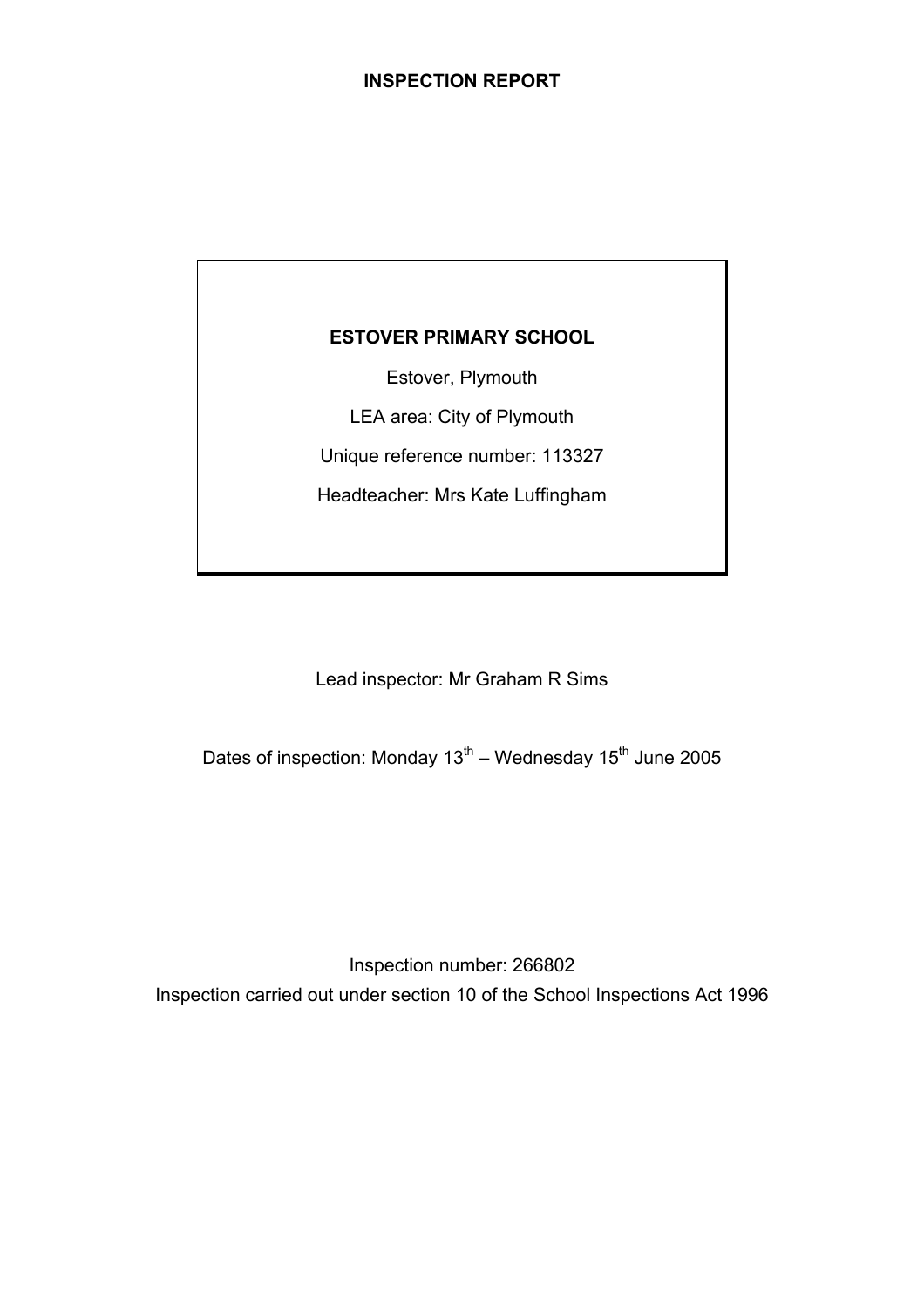## **ESTOVER PRIMARY SCHOOL**

Estover, Plymouth

LEA area: City of Plymouth

Unique reference number: 113327

Headteacher: Mrs Kate Luffingham

Lead inspector: Mr Graham R Sims

Dates of inspection: Monday  $13^{th}$  – Wednesday  $15^{th}$  June 2005

Inspection number: 266802 Inspection carried out under section 10 of the School Inspections Act 1996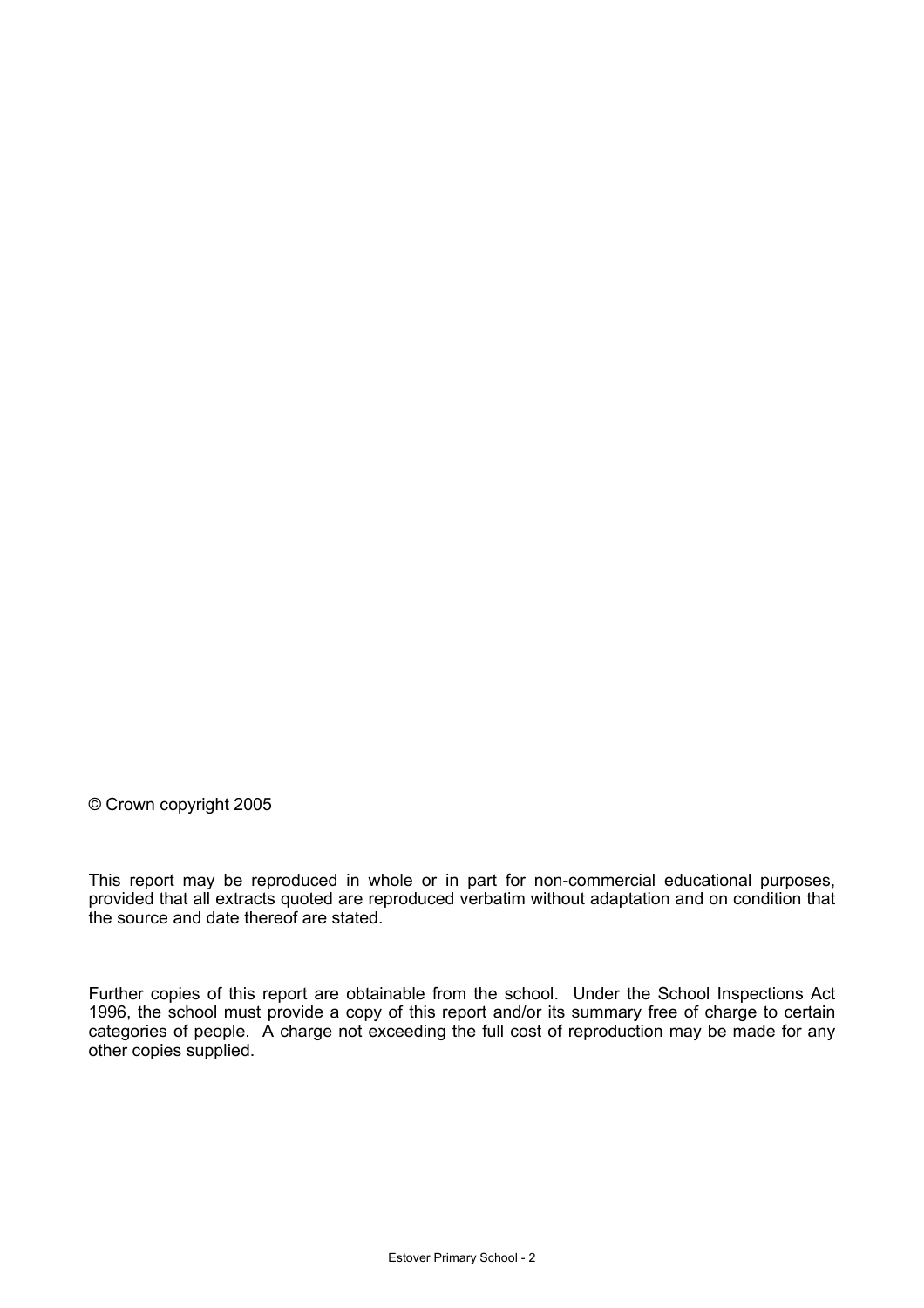© Crown copyright 2005

This report may be reproduced in whole or in part for non-commercial educational purposes, provided that all extracts quoted are reproduced verbatim without adaptation and on condition that the source and date thereof are stated.

Further copies of this report are obtainable from the school. Under the School Inspections Act 1996, the school must provide a copy of this report and/or its summary free of charge to certain categories of people. A charge not exceeding the full cost of reproduction may be made for any other copies supplied.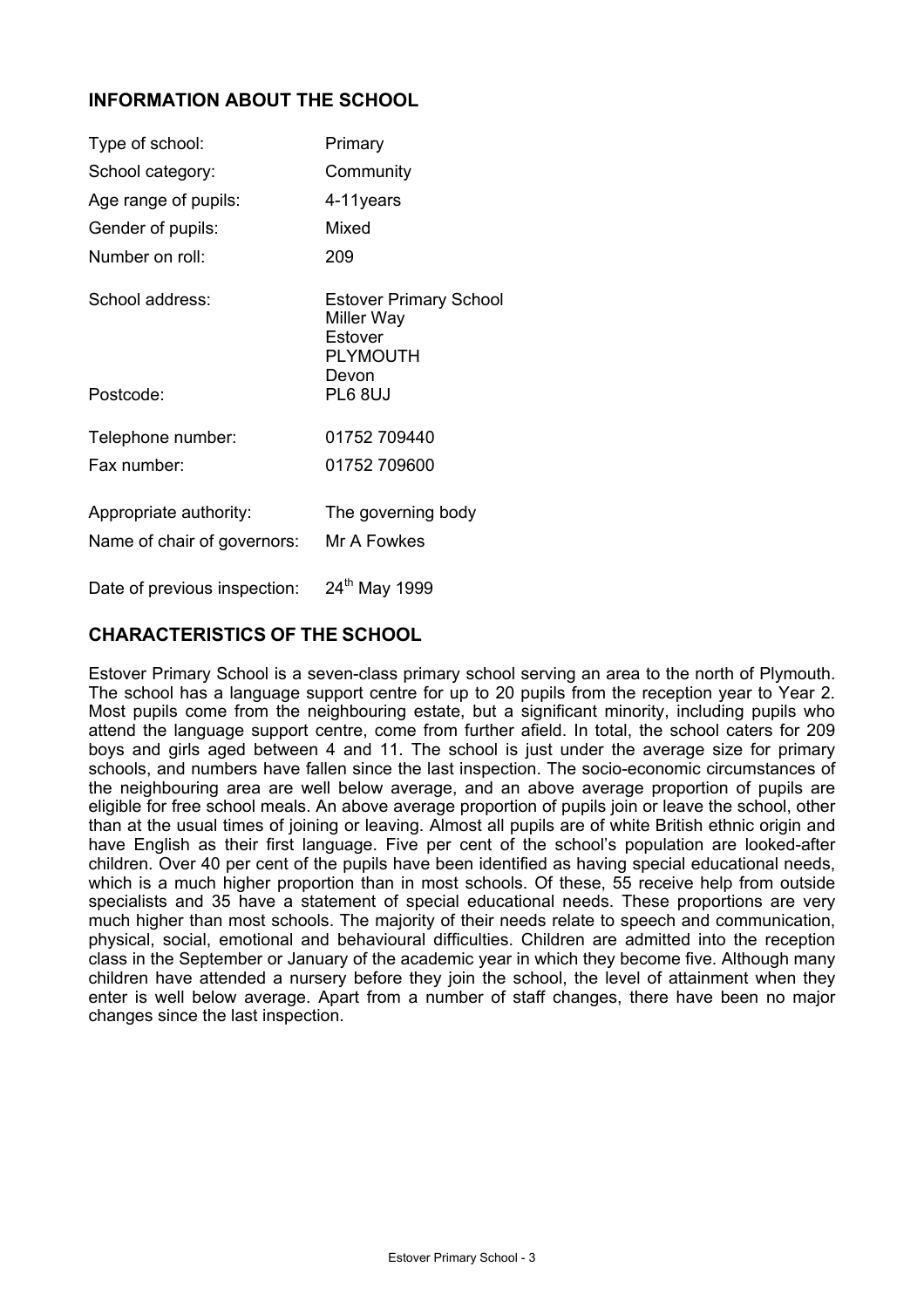## **INFORMATION ABOUT THE SCHOOL**

| Type of school:                                       | Primary                                                                                              |
|-------------------------------------------------------|------------------------------------------------------------------------------------------------------|
| School category:                                      | Community                                                                                            |
| Age range of pupils:                                  | 4-11years                                                                                            |
| Gender of pupils:                                     | Mixed                                                                                                |
| Number on roll:                                       | 209                                                                                                  |
| School address:<br>Postcode:                          | <b>Estover Primary School</b><br>Miller Way<br>Estover<br><b>PLYMOUTH</b><br>Devon<br><b>PL6 8UJ</b> |
|                                                       |                                                                                                      |
| Telephone number:                                     | 01752 709440                                                                                         |
| Fax number:                                           | 01752 709600                                                                                         |
| Appropriate authority:<br>Name of chair of governors: | The governing body<br>Mr A Fowkes                                                                    |
| Date of previous inspection:                          | 24 <sup>th</sup> May 1999                                                                            |

## **CHARACTERISTICS OF THE SCHOOL**

Estover Primary School is a seven-class primary school serving an area to the north of Plymouth. The school has a language support centre for up to 20 pupils from the reception year to Year 2. Most pupils come from the neighbouring estate, but a significant minority, including pupils who attend the language support centre, come from further afield. In total, the school caters for 209 boys and girls aged between 4 and 11. The school is just under the average size for primary schools, and numbers have fallen since the last inspection. The socio-economic circumstances of the neighbouring area are well below average, and an above average proportion of pupils are eligible for free school meals. An above average proportion of pupils join or leave the school, other than at the usual times of joining or leaving. Almost all pupils are of white British ethnic origin and have English as their first language. Five per cent of the school's population are looked-after children. Over 40 per cent of the pupils have been identified as having special educational needs, which is a much higher proportion than in most schools. Of these, 55 receive help from outside specialists and 35 have a statement of special educational needs. These proportions are very much higher than most schools. The majority of their needs relate to speech and communication, physical, social, emotional and behavioural difficulties. Children are admitted into the reception class in the September or January of the academic year in which they become five. Although many children have attended a nursery before they join the school, the level of attainment when they enter is well below average. Apart from a number of staff changes, there have been no major changes since the last inspection.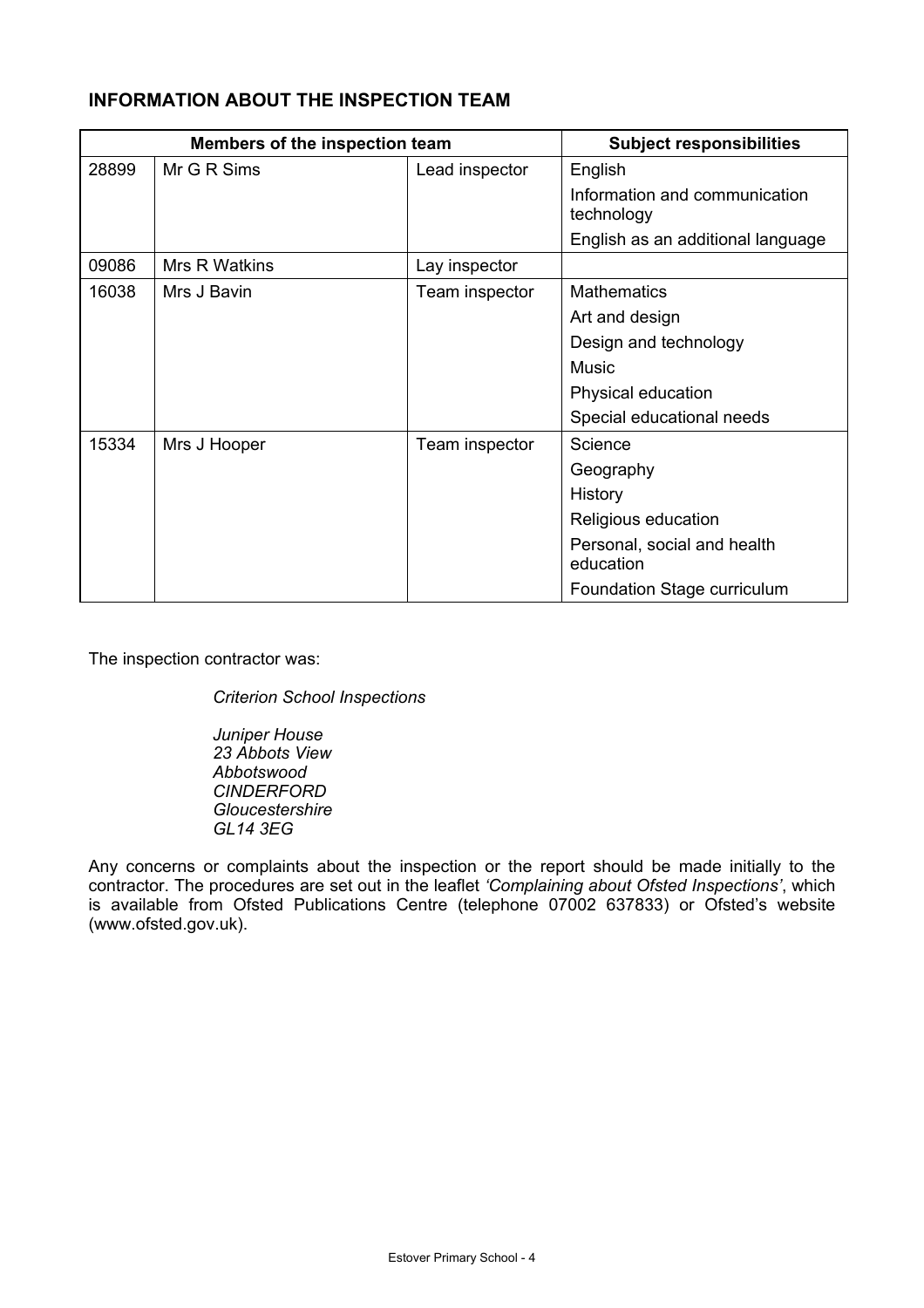## **INFORMATION ABOUT THE INSPECTION TEAM**

|       | Members of the inspection team |                | <b>Subject responsibilities</b>             |
|-------|--------------------------------|----------------|---------------------------------------------|
| 28899 | Mr G R Sims                    | Lead inspector | English                                     |
|       |                                |                | Information and communication<br>technology |
|       |                                |                | English as an additional language           |
| 09086 | Mrs R Watkins                  | Lay inspector  |                                             |
| 16038 | Mrs J Bavin                    | Team inspector | <b>Mathematics</b>                          |
|       |                                |                | Art and design                              |
|       |                                |                | Design and technology                       |
|       |                                |                | <b>Music</b>                                |
|       |                                |                | Physical education                          |
|       |                                |                | Special educational needs                   |
| 15334 | Mrs J Hooper                   | Team inspector | Science                                     |
|       |                                |                | Geography                                   |
|       |                                |                | History                                     |
|       |                                |                | Religious education                         |
|       |                                |                | Personal, social and health<br>education    |
|       |                                |                | Foundation Stage curriculum                 |

The inspection contractor was:

*Criterion School Inspections* 

*Juniper House 23 Abbots View Abbotswood CINDERFORD Gloucestershire GL14 3EG* 

Any concerns or complaints about the inspection or the report should be made initially to the contractor. The procedures are set out in the leaflet *'Complaining about Ofsted Inspections'*, which is available from Ofsted Publications Centre (telephone 07002 637833) or Ofsted's website (www.ofsted.gov.uk).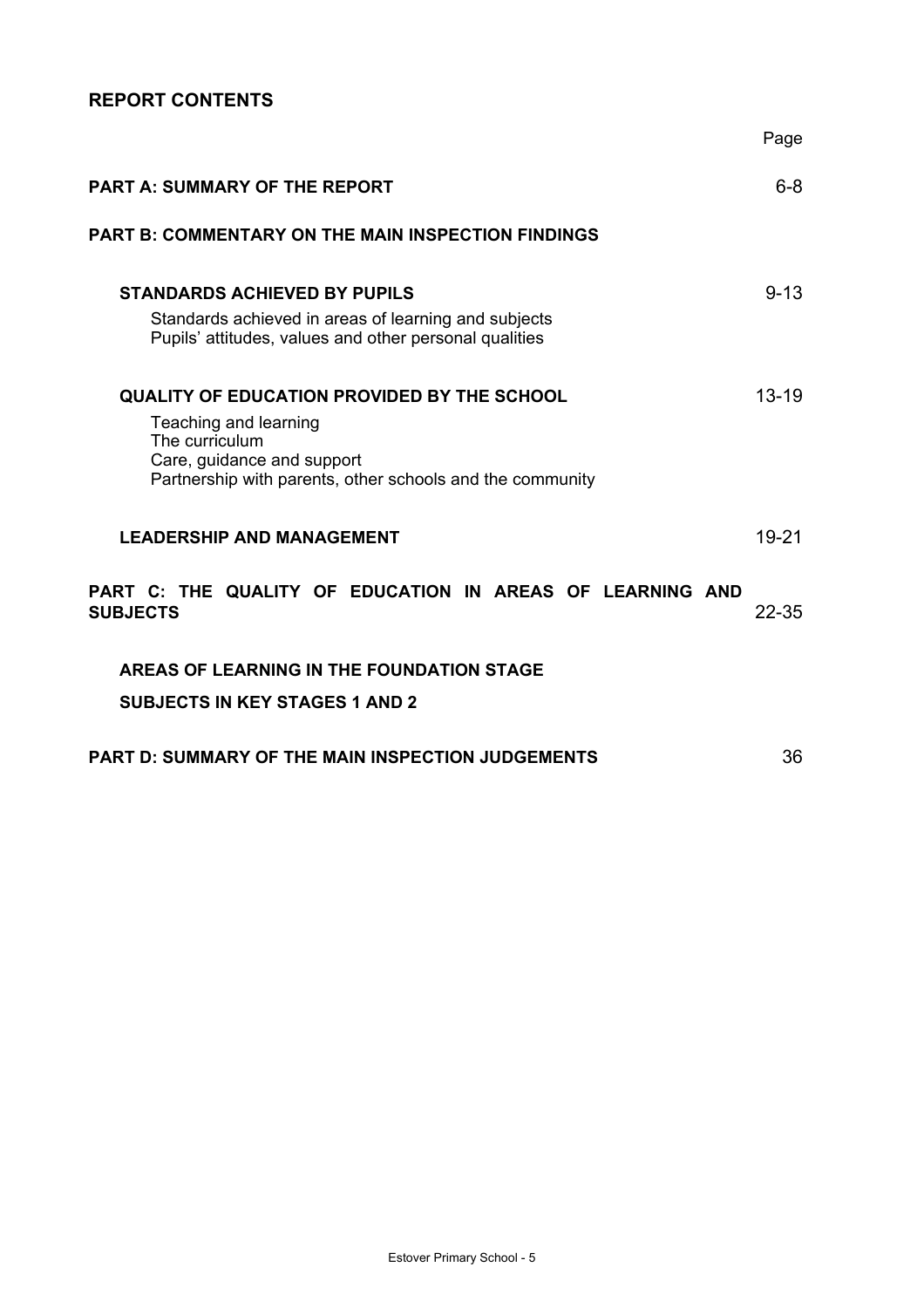## **REPORT CONTENTS**

|                                                                                                                                                                                          | Page      |
|------------------------------------------------------------------------------------------------------------------------------------------------------------------------------------------|-----------|
| <b>PART A: SUMMARY OF THE REPORT</b>                                                                                                                                                     | $6 - 8$   |
| <b>PART B: COMMENTARY ON THE MAIN INSPECTION FINDINGS</b>                                                                                                                                |           |
| <b>STANDARDS ACHIEVED BY PUPILS</b><br>Standards achieved in areas of learning and subjects<br>Pupils' attitudes, values and other personal qualities                                    | $9 - 13$  |
| <b>QUALITY OF EDUCATION PROVIDED BY THE SCHOOL</b><br>Teaching and learning<br>The curriculum<br>Care, guidance and support<br>Partnership with parents, other schools and the community | $13 - 19$ |
| <b>LEADERSHIP AND MANAGEMENT</b>                                                                                                                                                         | 19-21     |
| PART C: THE QUALITY OF EDUCATION IN AREAS OF LEARNING AND<br><b>SUBJECTS</b>                                                                                                             | $22 - 35$ |
| AREAS OF LEARNING IN THE FOUNDATION STAGE<br><b>SUBJECTS IN KEY STAGES 1 AND 2</b>                                                                                                       |           |
| <b>PART D: SUMMARY OF THE MAIN INSPECTION JUDGEMENTS</b>                                                                                                                                 | 36        |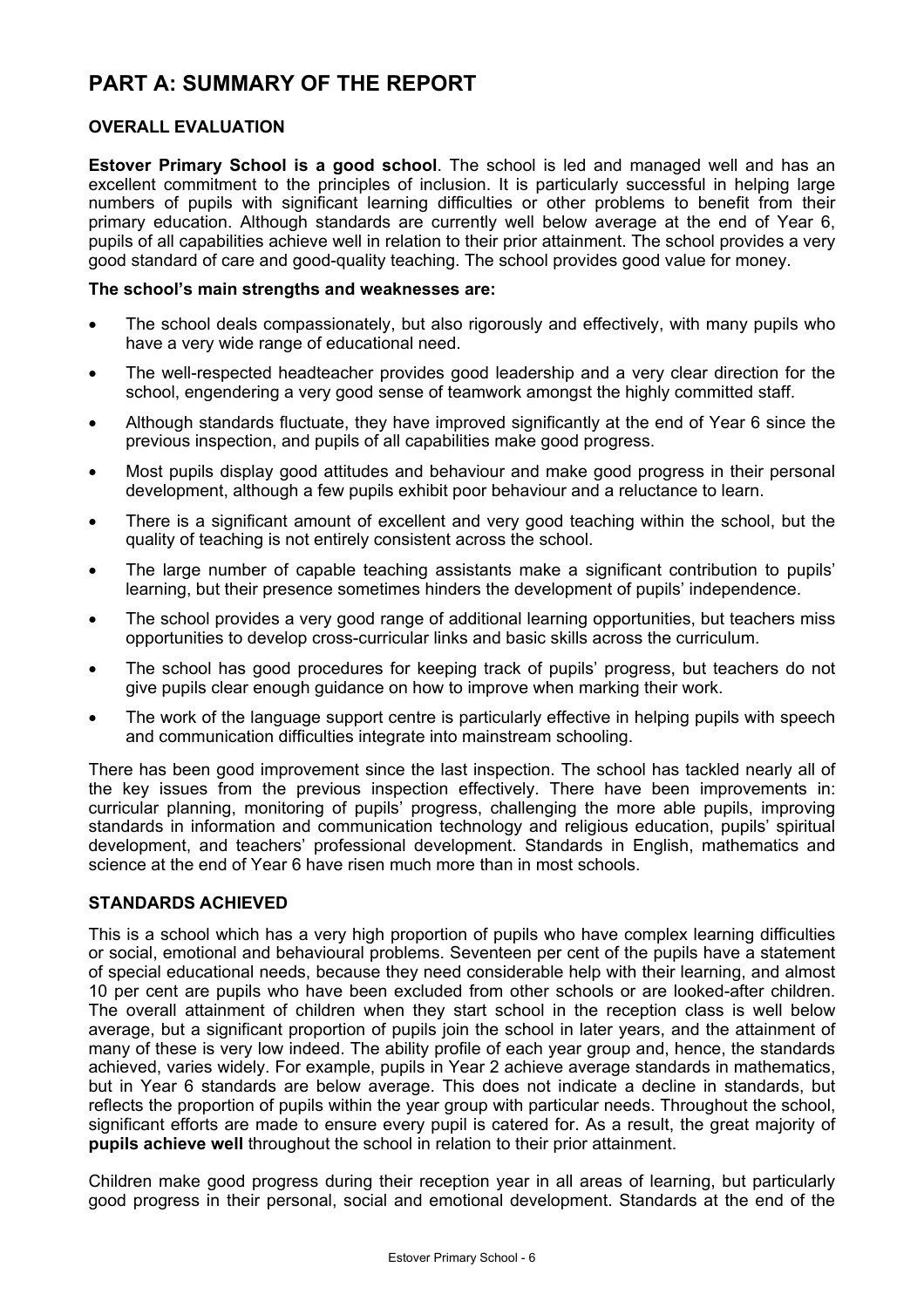# **PART A: SUMMARY OF THE REPORT**

## **OVERALL EVALUATION**

**Estover Primary School is a good school**. The school is led and managed well and has an excellent commitment to the principles of inclusion. It is particularly successful in helping large numbers of pupils with significant learning difficulties or other problems to benefit from their primary education. Although standards are currently well below average at the end of Year 6, pupils of all capabilities achieve well in relation to their prior attainment. The school provides a very good standard of care and good-quality teaching. The school provides good value for money.

### **The school's main strengths and weaknesses are:**

- The school deals compassionately, but also rigorously and effectively, with many pupils who have a very wide range of educational need.
- The well-respected headteacher provides good leadership and a very clear direction for the school, engendering a very good sense of teamwork amongst the highly committed staff.
- Although standards fluctuate, they have improved significantly at the end of Year 6 since the previous inspection, and pupils of all capabilities make good progress.
- Most pupils display good attitudes and behaviour and make good progress in their personal development, although a few pupils exhibit poor behaviour and a reluctance to learn.
- There is a significant amount of excellent and very good teaching within the school, but the quality of teaching is not entirely consistent across the school.
- The large number of capable teaching assistants make a significant contribution to pupils' learning, but their presence sometimes hinders the development of pupils' independence.
- The school provides a very good range of additional learning opportunities, but teachers miss opportunities to develop cross-curricular links and basic skills across the curriculum.
- The school has good procedures for keeping track of pupils' progress, but teachers do not give pupils clear enough guidance on how to improve when marking their work.
- The work of the language support centre is particularly effective in helping pupils with speech and communication difficulties integrate into mainstream schooling.

There has been good improvement since the last inspection. The school has tackled nearly all of the key issues from the previous inspection effectively. There have been improvements in: curricular planning, monitoring of pupils' progress, challenging the more able pupils, improving standards in information and communication technology and religious education, pupils' spiritual development, and teachers' professional development. Standards in English, mathematics and science at the end of Year 6 have risen much more than in most schools.

## **STANDARDS ACHIEVED**

This is a school which has a very high proportion of pupils who have complex learning difficulties or social, emotional and behavioural problems. Seventeen per cent of the pupils have a statement of special educational needs, because they need considerable help with their learning, and almost 10 per cent are pupils who have been excluded from other schools or are looked-after children. The overall attainment of children when they start school in the reception class is well below average, but a significant proportion of pupils join the school in later years, and the attainment of many of these is very low indeed. The ability profile of each year group and, hence, the standards achieved, varies widely. For example, pupils in Year 2 achieve average standards in mathematics, but in Year 6 standards are below average. This does not indicate a decline in standards, but reflects the proportion of pupils within the year group with particular needs. Throughout the school, significant efforts are made to ensure every pupil is catered for. As a result, the great majority of **pupils achieve well** throughout the school in relation to their prior attainment.

Children make good progress during their reception year in all areas of learning, but particularly good progress in their personal, social and emotional development. Standards at the end of the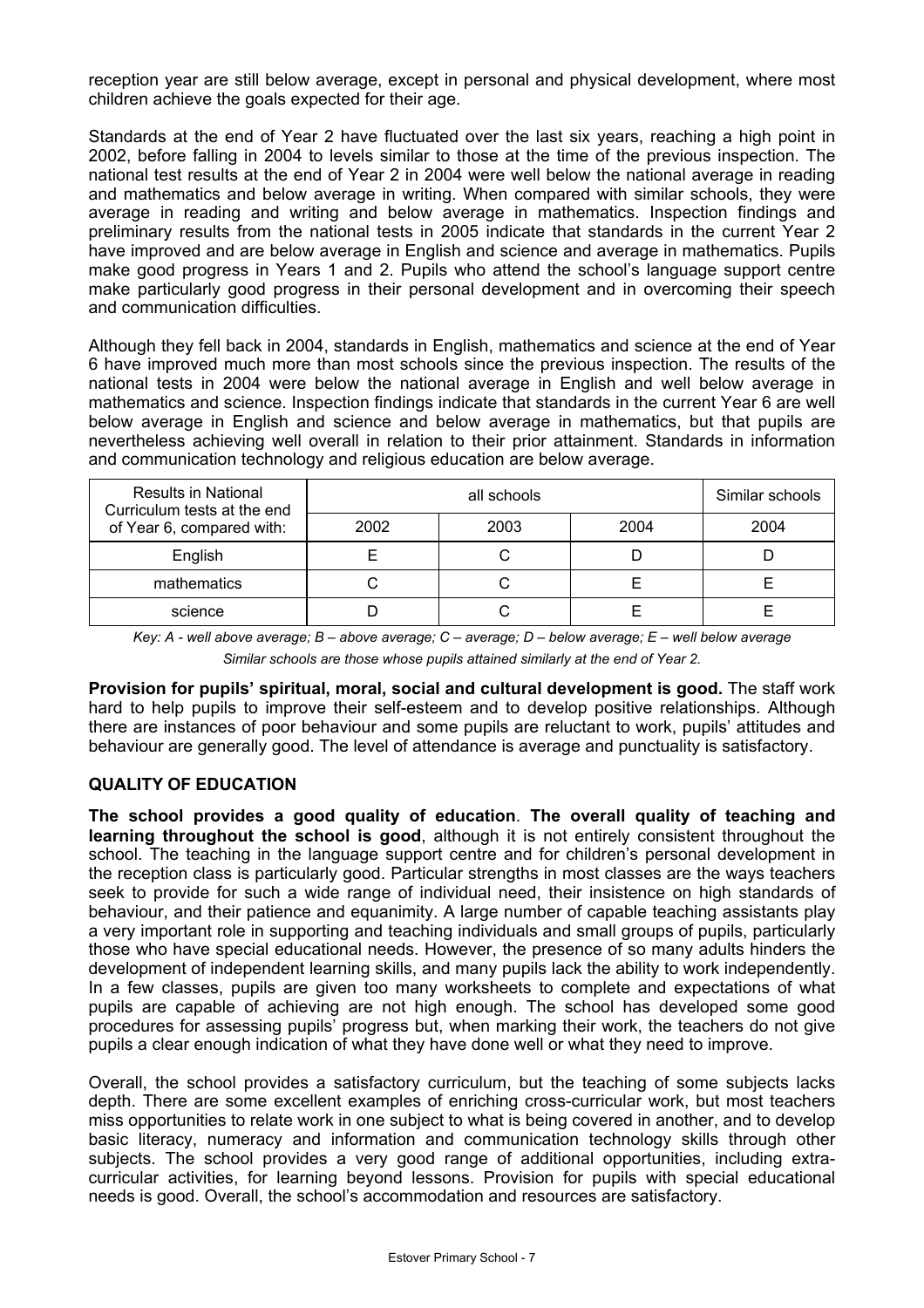reception year are still below average, except in personal and physical development, where most children achieve the goals expected for their age.

Standards at the end of Year 2 have fluctuated over the last six years, reaching a high point in 2002, before falling in 2004 to levels similar to those at the time of the previous inspection. The national test results at the end of Year 2 in 2004 were well below the national average in reading and mathematics and below average in writing. When compared with similar schools, they were average in reading and writing and below average in mathematics. Inspection findings and preliminary results from the national tests in 2005 indicate that standards in the current Year 2 have improved and are below average in English and science and average in mathematics. Pupils make good progress in Years 1 and 2. Pupils who attend the school's language support centre make particularly good progress in their personal development and in overcoming their speech and communication difficulties.

Although they fell back in 2004, standards in English, mathematics and science at the end of Year 6 have improved much more than most schools since the previous inspection. The results of the national tests in 2004 were below the national average in English and well below average in mathematics and science. Inspection findings indicate that standards in the current Year 6 are well below average in English and science and below average in mathematics, but that pupils are nevertheless achieving well overall in relation to their prior attainment. Standards in information and communication technology and religious education are below average.

| <b>Results in National</b><br>Curriculum tests at the end |      | Similar schools |      |      |
|-----------------------------------------------------------|------|-----------------|------|------|
| of Year 6, compared with:                                 | 2002 | 2003            | 2004 | 2004 |
| English                                                   |      |                 |      |      |
| mathematics                                               |      |                 |      |      |
| science                                                   |      |                 |      |      |

*Key: A - well above average; B – above average; C – average; D – below average; E – well below average Similar schools are those whose pupils attained similarly at the end of Year 2.* 

**Provision for pupils' spiritual, moral, social and cultural development is good.** The staff work hard to help pupils to improve their self-esteem and to develop positive relationships. Although there are instances of poor behaviour and some pupils are reluctant to work, pupils' attitudes and behaviour are generally good. The level of attendance is average and punctuality is satisfactory.

## **QUALITY OF EDUCATION**

**The school provides a good quality of education**. **The overall quality of teaching and learning throughout the school is good**, although it is not entirely consistent throughout the school. The teaching in the language support centre and for children's personal development in the reception class is particularly good. Particular strengths in most classes are the ways teachers seek to provide for such a wide range of individual need, their insistence on high standards of behaviour, and their patience and equanimity. A large number of capable teaching assistants play a very important role in supporting and teaching individuals and small groups of pupils, particularly those who have special educational needs. However, the presence of so many adults hinders the development of independent learning skills, and many pupils lack the ability to work independently. In a few classes, pupils are given too many worksheets to complete and expectations of what pupils are capable of achieving are not high enough. The school has developed some good procedures for assessing pupils' progress but, when marking their work, the teachers do not give pupils a clear enough indication of what they have done well or what they need to improve.

Overall, the school provides a satisfactory curriculum, but the teaching of some subjects lacks depth. There are some excellent examples of enriching cross-curricular work, but most teachers miss opportunities to relate work in one subject to what is being covered in another, and to develop basic literacy, numeracy and information and communication technology skills through other subjects. The school provides a very good range of additional opportunities, including extracurricular activities, for learning beyond lessons. Provision for pupils with special educational needs is good. Overall, the school's accommodation and resources are satisfactory.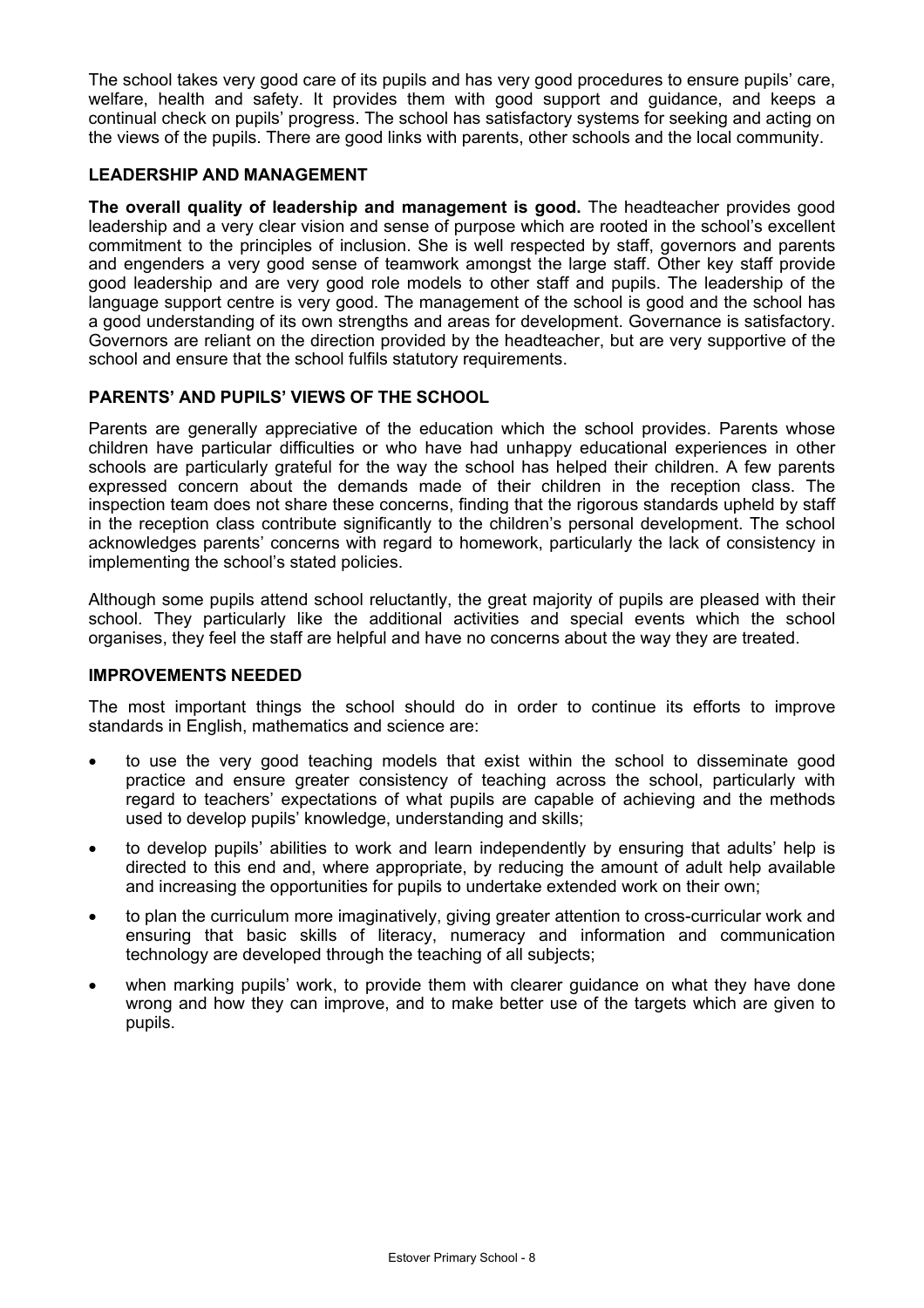The school takes very good care of its pupils and has very good procedures to ensure pupils' care, welfare, health and safety. It provides them with good support and guidance, and keeps a continual check on pupils' progress. The school has satisfactory systems for seeking and acting on the views of the pupils. There are good links with parents, other schools and the local community.

## **LEADERSHIP AND MANAGEMENT**

**The overall quality of leadership and management is good.** The headteacher provides good leadership and a very clear vision and sense of purpose which are rooted in the school's excellent commitment to the principles of inclusion. She is well respected by staff, governors and parents and engenders a very good sense of teamwork amongst the large staff. Other key staff provide good leadership and are very good role models to other staff and pupils. The leadership of the language support centre is very good. The management of the school is good and the school has a good understanding of its own strengths and areas for development. Governance is satisfactory. Governors are reliant on the direction provided by the headteacher, but are very supportive of the school and ensure that the school fulfils statutory requirements.

## **PARENTS' AND PUPILS' VIEWS OF THE SCHOOL**

Parents are generally appreciative of the education which the school provides. Parents whose children have particular difficulties or who have had unhappy educational experiences in other schools are particularly grateful for the way the school has helped their children. A few parents expressed concern about the demands made of their children in the reception class. The inspection team does not share these concerns, finding that the rigorous standards upheld by staff in the reception class contribute significantly to the children's personal development. The school acknowledges parents' concerns with regard to homework, particularly the lack of consistency in implementing the school's stated policies.

Although some pupils attend school reluctantly, the great majority of pupils are pleased with their school. They particularly like the additional activities and special events which the school organises, they feel the staff are helpful and have no concerns about the way they are treated.

## **IMPROVEMENTS NEEDED**

The most important things the school should do in order to continue its efforts to improve standards in English, mathematics and science are:

- to use the very good teaching models that exist within the school to disseminate good practice and ensure greater consistency of teaching across the school, particularly with regard to teachers' expectations of what pupils are capable of achieving and the methods used to develop pupils' knowledge, understanding and skills;
- to develop pupils' abilities to work and learn independently by ensuring that adults' help is directed to this end and, where appropriate, by reducing the amount of adult help available and increasing the opportunities for pupils to undertake extended work on their own;
- to plan the curriculum more imaginatively, giving greater attention to cross-curricular work and ensuring that basic skills of literacy, numeracy and information and communication technology are developed through the teaching of all subjects;
- when marking pupils' work, to provide them with clearer guidance on what they have done wrong and how they can improve, and to make better use of the targets which are given to pupils.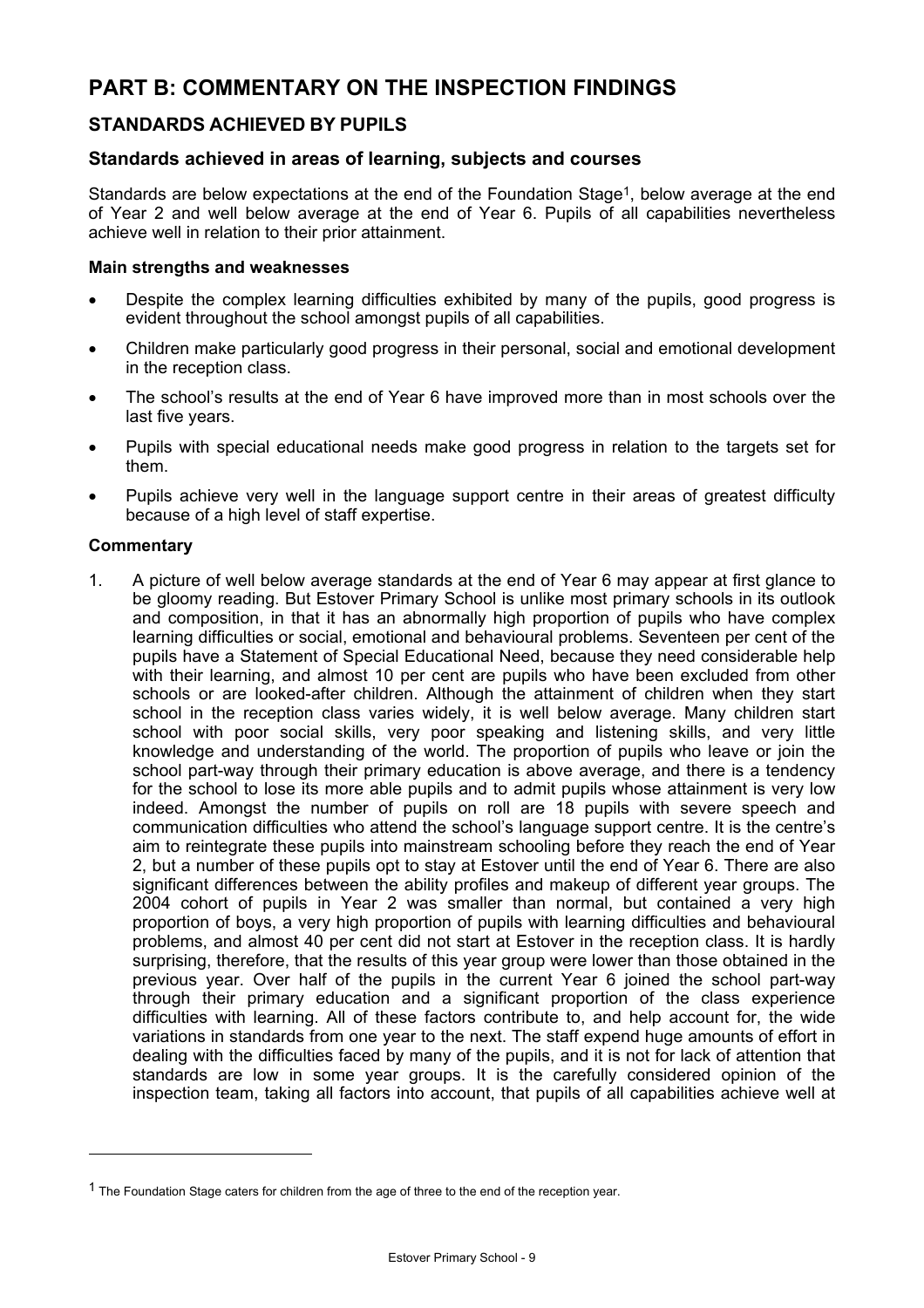# **PART B: COMMENTARY ON THE INSPECTION FINDINGS**

## **STANDARDS ACHIEVED BY PUPILS**

## **Standards achieved in areas of learning, subjects and courses**

Standards are below expectations at the end of the Foundation Stage<sup>1</sup>, below average at the end of Year 2 and well below average at the end of Year 6. Pupils of all capabilities nevertheless achieve well in relation to their prior attainment.

#### **Main strengths and weaknesses**

- Despite the complex learning difficulties exhibited by many of the pupils, good progress is evident throughout the school amongst pupils of all capabilities.
- Children make particularly good progress in their personal, social and emotional development in the reception class.
- The school's results at the end of Year 6 have improved more than in most schools over the last five years.
- Pupils with special educational needs make good progress in relation to the targets set for them.
- Pupils achieve very well in the language support centre in their areas of greatest difficulty because of a high level of staff expertise.

#### **Commentary**

1. A picture of well below average standards at the end of Year 6 may appear at first glance to be gloomy reading. But Estover Primary School is unlike most primary schools in its outlook and composition, in that it has an abnormally high proportion of pupils who have complex learning difficulties or social, emotional and behavioural problems. Seventeen per cent of the pupils have a Statement of Special Educational Need, because they need considerable help with their learning, and almost 10 per cent are pupils who have been excluded from other schools or are looked-after children. Although the attainment of children when they start school in the reception class varies widely, it is well below average. Many children start school with poor social skills, very poor speaking and listening skills, and very little knowledge and understanding of the world. The proportion of pupils who leave or join the school part-way through their primary education is above average, and there is a tendency for the school to lose its more able pupils and to admit pupils whose attainment is very low indeed. Amongst the number of pupils on roll are 18 pupils with severe speech and communication difficulties who attend the school's language support centre. It is the centre's aim to reintegrate these pupils into mainstream schooling before they reach the end of Year 2, but a number of these pupils opt to stay at Estover until the end of Year 6. There are also significant differences between the ability profiles and makeup of different year groups. The 2004 cohort of pupils in Year 2 was smaller than normal, but contained a very high proportion of boys, a very high proportion of pupils with learning difficulties and behavioural problems, and almost 40 per cent did not start at Estover in the reception class. It is hardly surprising, therefore, that the results of this year group were lower than those obtained in the previous year. Over half of the pupils in the current Year 6 joined the school part-way through their primary education and a significant proportion of the class experience difficulties with learning. All of these factors contribute to, and help account for, the wide variations in standards from one year to the next. The staff expend huge amounts of effort in dealing with the difficulties faced by many of the pupils, and it is not for lack of attention that standards are low in some year groups. It is the carefully considered opinion of the inspection team, taking all factors into account, that pupils of all capabilities achieve well at

 $<sup>1</sup>$  The Foundation Stage caters for children from the age of three to the end of the reception year.</sup>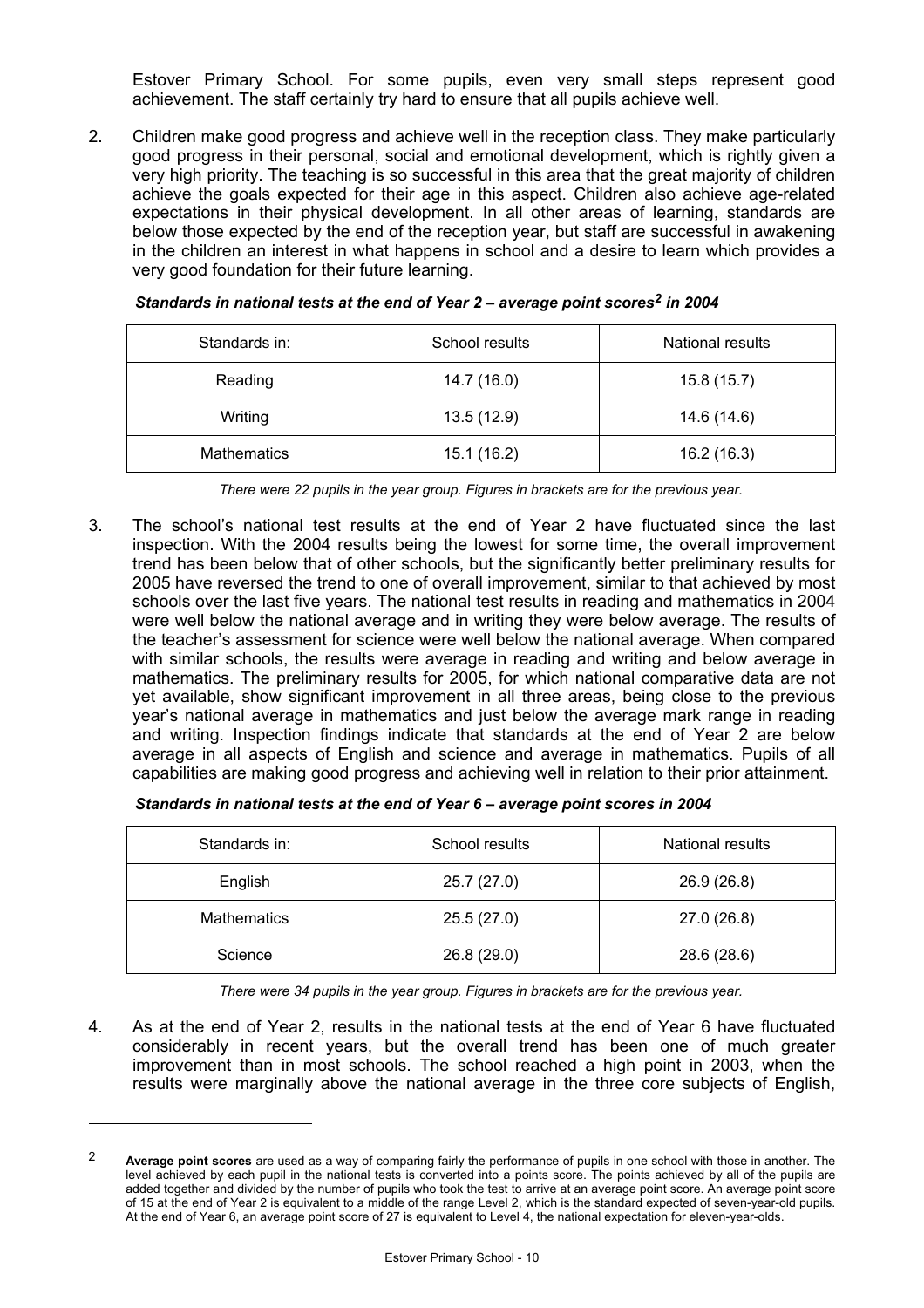Estover Primary School. For some pupils, even very small steps represent good achievement. The staff certainly try hard to ensure that all pupils achieve well.

2. Children make good progress and achieve well in the reception class. They make particularly good progress in their personal, social and emotional development, which is rightly given a very high priority. The teaching is so successful in this area that the great majority of children achieve the goals expected for their age in this aspect. Children also achieve age-related expectations in their physical development. In all other areas of learning, standards are below those expected by the end of the reception year, but staff are successful in awakening in the children an interest in what happens in school and a desire to learn which provides a very good foundation for their future learning.

| Standards in:      | School results | National results |
|--------------------|----------------|------------------|
| Reading            | 14.7 (16.0)    | 15.8 (15.7)      |
| Writing            | 13.5 (12.9)    | 14.6 (14.6)      |
| <b>Mathematics</b> | 15.1 (16.2)    | 16.2(16.3)       |

*Standards in national tests at the end of Year 2 – average point scores2 in 2004* 

*There were 22 pupils in the year group. Figures in brackets are for the previous year.* 

3. The school's national test results at the end of Year 2 have fluctuated since the last inspection. With the 2004 results being the lowest for some time, the overall improvement trend has been below that of other schools, but the significantly better preliminary results for 2005 have reversed the trend to one of overall improvement, similar to that achieved by most schools over the last five years. The national test results in reading and mathematics in 2004 were well below the national average and in writing they were below average. The results of the teacher's assessment for science were well below the national average. When compared with similar schools, the results were average in reading and writing and below average in mathematics. The preliminary results for 2005, for which national comparative data are not yet available, show significant improvement in all three areas, being close to the previous year's national average in mathematics and just below the average mark range in reading and writing. Inspection findings indicate that standards at the end of Year 2 are below average in all aspects of English and science and average in mathematics. Pupils of all capabilities are making good progress and achieving well in relation to their prior attainment.

| Standards in national tests at the end of Year 6 - average point scores in 2004 |  |  |
|---------------------------------------------------------------------------------|--|--|
|                                                                                 |  |  |

| Standards in:      | School results | National results |
|--------------------|----------------|------------------|
| English            | 25.7 (27.0)    | 26.9 (26.8)      |
| <b>Mathematics</b> | 25.5 (27.0)    | 27.0 (26.8)      |
| Science            | 26.8 (29.0)    | 28.6 (28.6)      |

*There were 34 pupils in the year group. Figures in brackets are for the previous year.* 

4. As at the end of Year 2, results in the national tests at the end of Year 6 have fluctuated considerably in recent years, but the overall trend has been one of much greater improvement than in most schools. The school reached a high point in 2003, when the results were marginally above the national average in the three core subjects of English,

<sup>2</sup> **Average point scores** are used as a way of comparing fairly the performance of pupils in one school with those in another. The level achieved by each pupil in the national tests is converted into a points score. The points achieved by all of the pupils are added together and divided by the number of pupils who took the test to arrive at an average point score. An average point score of 15 at the end of Year 2 is equivalent to a middle of the range Level 2, which is the standard expected of seven-year-old pupils. At the end of Year 6, an average point score of 27 is equivalent to Level 4, the national expectation for eleven-year-olds.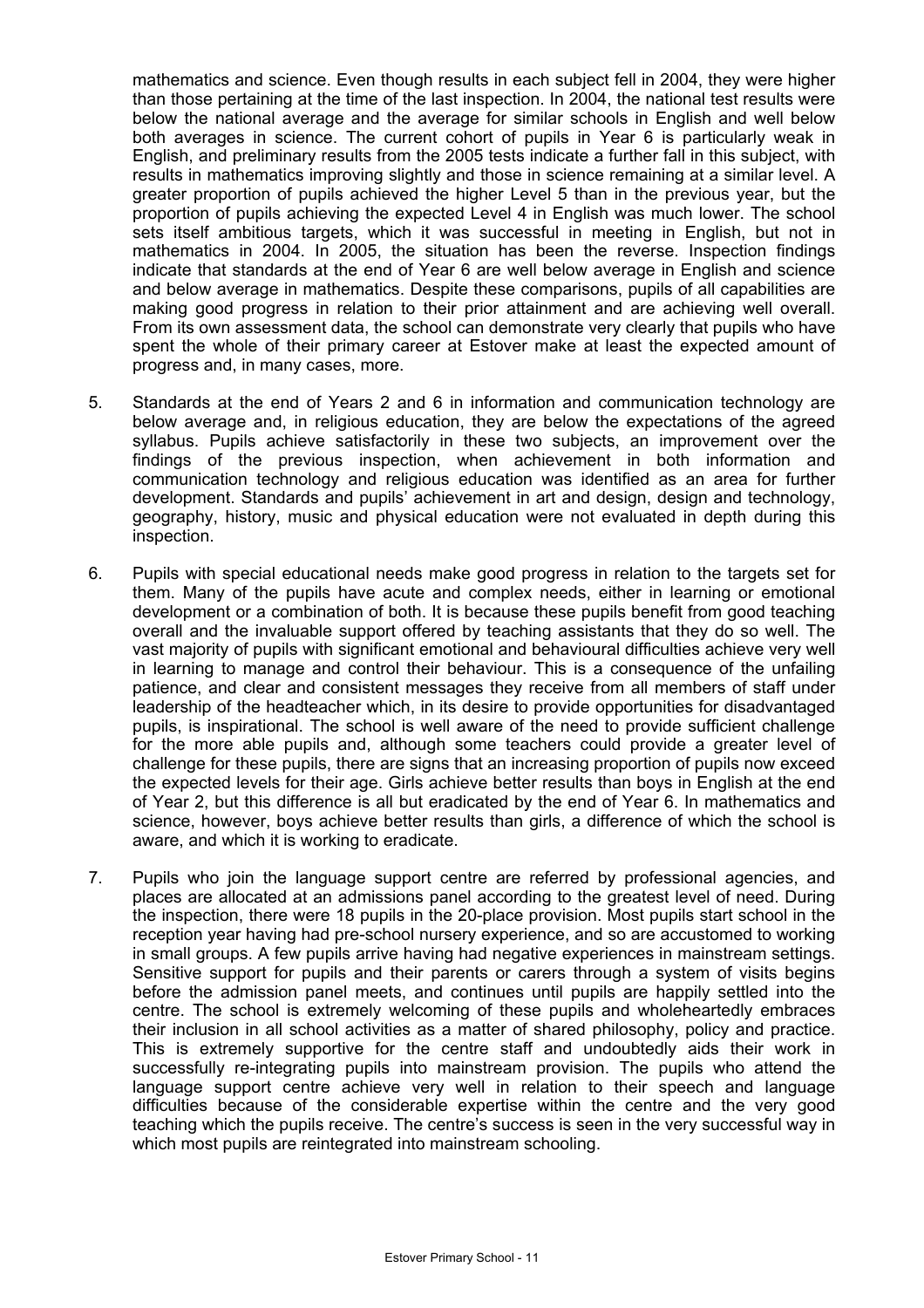mathematics and science. Even though results in each subject fell in 2004, they were higher than those pertaining at the time of the last inspection. In 2004, the national test results were below the national average and the average for similar schools in English and well below both averages in science. The current cohort of pupils in Year 6 is particularly weak in English, and preliminary results from the 2005 tests indicate a further fall in this subject, with results in mathematics improving slightly and those in science remaining at a similar level. A greater proportion of pupils achieved the higher Level 5 than in the previous year, but the proportion of pupils achieving the expected Level 4 in English was much lower. The school sets itself ambitious targets, which it was successful in meeting in English, but not in mathematics in 2004. In 2005, the situation has been the reverse. Inspection findings indicate that standards at the end of Year 6 are well below average in English and science and below average in mathematics. Despite these comparisons, pupils of all capabilities are making good progress in relation to their prior attainment and are achieving well overall. From its own assessment data, the school can demonstrate very clearly that pupils who have spent the whole of their primary career at Estover make at least the expected amount of progress and, in many cases, more.

- 5. Standards at the end of Years 2 and 6 in information and communication technology are below average and, in religious education, they are below the expectations of the agreed syllabus. Pupils achieve satisfactorily in these two subjects, an improvement over the findings of the previous inspection, when achievement in both information and communication technology and religious education was identified as an area for further development. Standards and pupils' achievement in art and design, design and technology, geography, history, music and physical education were not evaluated in depth during this inspection.
- 6. Pupils with special educational needs make good progress in relation to the targets set for them. Many of the pupils have acute and complex needs, either in learning or emotional development or a combination of both. It is because these pupils benefit from good teaching overall and the invaluable support offered by teaching assistants that they do so well. The vast majority of pupils with significant emotional and behavioural difficulties achieve very well in learning to manage and control their behaviour. This is a consequence of the unfailing patience, and clear and consistent messages they receive from all members of staff under leadership of the headteacher which, in its desire to provide opportunities for disadvantaged pupils, is inspirational. The school is well aware of the need to provide sufficient challenge for the more able pupils and, although some teachers could provide a greater level of challenge for these pupils, there are signs that an increasing proportion of pupils now exceed the expected levels for their age. Girls achieve better results than boys in English at the end of Year 2, but this difference is all but eradicated by the end of Year 6. In mathematics and science, however, boys achieve better results than girls, a difference of which the school is aware, and which it is working to eradicate.
- 7. Pupils who join the language support centre are referred by professional agencies, and places are allocated at an admissions panel according to the greatest level of need. During the inspection, there were 18 pupils in the 20-place provision. Most pupils start school in the reception year having had pre-school nursery experience, and so are accustomed to working in small groups. A few pupils arrive having had negative experiences in mainstream settings. Sensitive support for pupils and their parents or carers through a system of visits begins before the admission panel meets, and continues until pupils are happily settled into the centre. The school is extremely welcoming of these pupils and wholeheartedly embraces their inclusion in all school activities as a matter of shared philosophy, policy and practice. This is extremely supportive for the centre staff and undoubtedly aids their work in successfully re-integrating pupils into mainstream provision. The pupils who attend the language support centre achieve very well in relation to their speech and language difficulties because of the considerable expertise within the centre and the very good teaching which the pupils receive. The centre's success is seen in the very successful way in which most pupils are reintegrated into mainstream schooling.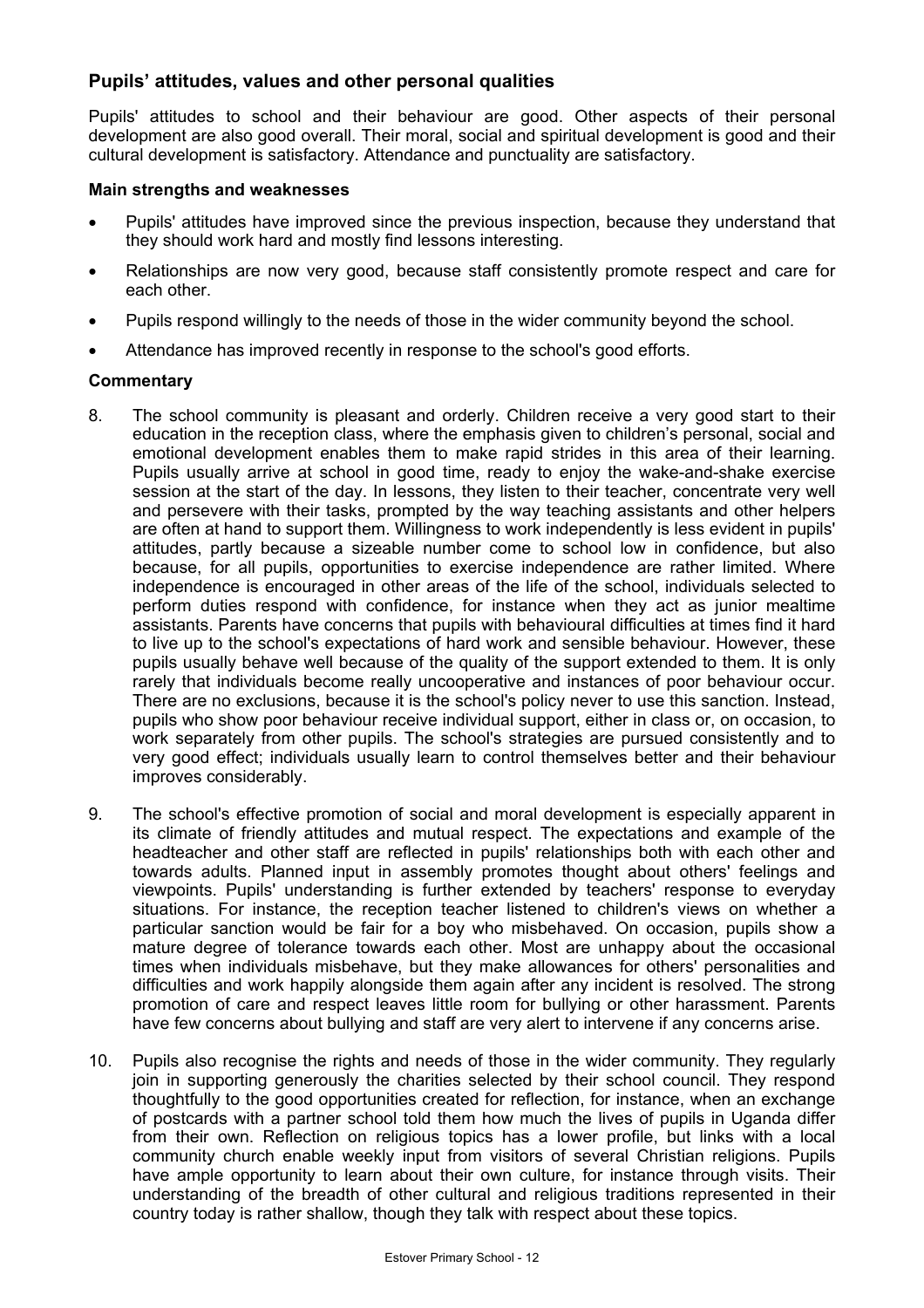## **Pupils' attitudes, values and other personal qualities**

Pupils' attitudes to school and their behaviour are good. Other aspects of their personal development are also good overall. Their moral, social and spiritual development is good and their cultural development is satisfactory. Attendance and punctuality are satisfactory.

### **Main strengths and weaknesses**

- Pupils' attitudes have improved since the previous inspection, because they understand that they should work hard and mostly find lessons interesting.
- Relationships are now very good, because staff consistently promote respect and care for each other.
- Pupils respond willingly to the needs of those in the wider community beyond the school.
- Attendance has improved recently in response to the school's good efforts.

- 8. The school community is pleasant and orderly. Children receive a very good start to their education in the reception class, where the emphasis given to children's personal, social and emotional development enables them to make rapid strides in this area of their learning. Pupils usually arrive at school in good time, ready to enjoy the wake-and-shake exercise session at the start of the day. In lessons, they listen to their teacher, concentrate very well and persevere with their tasks, prompted by the way teaching assistants and other helpers are often at hand to support them. Willingness to work independently is less evident in pupils' attitudes, partly because a sizeable number come to school low in confidence, but also because, for all pupils, opportunities to exercise independence are rather limited. Where independence is encouraged in other areas of the life of the school, individuals selected to perform duties respond with confidence, for instance when they act as junior mealtime assistants. Parents have concerns that pupils with behavioural difficulties at times find it hard to live up to the school's expectations of hard work and sensible behaviour. However, these pupils usually behave well because of the quality of the support extended to them. It is only rarely that individuals become really uncooperative and instances of poor behaviour occur. There are no exclusions, because it is the school's policy never to use this sanction. Instead, pupils who show poor behaviour receive individual support, either in class or, on occasion, to work separately from other pupils. The school's strategies are pursued consistently and to very good effect; individuals usually learn to control themselves better and their behaviour improves considerably.
- 9. The school's effective promotion of social and moral development is especially apparent in its climate of friendly attitudes and mutual respect. The expectations and example of the headteacher and other staff are reflected in pupils' relationships both with each other and towards adults. Planned input in assembly promotes thought about others' feelings and viewpoints. Pupils' understanding is further extended by teachers' response to everyday situations. For instance, the reception teacher listened to children's views on whether a particular sanction would be fair for a boy who misbehaved. On occasion, pupils show a mature degree of tolerance towards each other. Most are unhappy about the occasional times when individuals misbehave, but they make allowances for others' personalities and difficulties and work happily alongside them again after any incident is resolved. The strong promotion of care and respect leaves little room for bullying or other harassment. Parents have few concerns about bullying and staff are very alert to intervene if any concerns arise.
- 10. Pupils also recognise the rights and needs of those in the wider community. They regularly join in supporting generously the charities selected by their school council. They respond thoughtfully to the good opportunities created for reflection, for instance, when an exchange of postcards with a partner school told them how much the lives of pupils in Uganda differ from their own. Reflection on religious topics has a lower profile, but links with a local community church enable weekly input from visitors of several Christian religions. Pupils have ample opportunity to learn about their own culture, for instance through visits. Their understanding of the breadth of other cultural and religious traditions represented in their country today is rather shallow, though they talk with respect about these topics.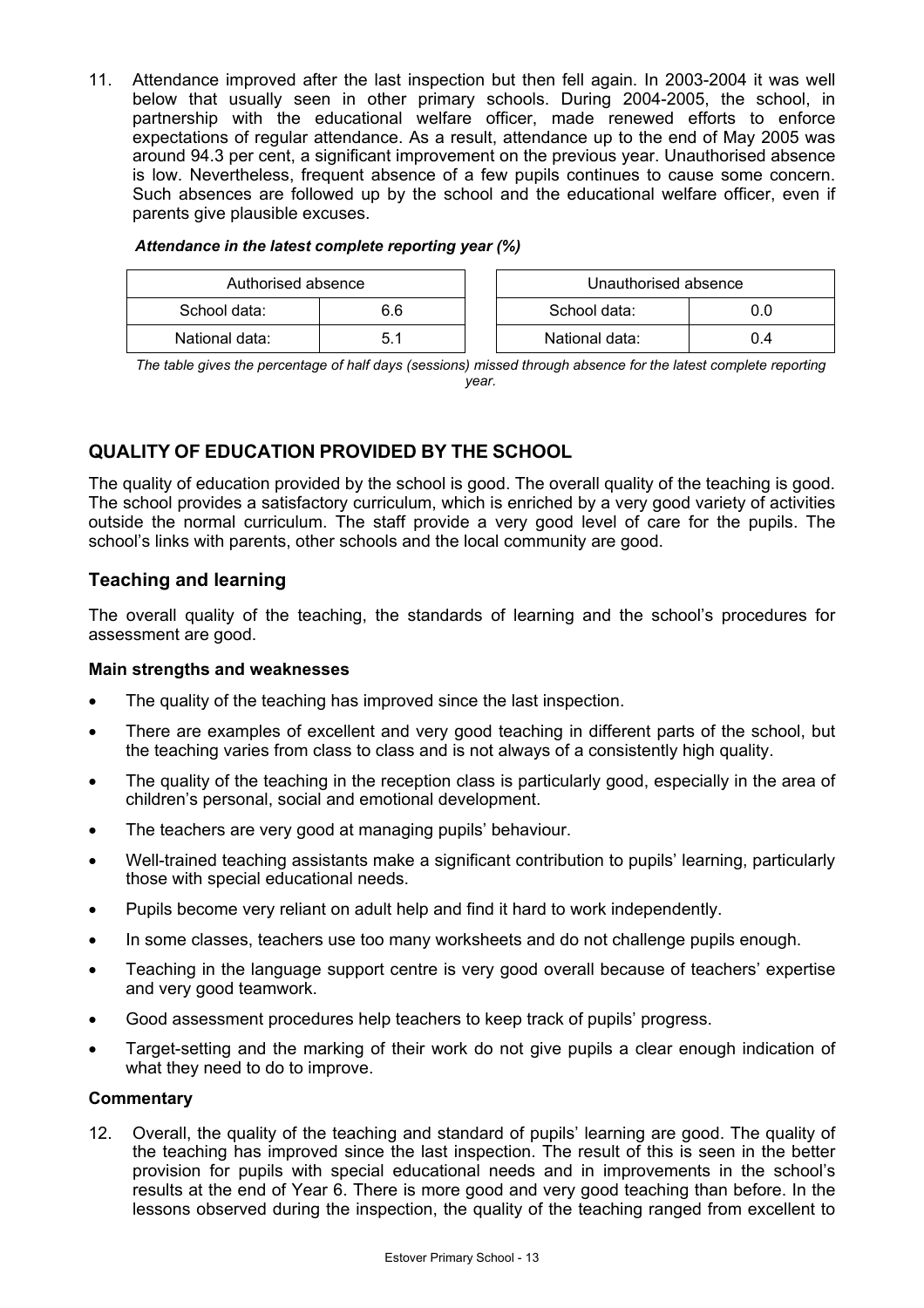11. Attendance improved after the last inspection but then fell again. In 2003-2004 it was well below that usually seen in other primary schools. During 2004-2005, the school, in partnership with the educational welfare officer, made renewed efforts to enforce expectations of regular attendance. As a result, attendance up to the end of May 2005 was around 94.3 per cent, a significant improvement on the previous year. Unauthorised absence is low. Nevertheless, frequent absence of a few pupils continues to cause some concern. Such absences are followed up by the school and the educational welfare officer, even if parents give plausible excuses.

| Attendance in the latest complete reporting year (%) |  |
|------------------------------------------------------|--|
|------------------------------------------------------|--|

| Authorised absence  |     | Unauthorised absence |     |
|---------------------|-----|----------------------|-----|
| School data:<br>6.6 |     | School data:         |     |
| National data:      | 5.1 | National data:       | 0.4 |

*The table gives the percentage of half days (sessions) missed through absence for the latest complete reporting year.*

## **QUALITY OF EDUCATION PROVIDED BY THE SCHOOL**

The quality of education provided by the school is good. The overall quality of the teaching is good. The school provides a satisfactory curriculum, which is enriched by a very good variety of activities outside the normal curriculum. The staff provide a very good level of care for the pupils. The school's links with parents, other schools and the local community are good.

## **Teaching and learning**

The overall quality of the teaching, the standards of learning and the school's procedures for assessment are good.

## **Main strengths and weaknesses**

- The quality of the teaching has improved since the last inspection.
- There are examples of excellent and very good teaching in different parts of the school, but the teaching varies from class to class and is not always of a consistently high quality.
- The quality of the teaching in the reception class is particularly good, especially in the area of children's personal, social and emotional development.
- The teachers are very good at managing pupils' behaviour.
- Well-trained teaching assistants make a significant contribution to pupils' learning, particularly those with special educational needs.
- Pupils become very reliant on adult help and find it hard to work independently.
- In some classes, teachers use too many worksheets and do not challenge pupils enough.
- Teaching in the language support centre is very good overall because of teachers' expertise and very good teamwork.
- Good assessment procedures help teachers to keep track of pupils' progress.
- Target-setting and the marking of their work do not give pupils a clear enough indication of what they need to do to improve.

## **Commentary**

12. Overall, the quality of the teaching and standard of pupils' learning are good. The quality of the teaching has improved since the last inspection. The result of this is seen in the better provision for pupils with special educational needs and in improvements in the school's results at the end of Year 6. There is more good and very good teaching than before. In the lessons observed during the inspection, the quality of the teaching ranged from excellent to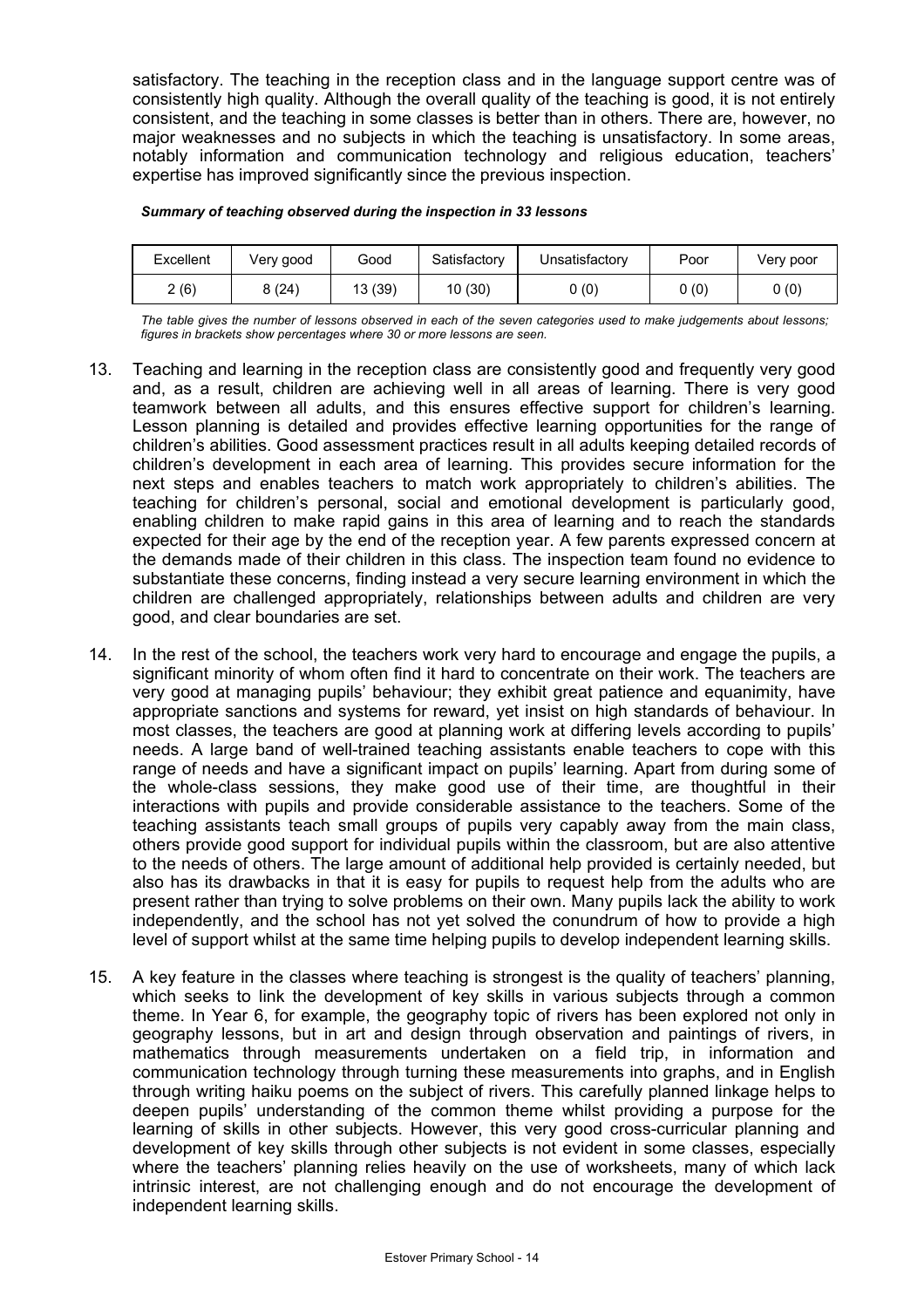satisfactory. The teaching in the reception class and in the language support centre was of consistently high quality. Although the overall quality of the teaching is good, it is not entirely consistent, and the teaching in some classes is better than in others. There are, however, no major weaknesses and no subjects in which the teaching is unsatisfactory. In some areas, notably information and communication technology and religious education, teachers' expertise has improved significantly since the previous inspection.

#### *Summary of teaching observed during the inspection in 33 lessons*

| Excellent | Very good | Good    | Satisfactory | Jnsatisfactory | Poor | Very poor |
|-----------|-----------|---------|--------------|----------------|------|-----------|
| 2(6)      | (24)<br>ິ | 13 (39) | 10(30)       | 0(0)           | 0(0) | 0(0)      |

*The table gives the number of lessons observed in each of the seven categories used to make judgements about lessons; figures in brackets show percentages where 30 or more lessons are seen.* 

- 13. Teaching and learning in the reception class are consistently good and frequently very good and, as a result, children are achieving well in all areas of learning. There is very good teamwork between all adults, and this ensures effective support for children's learning. Lesson planning is detailed and provides effective learning opportunities for the range of children's abilities. Good assessment practices result in all adults keeping detailed records of children's development in each area of learning. This provides secure information for the next steps and enables teachers to match work appropriately to children's abilities. The teaching for children's personal, social and emotional development is particularly good, enabling children to make rapid gains in this area of learning and to reach the standards expected for their age by the end of the reception year. A few parents expressed concern at the demands made of their children in this class. The inspection team found no evidence to substantiate these concerns, finding instead a very secure learning environment in which the children are challenged appropriately, relationships between adults and children are very good, and clear boundaries are set.
- 14. In the rest of the school, the teachers work very hard to encourage and engage the pupils, a significant minority of whom often find it hard to concentrate on their work. The teachers are very good at managing pupils' behaviour; they exhibit great patience and equanimity, have appropriate sanctions and systems for reward, yet insist on high standards of behaviour. In most classes, the teachers are good at planning work at differing levels according to pupils' needs. A large band of well-trained teaching assistants enable teachers to cope with this range of needs and have a significant impact on pupils' learning. Apart from during some of the whole-class sessions, they make good use of their time, are thoughtful in their interactions with pupils and provide considerable assistance to the teachers. Some of the teaching assistants teach small groups of pupils very capably away from the main class, others provide good support for individual pupils within the classroom, but are also attentive to the needs of others. The large amount of additional help provided is certainly needed, but also has its drawbacks in that it is easy for pupils to request help from the adults who are present rather than trying to solve problems on their own. Many pupils lack the ability to work independently, and the school has not yet solved the conundrum of how to provide a high level of support whilst at the same time helping pupils to develop independent learning skills.
- 15. A key feature in the classes where teaching is strongest is the quality of teachers' planning, which seeks to link the development of key skills in various subjects through a common theme. In Year 6, for example, the geography topic of rivers has been explored not only in geography lessons, but in art and design through observation and paintings of rivers, in mathematics through measurements undertaken on a field trip, in information and communication technology through turning these measurements into graphs, and in English through writing haiku poems on the subject of rivers. This carefully planned linkage helps to deepen pupils' understanding of the common theme whilst providing a purpose for the learning of skills in other subjects. However, this very good cross-curricular planning and development of key skills through other subjects is not evident in some classes, especially where the teachers' planning relies heavily on the use of worksheets, many of which lack intrinsic interest, are not challenging enough and do not encourage the development of independent learning skills.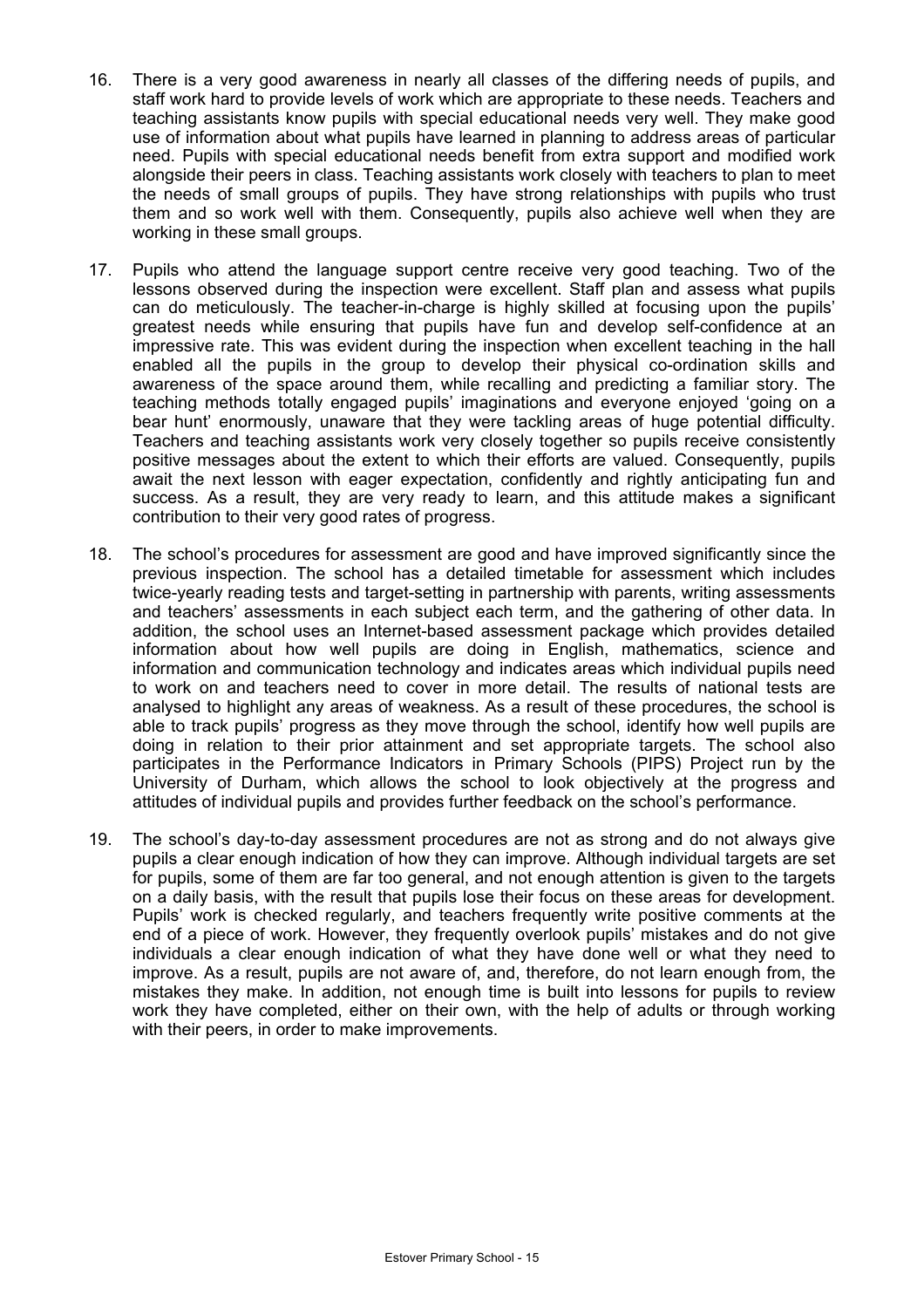- 16. There is a very good awareness in nearly all classes of the differing needs of pupils, and staff work hard to provide levels of work which are appropriate to these needs. Teachers and teaching assistants know pupils with special educational needs very well. They make good use of information about what pupils have learned in planning to address areas of particular need. Pupils with special educational needs benefit from extra support and modified work alongside their peers in class. Teaching assistants work closely with teachers to plan to meet the needs of small groups of pupils. They have strong relationships with pupils who trust them and so work well with them. Consequently, pupils also achieve well when they are working in these small groups.
- 17. Pupils who attend the language support centre receive very good teaching. Two of the lessons observed during the inspection were excellent. Staff plan and assess what pupils can do meticulously. The teacher-in-charge is highly skilled at focusing upon the pupils' greatest needs while ensuring that pupils have fun and develop self-confidence at an impressive rate. This was evident during the inspection when excellent teaching in the hall enabled all the pupils in the group to develop their physical co-ordination skills and awareness of the space around them, while recalling and predicting a familiar story. The teaching methods totally engaged pupils' imaginations and everyone enjoyed 'going on a bear hunt' enormously, unaware that they were tackling areas of huge potential difficulty. Teachers and teaching assistants work very closely together so pupils receive consistently positive messages about the extent to which their efforts are valued. Consequently, pupils await the next lesson with eager expectation, confidently and rightly anticipating fun and success. As a result, they are very ready to learn, and this attitude makes a significant contribution to their very good rates of progress.
- 18. The school's procedures for assessment are good and have improved significantly since the previous inspection. The school has a detailed timetable for assessment which includes twice-yearly reading tests and target-setting in partnership with parents, writing assessments and teachers' assessments in each subject each term, and the gathering of other data. In addition, the school uses an Internet-based assessment package which provides detailed information about how well pupils are doing in English, mathematics, science and information and communication technology and indicates areas which individual pupils need to work on and teachers need to cover in more detail. The results of national tests are analysed to highlight any areas of weakness. As a result of these procedures, the school is able to track pupils' progress as they move through the school, identify how well pupils are doing in relation to their prior attainment and set appropriate targets. The school also participates in the Performance Indicators in Primary Schools (PIPS) Project run by the University of Durham, which allows the school to look objectively at the progress and attitudes of individual pupils and provides further feedback on the school's performance.
- 19. The school's day-to-day assessment procedures are not as strong and do not always give pupils a clear enough indication of how they can improve. Although individual targets are set for pupils, some of them are far too general, and not enough attention is given to the targets on a daily basis, with the result that pupils lose their focus on these areas for development. Pupils' work is checked regularly, and teachers frequently write positive comments at the end of a piece of work. However, they frequently overlook pupils' mistakes and do not give individuals a clear enough indication of what they have done well or what they need to improve. As a result, pupils are not aware of, and, therefore, do not learn enough from, the mistakes they make. In addition, not enough time is built into lessons for pupils to review work they have completed, either on their own, with the help of adults or through working with their peers, in order to make improvements.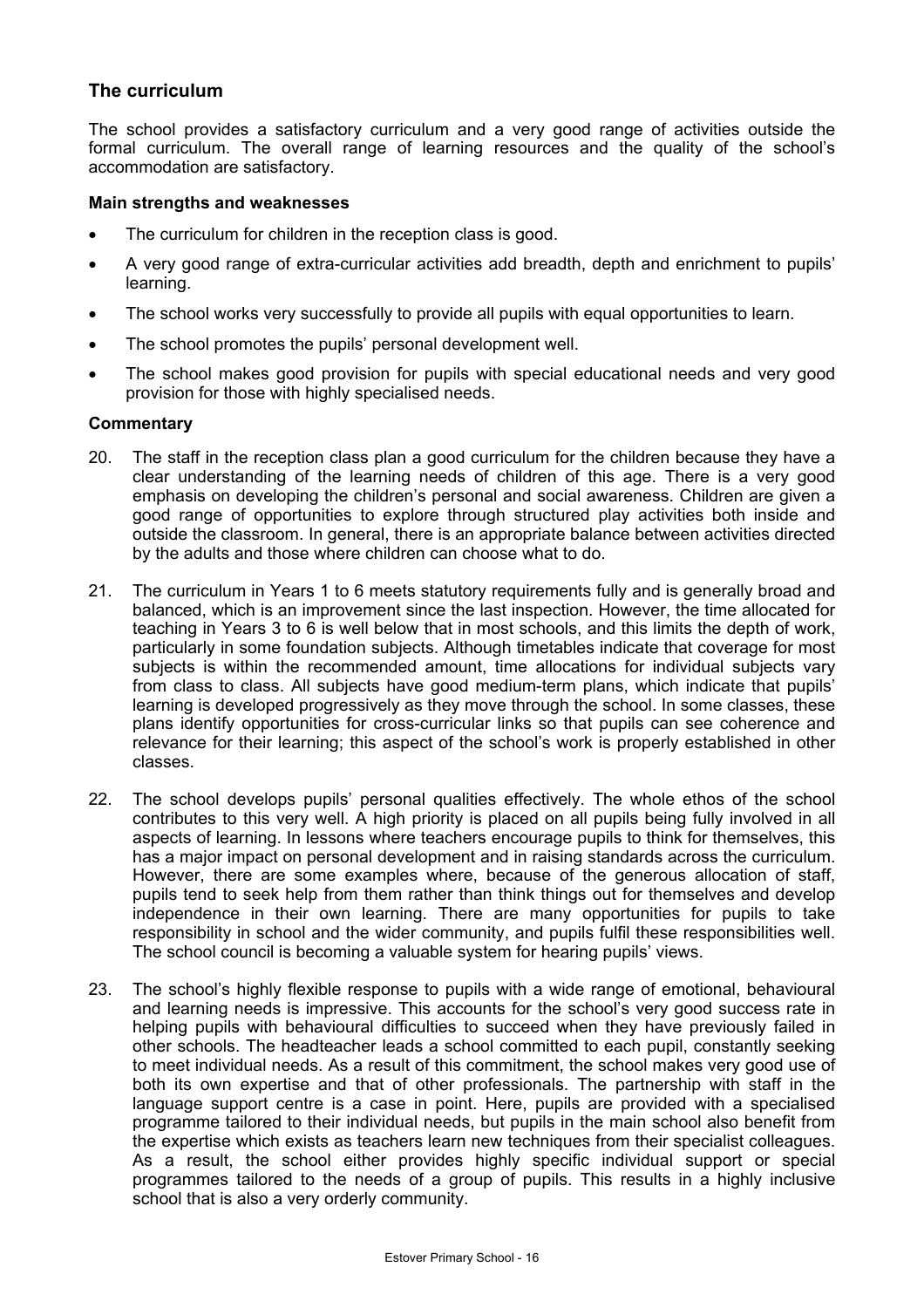## **The curriculum**

The school provides a satisfactory curriculum and a very good range of activities outside the formal curriculum. The overall range of learning resources and the quality of the school's accommodation are satisfactory.

#### **Main strengths and weaknesses**

- The curriculum for children in the reception class is good.
- A very good range of extra-curricular activities add breadth, depth and enrichment to pupils' learning.
- The school works very successfully to provide all pupils with equal opportunities to learn.
- The school promotes the pupils' personal development well.
- The school makes good provision for pupils with special educational needs and very good provision for those with highly specialised needs.

- 20. The staff in the reception class plan a good curriculum for the children because they have a clear understanding of the learning needs of children of this age. There is a very good emphasis on developing the children's personal and social awareness. Children are given a good range of opportunities to explore through structured play activities both inside and outside the classroom. In general, there is an appropriate balance between activities directed by the adults and those where children can choose what to do.
- 21. The curriculum in Years 1 to 6 meets statutory requirements fully and is generally broad and balanced, which is an improvement since the last inspection. However, the time allocated for teaching in Years 3 to 6 is well below that in most schools, and this limits the depth of work, particularly in some foundation subjects. Although timetables indicate that coverage for most subjects is within the recommended amount, time allocations for individual subjects vary from class to class. All subjects have good medium-term plans, which indicate that pupils' learning is developed progressively as they move through the school. In some classes, these plans identify opportunities for cross-curricular links so that pupils can see coherence and relevance for their learning; this aspect of the school's work is properly established in other classes.
- 22. The school develops pupils' personal qualities effectively. The whole ethos of the school contributes to this very well. A high priority is placed on all pupils being fully involved in all aspects of learning. In lessons where teachers encourage pupils to think for themselves, this has a major impact on personal development and in raising standards across the curriculum. However, there are some examples where, because of the generous allocation of staff, pupils tend to seek help from them rather than think things out for themselves and develop independence in their own learning. There are many opportunities for pupils to take responsibility in school and the wider community, and pupils fulfil these responsibilities well. The school council is becoming a valuable system for hearing pupils' views.
- 23. The school's highly flexible response to pupils with a wide range of emotional, behavioural and learning needs is impressive. This accounts for the school's very good success rate in helping pupils with behavioural difficulties to succeed when they have previously failed in other schools. The headteacher leads a school committed to each pupil, constantly seeking to meet individual needs. As a result of this commitment, the school makes very good use of both its own expertise and that of other professionals. The partnership with staff in the language support centre is a case in point. Here, pupils are provided with a specialised programme tailored to their individual needs, but pupils in the main school also benefit from the expertise which exists as teachers learn new techniques from their specialist colleagues. As a result, the school either provides highly specific individual support or special programmes tailored to the needs of a group of pupils. This results in a highly inclusive school that is also a very orderly community.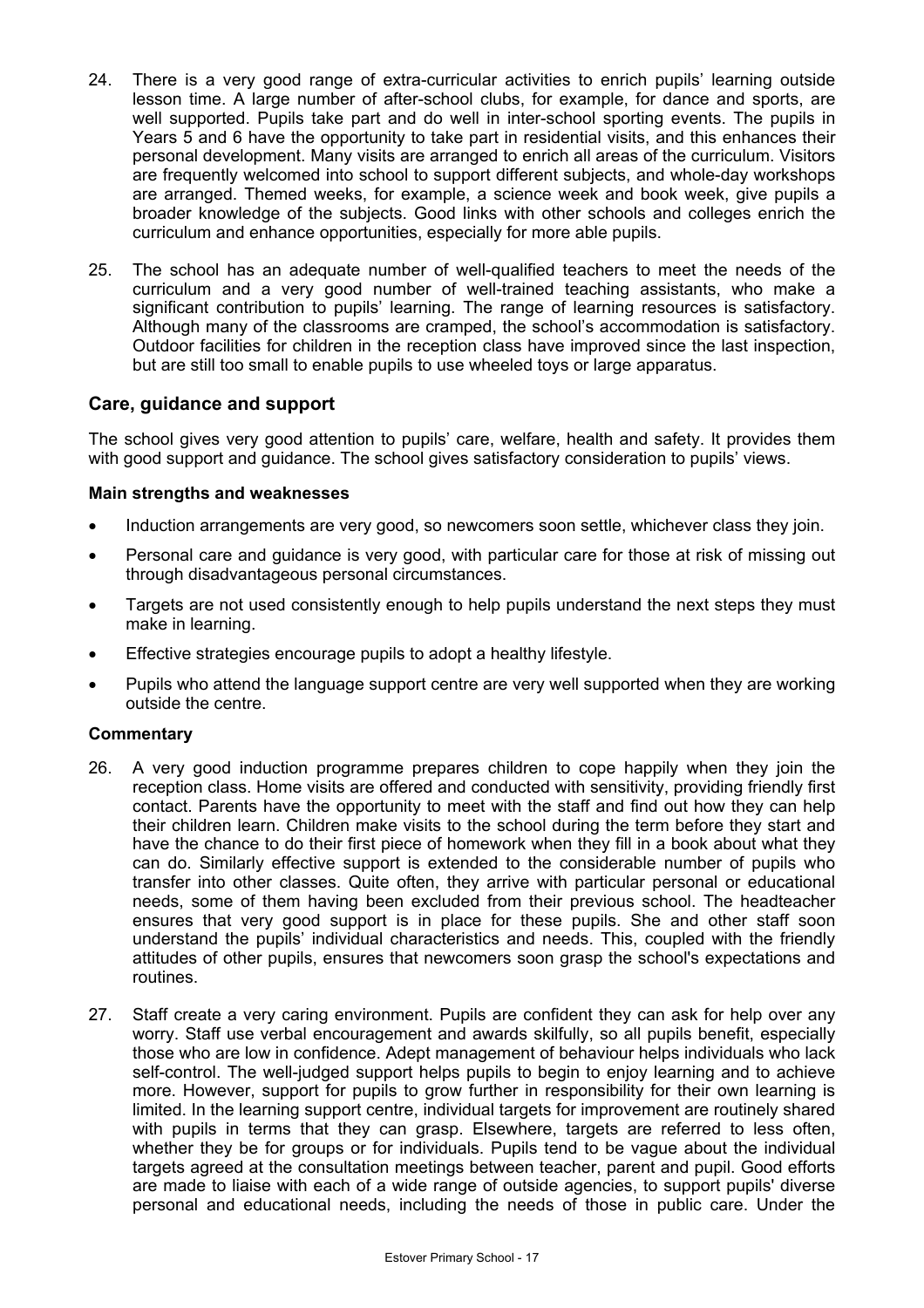- 24. There is a very good range of extra-curricular activities to enrich pupils' learning outside lesson time. A large number of after-school clubs, for example, for dance and sports, are well supported. Pupils take part and do well in inter-school sporting events. The pupils in Years 5 and 6 have the opportunity to take part in residential visits, and this enhances their personal development. Many visits are arranged to enrich all areas of the curriculum. Visitors are frequently welcomed into school to support different subjects, and whole-day workshops are arranged. Themed weeks, for example, a science week and book week, give pupils a broader knowledge of the subjects. Good links with other schools and colleges enrich the curriculum and enhance opportunities, especially for more able pupils.
- 25. The school has an adequate number of well-qualified teachers to meet the needs of the curriculum and a very good number of well-trained teaching assistants, who make a significant contribution to pupils' learning. The range of learning resources is satisfactory. Although many of the classrooms are cramped, the school's accommodation is satisfactory. Outdoor facilities for children in the reception class have improved since the last inspection, but are still too small to enable pupils to use wheeled toys or large apparatus.

## **Care, guidance and support**

The school gives very good attention to pupils' care, welfare, health and safety. It provides them with good support and guidance. The school gives satisfactory consideration to pupils' views.

#### **Main strengths and weaknesses**

- Induction arrangements are very good, so newcomers soon settle, whichever class they join.
- Personal care and quidance is very good, with particular care for those at risk of missing out through disadvantageous personal circumstances.
- Targets are not used consistently enough to help pupils understand the next steps they must make in learning.
- Effective strategies encourage pupils to adopt a healthy lifestyle.
- Pupils who attend the language support centre are very well supported when they are working outside the centre.

- 26. A very good induction programme prepares children to cope happily when they join the reception class. Home visits are offered and conducted with sensitivity, providing friendly first contact. Parents have the opportunity to meet with the staff and find out how they can help their children learn. Children make visits to the school during the term before they start and have the chance to do their first piece of homework when they fill in a book about what they can do. Similarly effective support is extended to the considerable number of pupils who transfer into other classes. Quite often, they arrive with particular personal or educational needs, some of them having been excluded from their previous school. The headteacher ensures that very good support is in place for these pupils. She and other staff soon understand the pupils' individual characteristics and needs. This, coupled with the friendly attitudes of other pupils, ensures that newcomers soon grasp the school's expectations and routines.
- 27. Staff create a very caring environment. Pupils are confident they can ask for help over any worry. Staff use verbal encouragement and awards skilfully, so all pupils benefit, especially those who are low in confidence. Adept management of behaviour helps individuals who lack self-control. The well-judged support helps pupils to begin to enjoy learning and to achieve more. However, support for pupils to grow further in responsibility for their own learning is limited. In the learning support centre, individual targets for improvement are routinely shared with pupils in terms that they can grasp. Elsewhere, targets are referred to less often, whether they be for groups or for individuals. Pupils tend to be vague about the individual targets agreed at the consultation meetings between teacher, parent and pupil. Good efforts are made to liaise with each of a wide range of outside agencies, to support pupils' diverse personal and educational needs, including the needs of those in public care. Under the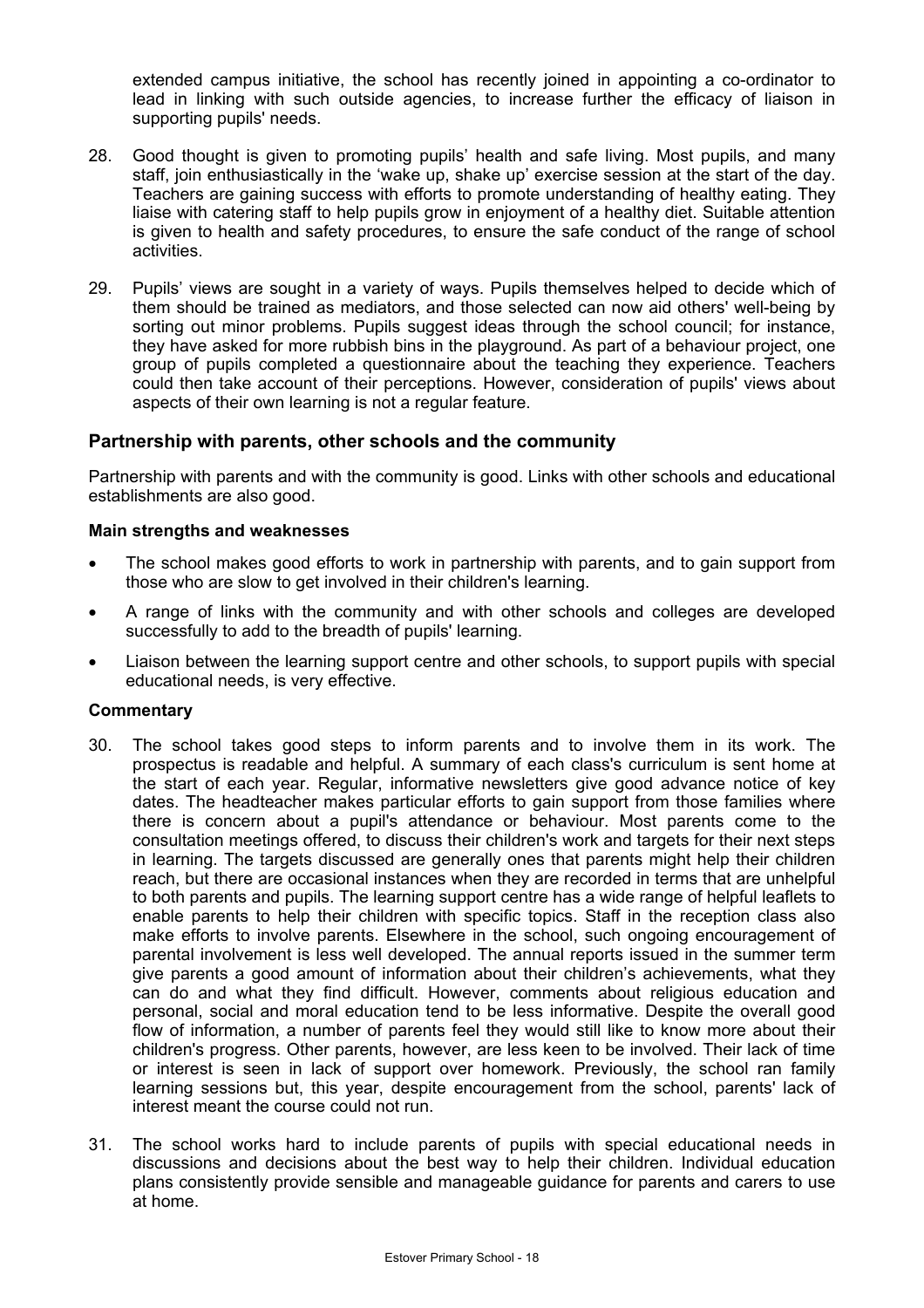extended campus initiative, the school has recently joined in appointing a co-ordinator to lead in linking with such outside agencies, to increase further the efficacy of liaison in supporting pupils' needs.

- 28. Good thought is given to promoting pupils' health and safe living. Most pupils, and many staff, join enthusiastically in the 'wake up, shake up' exercise session at the start of the day. Teachers are gaining success with efforts to promote understanding of healthy eating. They liaise with catering staff to help pupils grow in enjoyment of a healthy diet. Suitable attention is given to health and safety procedures, to ensure the safe conduct of the range of school activities.
- 29. Pupils' views are sought in a variety of ways. Pupils themselves helped to decide which of them should be trained as mediators, and those selected can now aid others' well-being by sorting out minor problems. Pupils suggest ideas through the school council; for instance, they have asked for more rubbish bins in the playground. As part of a behaviour project, one group of pupils completed a questionnaire about the teaching they experience. Teachers could then take account of their perceptions. However, consideration of pupils' views about aspects of their own learning is not a regular feature.

## **Partnership with parents, other schools and the community**

Partnership with parents and with the community is good. Links with other schools and educational establishments are also good.

#### **Main strengths and weaknesses**

- The school makes good efforts to work in partnership with parents, and to gain support from those who are slow to get involved in their children's learning.
- A range of links with the community and with other schools and colleges are developed successfully to add to the breadth of pupils' learning.
- Liaison between the learning support centre and other schools, to support pupils with special educational needs, is very effective.

- 30. The school takes good steps to inform parents and to involve them in its work. The prospectus is readable and helpful. A summary of each class's curriculum is sent home at the start of each year. Regular, informative newsletters give good advance notice of key dates. The headteacher makes particular efforts to gain support from those families where there is concern about a pupil's attendance or behaviour. Most parents come to the consultation meetings offered, to discuss their children's work and targets for their next steps in learning. The targets discussed are generally ones that parents might help their children reach, but there are occasional instances when they are recorded in terms that are unhelpful to both parents and pupils. The learning support centre has a wide range of helpful leaflets to enable parents to help their children with specific topics. Staff in the reception class also make efforts to involve parents. Elsewhere in the school, such ongoing encouragement of parental involvement is less well developed. The annual reports issued in the summer term give parents a good amount of information about their children's achievements, what they can do and what they find difficult. However, comments about religious education and personal, social and moral education tend to be less informative. Despite the overall good flow of information, a number of parents feel they would still like to know more about their children's progress. Other parents, however, are less keen to be involved. Their lack of time or interest is seen in lack of support over homework. Previously, the school ran family learning sessions but, this year, despite encouragement from the school, parents' lack of interest meant the course could not run.
- 31. The school works hard to include parents of pupils with special educational needs in discussions and decisions about the best way to help their children. Individual education plans consistently provide sensible and manageable guidance for parents and carers to use at home.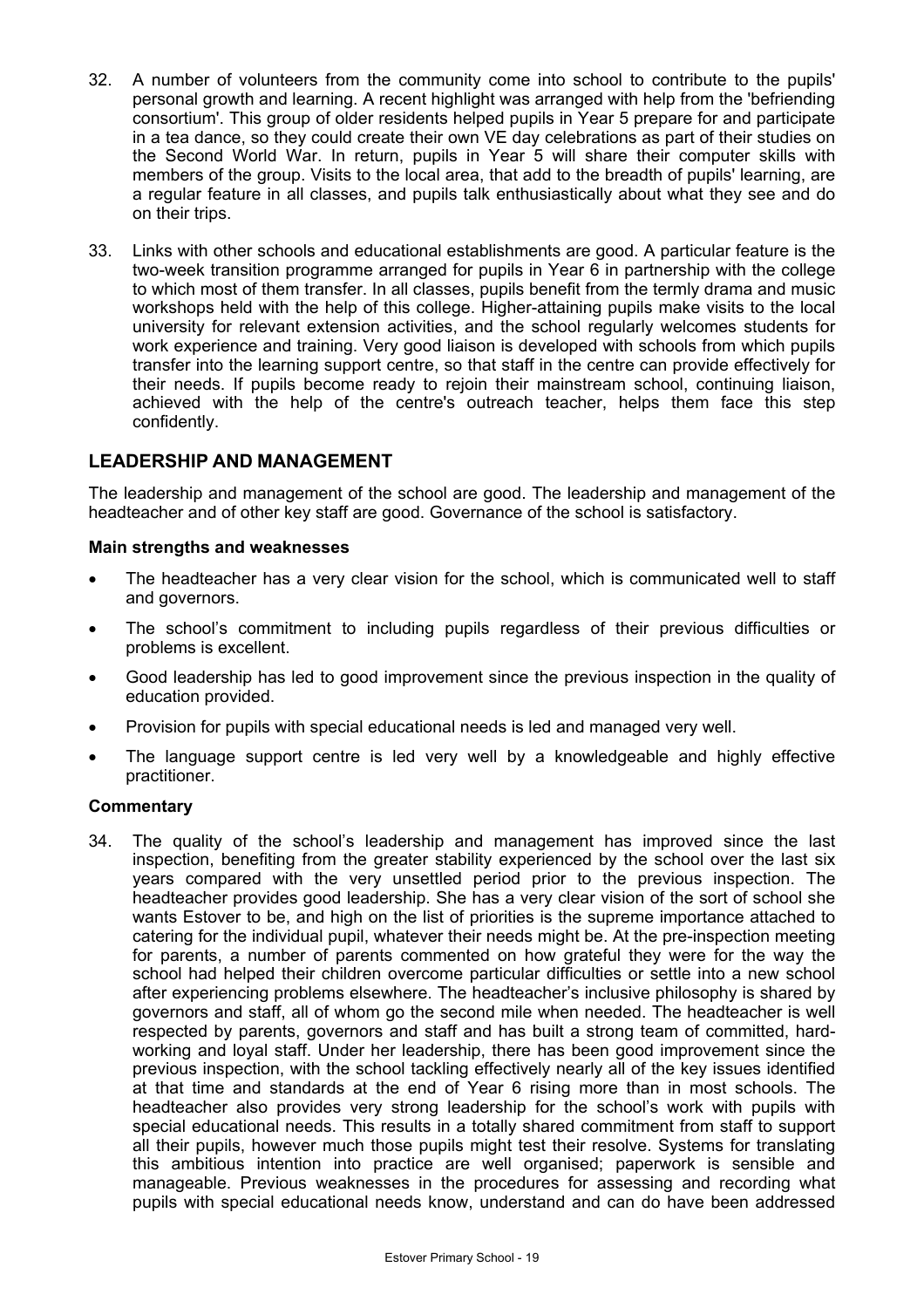- 32. A number of volunteers from the community come into school to contribute to the pupils' personal growth and learning. A recent highlight was arranged with help from the 'befriending consortium'. This group of older residents helped pupils in Year 5 prepare for and participate in a tea dance, so they could create their own VE day celebrations as part of their studies on the Second World War. In return, pupils in Year 5 will share their computer skills with members of the group. Visits to the local area, that add to the breadth of pupils' learning, are a regular feature in all classes, and pupils talk enthusiastically about what they see and do on their trips.
- 33. Links with other schools and educational establishments are good. A particular feature is the two-week transition programme arranged for pupils in Year 6 in partnership with the college to which most of them transfer. In all classes, pupils benefit from the termly drama and music workshops held with the help of this college. Higher-attaining pupils make visits to the local university for relevant extension activities, and the school regularly welcomes students for work experience and training. Very good liaison is developed with schools from which pupils transfer into the learning support centre, so that staff in the centre can provide effectively for their needs. If pupils become ready to rejoin their mainstream school, continuing liaison, achieved with the help of the centre's outreach teacher, helps them face this step confidently.

## **LEADERSHIP AND MANAGEMENT**

The leadership and management of the school are good. The leadership and management of the headteacher and of other key staff are good. Governance of the school is satisfactory.

#### **Main strengths and weaknesses**

- The headteacher has a very clear vision for the school, which is communicated well to staff and governors.
- The school's commitment to including pupils regardless of their previous difficulties or problems is excellent.
- Good leadership has led to good improvement since the previous inspection in the quality of education provided.
- Provision for pupils with special educational needs is led and managed very well.
- The language support centre is led very well by a knowledgeable and highly effective practitioner.

#### **Commentary**

34. The quality of the school's leadership and management has improved since the last inspection, benefiting from the greater stability experienced by the school over the last six years compared with the very unsettled period prior to the previous inspection. The headteacher provides good leadership. She has a very clear vision of the sort of school she wants Estover to be, and high on the list of priorities is the supreme importance attached to catering for the individual pupil, whatever their needs might be. At the pre-inspection meeting for parents, a number of parents commented on how grateful they were for the way the school had helped their children overcome particular difficulties or settle into a new school after experiencing problems elsewhere. The headteacher's inclusive philosophy is shared by governors and staff, all of whom go the second mile when needed. The headteacher is well respected by parents, governors and staff and has built a strong team of committed, hardworking and loyal staff. Under her leadership, there has been good improvement since the previous inspection, with the school tackling effectively nearly all of the key issues identified at that time and standards at the end of Year 6 rising more than in most schools. The headteacher also provides very strong leadership for the school's work with pupils with special educational needs. This results in a totally shared commitment from staff to support all their pupils, however much those pupils might test their resolve. Systems for translating this ambitious intention into practice are well organised; paperwork is sensible and manageable. Previous weaknesses in the procedures for assessing and recording what pupils with special educational needs know, understand and can do have been addressed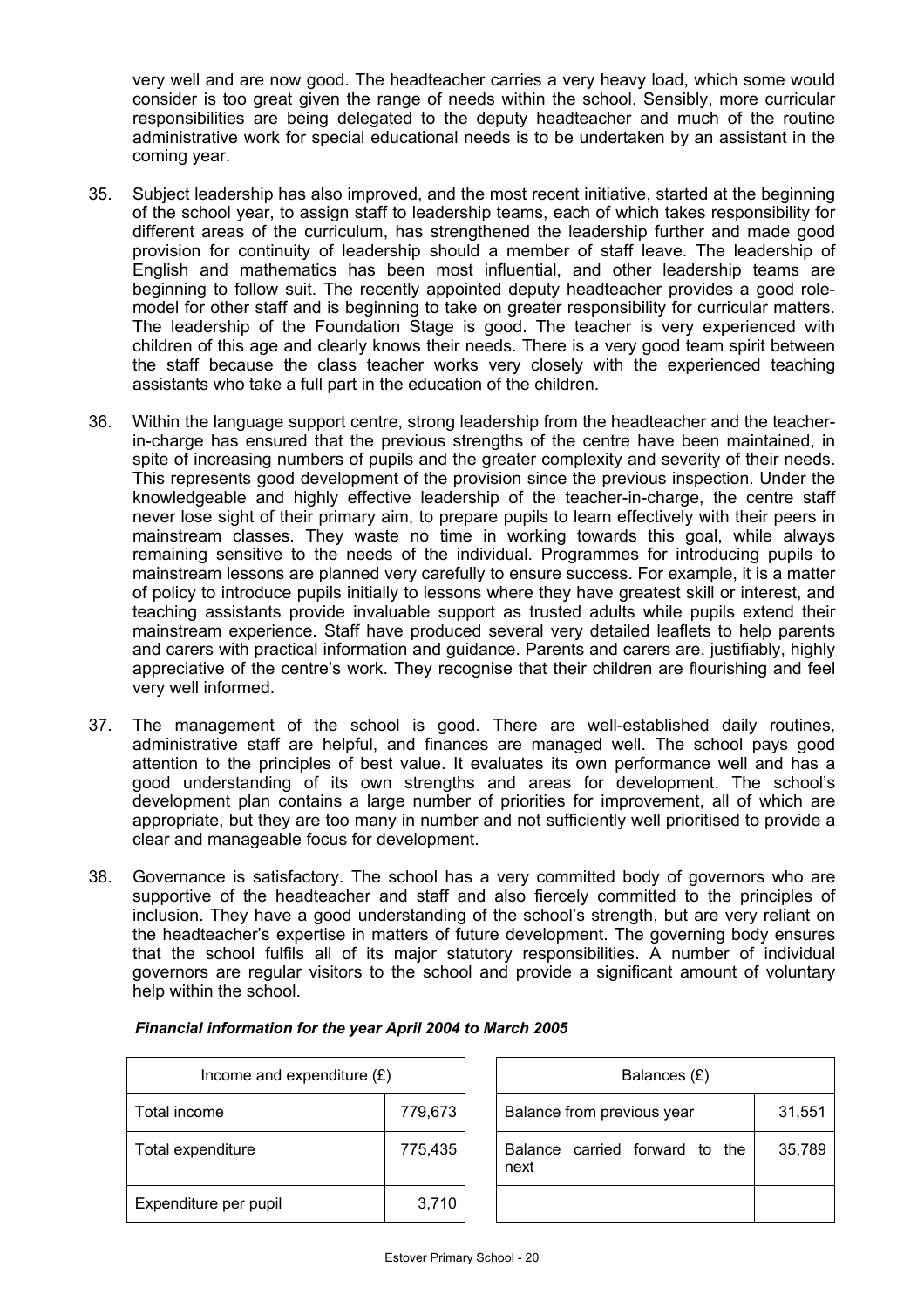very well and are now good. The headteacher carries a very heavy load, which some would consider is too great given the range of needs within the school. Sensibly, more curricular responsibilities are being delegated to the deputy headteacher and much of the routine administrative work for special educational needs is to be undertaken by an assistant in the coming year.

- 35. Subject leadership has also improved, and the most recent initiative, started at the beginning of the school year, to assign staff to leadership teams, each of which takes responsibility for different areas of the curriculum, has strengthened the leadership further and made good provision for continuity of leadership should a member of staff leave. The leadership of English and mathematics has been most influential, and other leadership teams are beginning to follow suit. The recently appointed deputy headteacher provides a good rolemodel for other staff and is beginning to take on greater responsibility for curricular matters. The leadership of the Foundation Stage is good. The teacher is very experienced with children of this age and clearly knows their needs. There is a very good team spirit between the staff because the class teacher works very closely with the experienced teaching assistants who take a full part in the education of the children.
- 36. Within the language support centre, strong leadership from the headteacher and the teacherin-charge has ensured that the previous strengths of the centre have been maintained, in spite of increasing numbers of pupils and the greater complexity and severity of their needs. This represents good development of the provision since the previous inspection. Under the knowledgeable and highly effective leadership of the teacher-in-charge, the centre staff never lose sight of their primary aim, to prepare pupils to learn effectively with their peers in mainstream classes. They waste no time in working towards this goal, while always remaining sensitive to the needs of the individual. Programmes for introducing pupils to mainstream lessons are planned very carefully to ensure success. For example, it is a matter of policy to introduce pupils initially to lessons where they have greatest skill or interest, and teaching assistants provide invaluable support as trusted adults while pupils extend their mainstream experience. Staff have produced several very detailed leaflets to help parents and carers with practical information and guidance. Parents and carers are, justifiably, highly appreciative of the centre's work. They recognise that their children are flourishing and feel very well informed.
- 37. The management of the school is good. There are well-established daily routines, administrative staff are helpful, and finances are managed well. The school pays good attention to the principles of best value. It evaluates its own performance well and has a good understanding of its own strengths and areas for development. The school's development plan contains a large number of priorities for improvement, all of which are appropriate, but they are too many in number and not sufficiently well prioritised to provide a clear and manageable focus for development.
- 38. Governance is satisfactory. The school has a very committed body of governors who are supportive of the headteacher and staff and also fiercely committed to the principles of inclusion. They have a good understanding of the school's strength, but are very reliant on the headteacher's expertise in matters of future development. The governing body ensures that the school fulfils all of its major statutory responsibilities. A number of individual governors are regular visitors to the school and provide a significant amount of voluntary help within the school.

| Income and expenditure $(E)$ |         | Balances (£)                              |        |
|------------------------------|---------|-------------------------------------------|--------|
| Total income                 | 779,673 | Balance from previous year                | 31,551 |
| Total expenditure            | 775,435 | Balance carried forward<br>to the<br>next | 35,789 |
| Expenditure per pupil        | 3,710   |                                           |        |

| Balances (£)                           |        |  |  |  |  |
|----------------------------------------|--------|--|--|--|--|
| Balance from previous year<br>31,551   |        |  |  |  |  |
| Balance carried forward to the<br>next | 35,789 |  |  |  |  |
|                                        |        |  |  |  |  |

#### *Financial information for the year April 2004 to March 2005*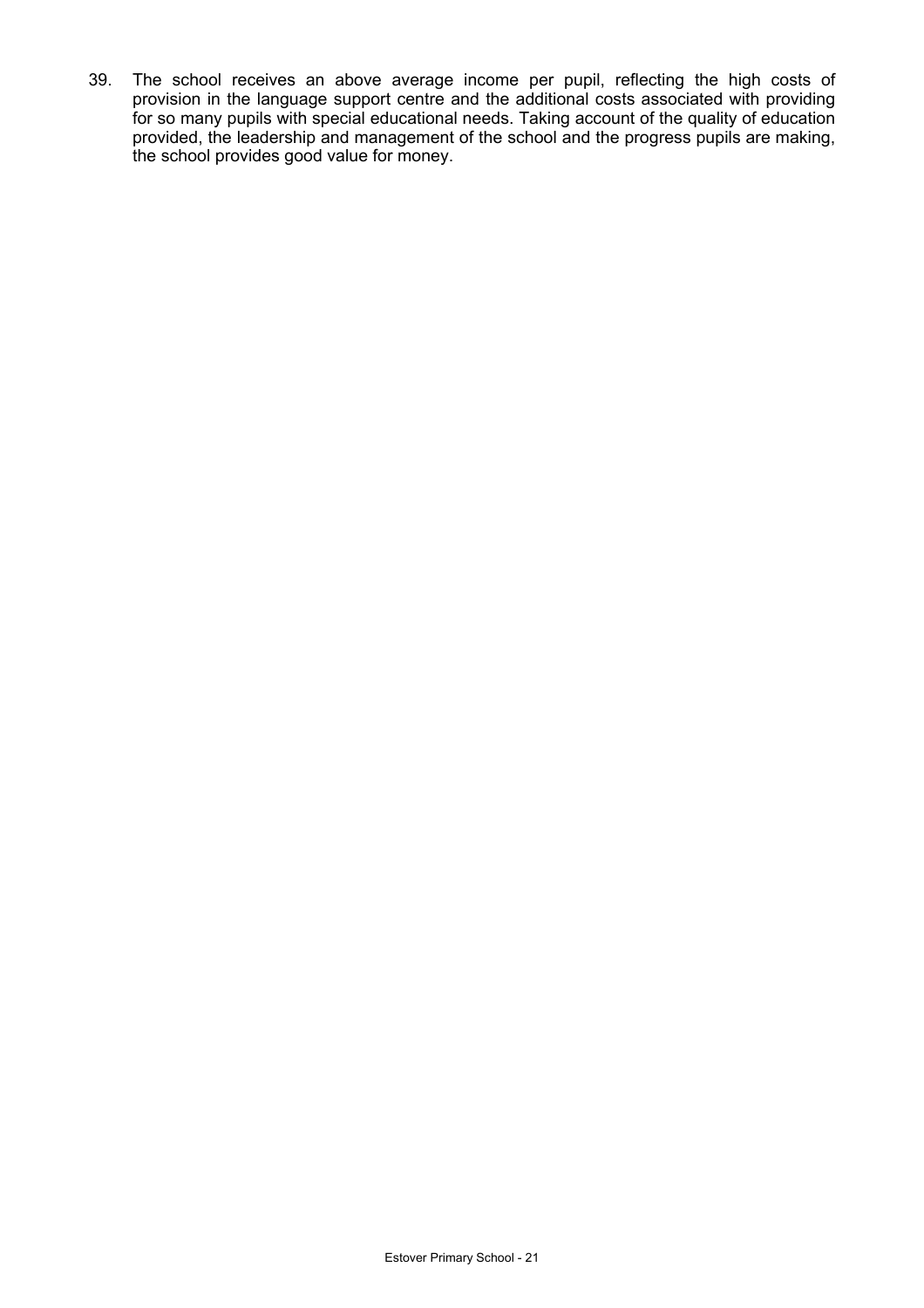39. The school receives an above average income per pupil, reflecting the high costs of provision in the language support centre and the additional costs associated with providing for so many pupils with special educational needs. Taking account of the quality of education provided, the leadership and management of the school and the progress pupils are making, the school provides good value for money.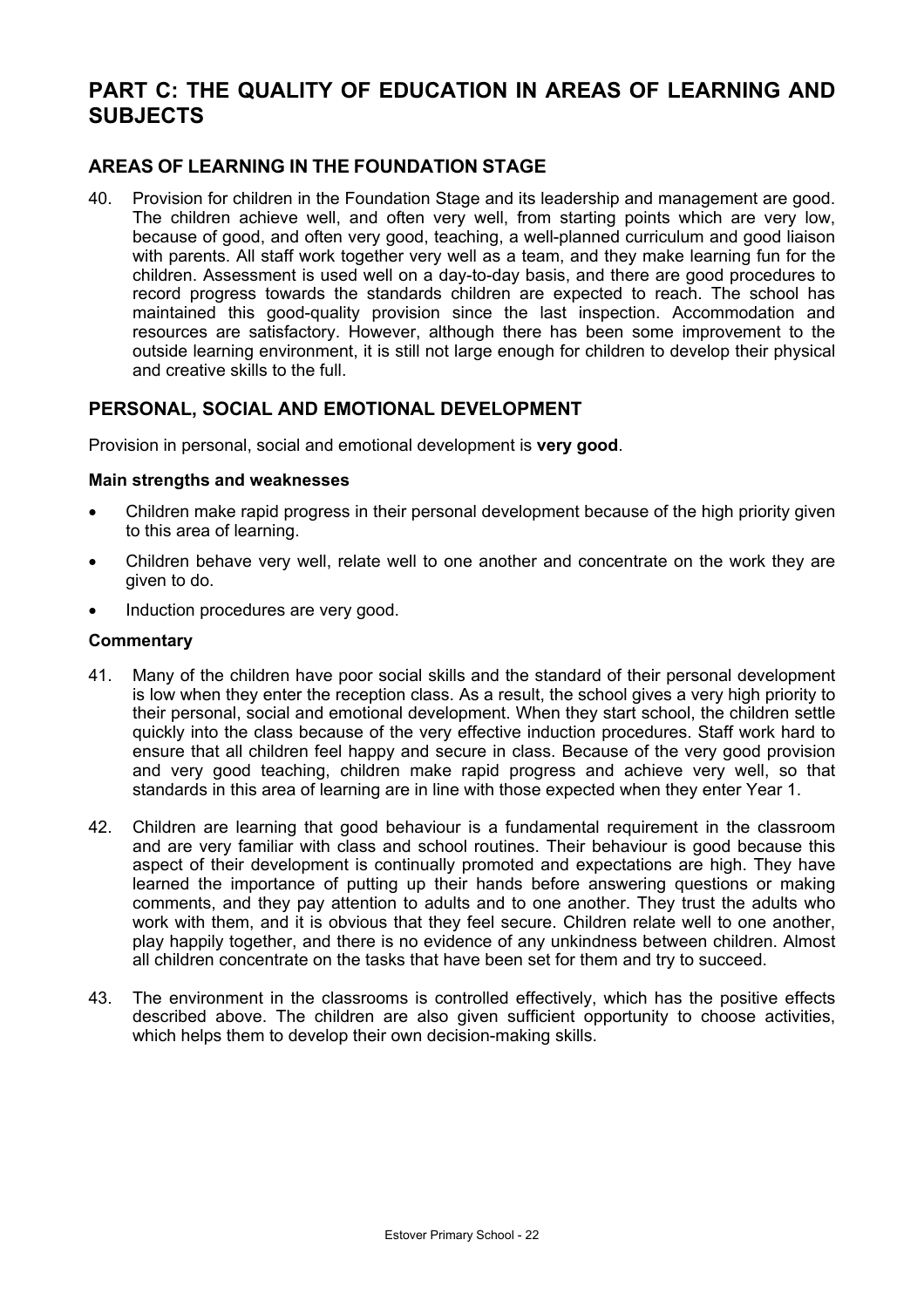# **PART C: THE QUALITY OF EDUCATION IN AREAS OF LEARNING AND SUBJECTS**

## **AREAS OF LEARNING IN THE FOUNDATION STAGE**

40. Provision for children in the Foundation Stage and its leadership and management are good. The children achieve well, and often very well, from starting points which are very low, because of good, and often very good, teaching, a well-planned curriculum and good liaison with parents. All staff work together very well as a team, and they make learning fun for the children. Assessment is used well on a day-to-day basis, and there are good procedures to record progress towards the standards children are expected to reach. The school has maintained this good-quality provision since the last inspection. Accommodation and resources are satisfactory. However, although there has been some improvement to the outside learning environment, it is still not large enough for children to develop their physical and creative skills to the full.

## **PERSONAL, SOCIAL AND EMOTIONAL DEVELOPMENT**

Provision in personal, social and emotional development is **very good**.

#### **Main strengths and weaknesses**

- Children make rapid progress in their personal development because of the high priority given to this area of learning.
- Children behave very well, relate well to one another and concentrate on the work they are given to do.
- Induction procedures are very good.

- 41. Many of the children have poor social skills and the standard of their personal development is low when they enter the reception class. As a result, the school gives a very high priority to their personal, social and emotional development. When they start school, the children settle quickly into the class because of the very effective induction procedures. Staff work hard to ensure that all children feel happy and secure in class. Because of the very good provision and very good teaching, children make rapid progress and achieve very well, so that standards in this area of learning are in line with those expected when they enter Year 1.
- 42. Children are learning that good behaviour is a fundamental requirement in the classroom and are very familiar with class and school routines. Their behaviour is good because this aspect of their development is continually promoted and expectations are high. They have learned the importance of putting up their hands before answering questions or making comments, and they pay attention to adults and to one another. They trust the adults who work with them, and it is obvious that they feel secure. Children relate well to one another, play happily together, and there is no evidence of any unkindness between children. Almost all children concentrate on the tasks that have been set for them and try to succeed.
- 43. The environment in the classrooms is controlled effectively, which has the positive effects described above. The children are also given sufficient opportunity to choose activities, which helps them to develop their own decision-making skills.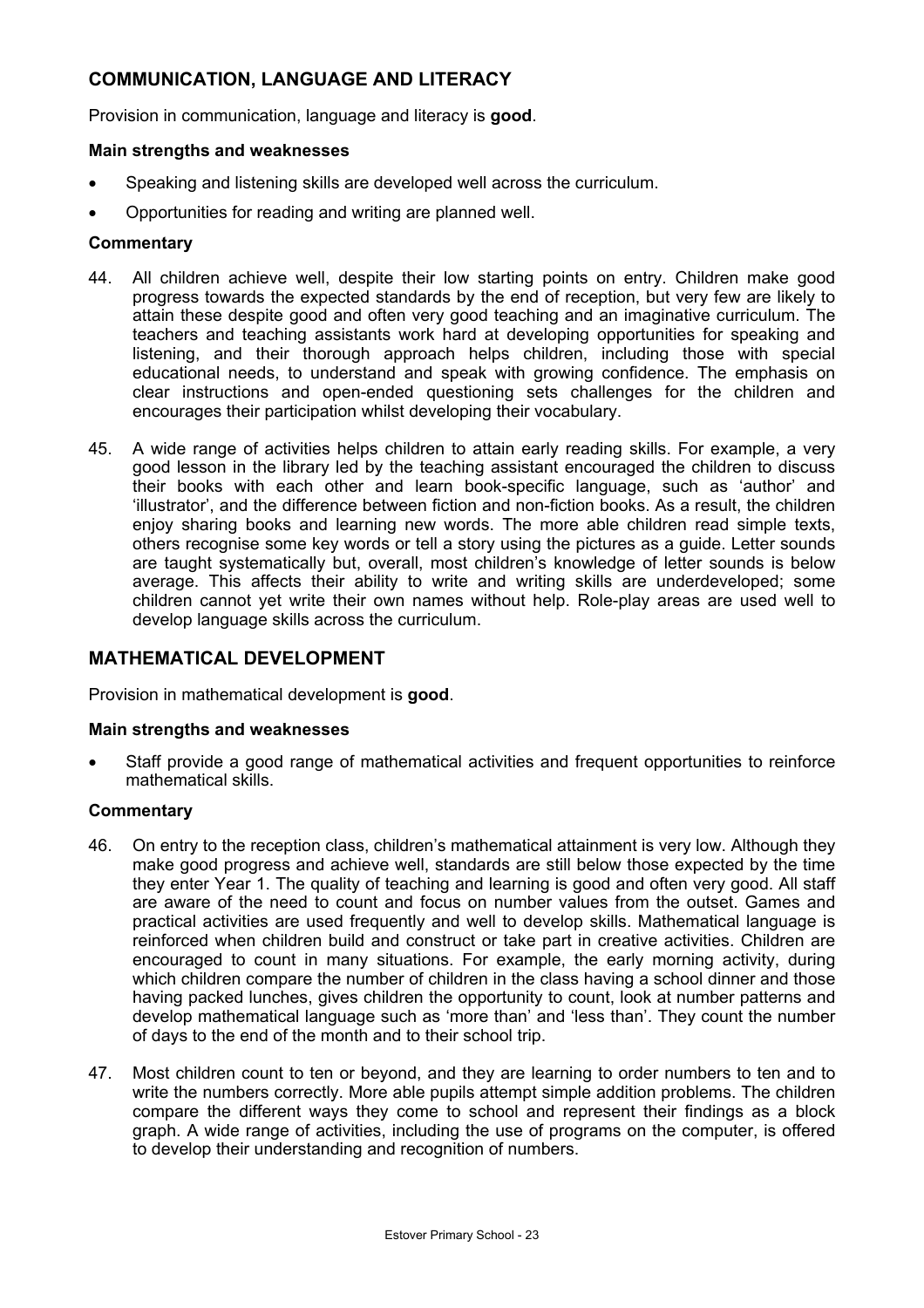## **COMMUNICATION, LANGUAGE AND LITERACY**

Provision in communication, language and literacy is **good**.

#### **Main strengths and weaknesses**

- Speaking and listening skills are developed well across the curriculum.
- Opportunities for reading and writing are planned well.

#### **Commentary**

- 44. All children achieve well, despite their low starting points on entry. Children make good progress towards the expected standards by the end of reception, but very few are likely to attain these despite good and often very good teaching and an imaginative curriculum. The teachers and teaching assistants work hard at developing opportunities for speaking and listening, and their thorough approach helps children, including those with special educational needs, to understand and speak with growing confidence. The emphasis on clear instructions and open-ended questioning sets challenges for the children and encourages their participation whilst developing their vocabulary.
- 45. A wide range of activities helps children to attain early reading skills. For example, a very good lesson in the library led by the teaching assistant encouraged the children to discuss their books with each other and learn book-specific language, such as 'author' and 'illustrator', and the difference between fiction and non-fiction books. As a result, the children enjoy sharing books and learning new words. The more able children read simple texts, others recognise some key words or tell a story using the pictures as a guide. Letter sounds are taught systematically but, overall, most children's knowledge of letter sounds is below average. This affects their ability to write and writing skills are underdeveloped; some children cannot yet write their own names without help. Role-play areas are used well to develop language skills across the curriculum.

## **MATHEMATICAL DEVELOPMENT**

Provision in mathematical development is **good**.

#### **Main strengths and weaknesses**

• Staff provide a good range of mathematical activities and frequent opportunities to reinforce mathematical skills.

- 46. On entry to the reception class, children's mathematical attainment is very low. Although they make good progress and achieve well, standards are still below those expected by the time they enter Year 1. The quality of teaching and learning is good and often very good. All staff are aware of the need to count and focus on number values from the outset. Games and practical activities are used frequently and well to develop skills. Mathematical language is reinforced when children build and construct or take part in creative activities. Children are encouraged to count in many situations. For example, the early morning activity, during which children compare the number of children in the class having a school dinner and those having packed lunches, gives children the opportunity to count, look at number patterns and develop mathematical language such as 'more than' and 'less than'. They count the number of days to the end of the month and to their school trip.
- 47. Most children count to ten or beyond, and they are learning to order numbers to ten and to write the numbers correctly. More able pupils attempt simple addition problems. The children compare the different ways they come to school and represent their findings as a block graph. A wide range of activities, including the use of programs on the computer, is offered to develop their understanding and recognition of numbers.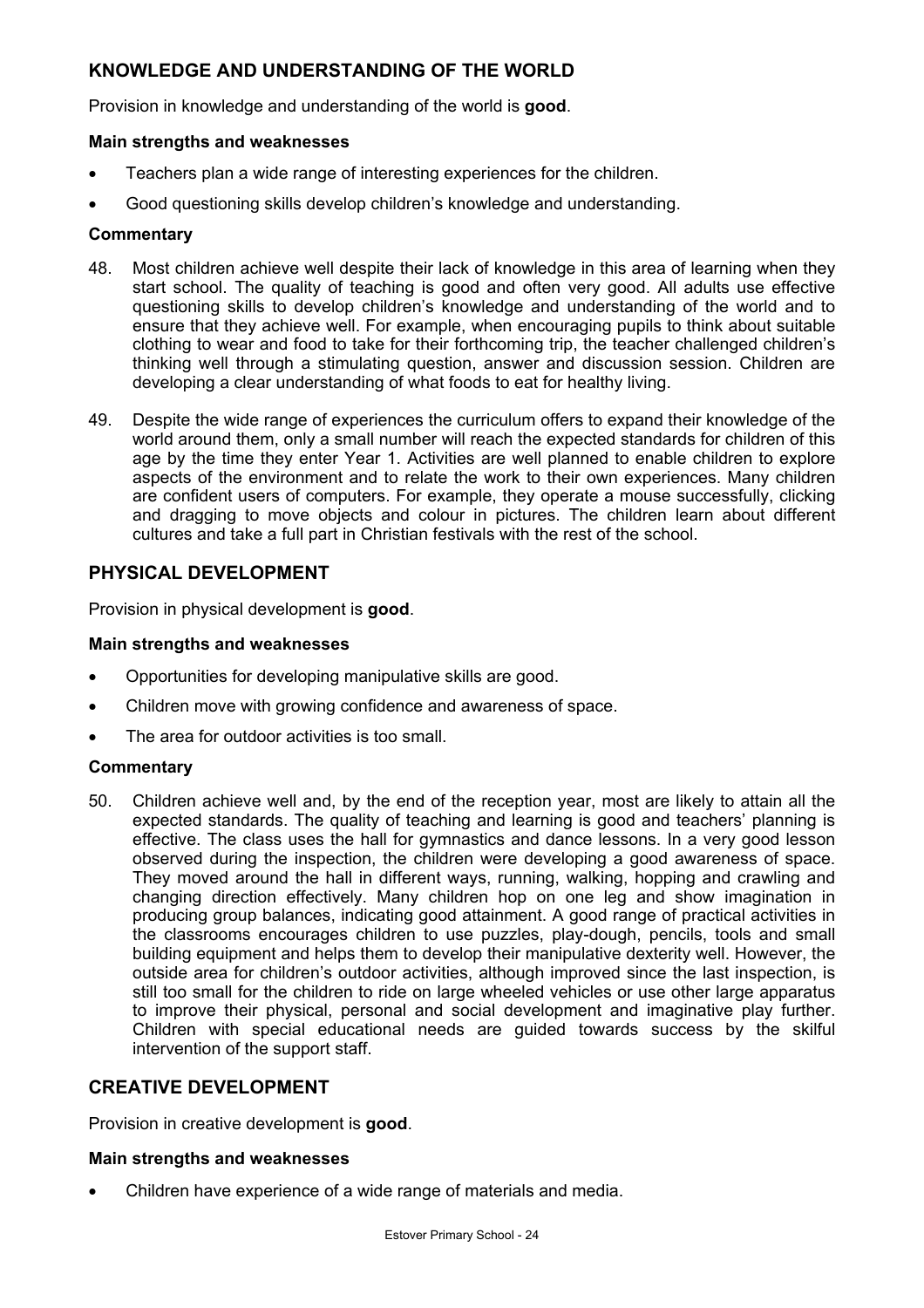## **KNOWLEDGE AND UNDERSTANDING OF THE WORLD**

Provision in knowledge and understanding of the world is **good**.

## **Main strengths and weaknesses**

- Teachers plan a wide range of interesting experiences for the children.
- Good questioning skills develop children's knowledge and understanding.

### **Commentary**

- 48. Most children achieve well despite their lack of knowledge in this area of learning when they start school. The quality of teaching is good and often very good. All adults use effective questioning skills to develop children's knowledge and understanding of the world and to ensure that they achieve well. For example, when encouraging pupils to think about suitable clothing to wear and food to take for their forthcoming trip, the teacher challenged children's thinking well through a stimulating question, answer and discussion session. Children are developing a clear understanding of what foods to eat for healthy living.
- 49. Despite the wide range of experiences the curriculum offers to expand their knowledge of the world around them, only a small number will reach the expected standards for children of this age by the time they enter Year 1. Activities are well planned to enable children to explore aspects of the environment and to relate the work to their own experiences. Many children are confident users of computers. For example, they operate a mouse successfully, clicking and dragging to move objects and colour in pictures. The children learn about different cultures and take a full part in Christian festivals with the rest of the school.

## **PHYSICAL DEVELOPMENT**

Provision in physical development is **good**.

#### **Main strengths and weaknesses**

- Opportunities for developing manipulative skills are good.
- Children move with growing confidence and awareness of space.
- The area for outdoor activities is too small.

#### **Commentary**

50. Children achieve well and, by the end of the reception year, most are likely to attain all the expected standards. The quality of teaching and learning is good and teachers' planning is effective. The class uses the hall for gymnastics and dance lessons. In a very good lesson observed during the inspection, the children were developing a good awareness of space. They moved around the hall in different ways, running, walking, hopping and crawling and changing direction effectively. Many children hop on one leg and show imagination in producing group balances, indicating good attainment. A good range of practical activities in the classrooms encourages children to use puzzles, play-dough, pencils, tools and small building equipment and helps them to develop their manipulative dexterity well. However, the outside area for children's outdoor activities, although improved since the last inspection, is still too small for the children to ride on large wheeled vehicles or use other large apparatus to improve their physical, personal and social development and imaginative play further. Children with special educational needs are guided towards success by the skilful intervention of the support staff.

## **CREATIVE DEVELOPMENT**

Provision in creative development is **good**.

#### **Main strengths and weaknesses**

• Children have experience of a wide range of materials and media.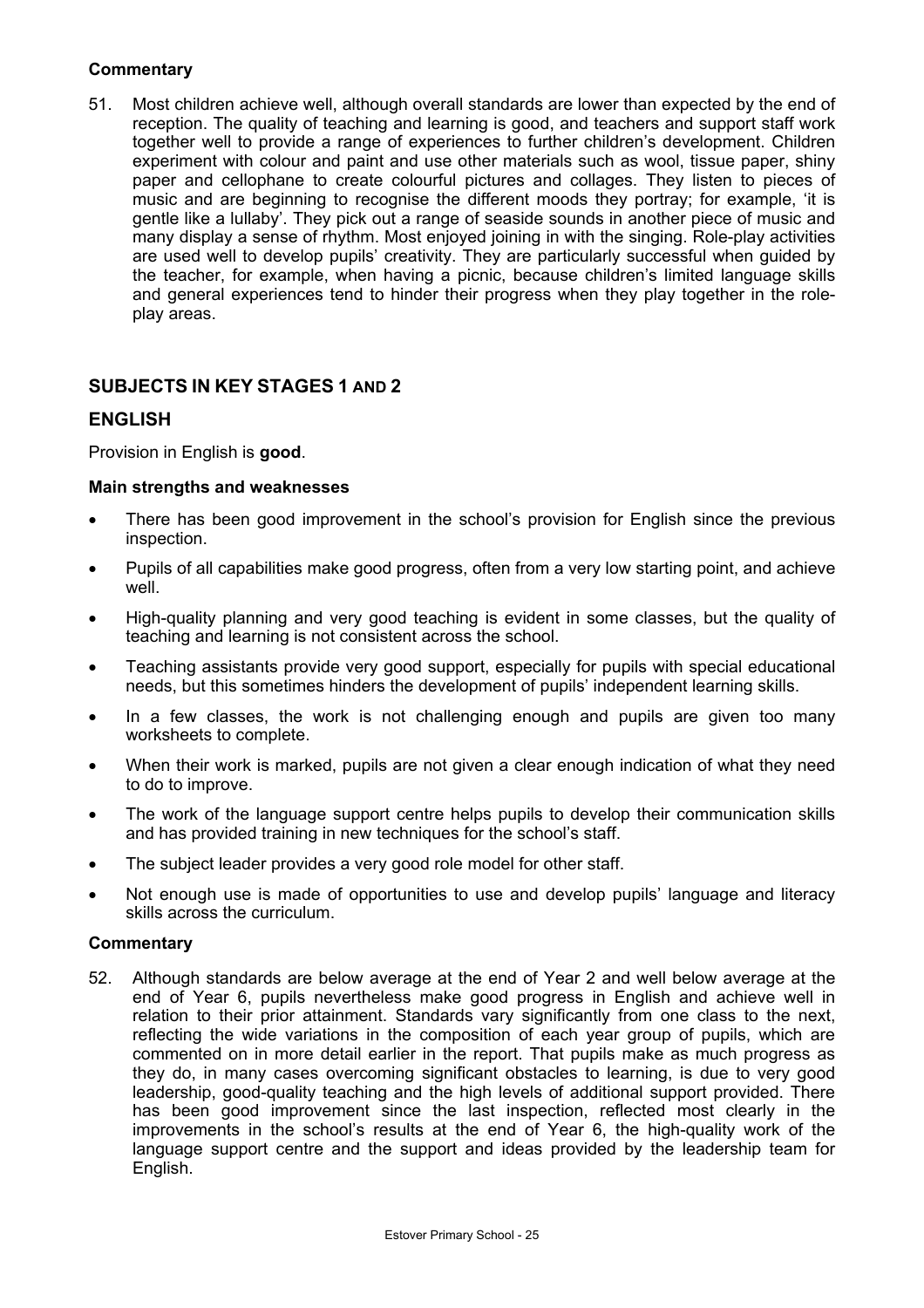## **Commentary**

51. Most children achieve well, although overall standards are lower than expected by the end of reception. The quality of teaching and learning is good, and teachers and support staff work together well to provide a range of experiences to further children's development. Children experiment with colour and paint and use other materials such as wool, tissue paper, shiny paper and cellophane to create colourful pictures and collages. They listen to pieces of music and are beginning to recognise the different moods they portray; for example, 'it is gentle like a lullaby'. They pick out a range of seaside sounds in another piece of music and many display a sense of rhythm. Most enjoyed joining in with the singing. Role-play activities are used well to develop pupils' creativity. They are particularly successful when guided by the teacher, for example, when having a picnic, because children's limited language skills and general experiences tend to hinder their progress when they play together in the roleplay areas.

## **SUBJECTS IN KEY STAGES 1 AND 2**

## **ENGLISH**

Provision in English is **good**.

#### **Main strengths and weaknesses**

- There has been good improvement in the school's provision for English since the previous inspection.
- Pupils of all capabilities make good progress, often from a very low starting point, and achieve well.
- High-quality planning and very good teaching is evident in some classes, but the quality of teaching and learning is not consistent across the school.
- Teaching assistants provide very good support, especially for pupils with special educational needs, but this sometimes hinders the development of pupils' independent learning skills.
- In a few classes, the work is not challenging enough and pupils are given too many worksheets to complete.
- When their work is marked, pupils are not given a clear enough indication of what they need to do to improve.
- The work of the language support centre helps pupils to develop their communication skills and has provided training in new techniques for the school's staff.
- The subject leader provides a very good role model for other staff.
- Not enough use is made of opportunities to use and develop pupils' language and literacy skills across the curriculum.

#### **Commentary**

52. Although standards are below average at the end of Year 2 and well below average at the end of Year 6, pupils nevertheless make good progress in English and achieve well in relation to their prior attainment. Standards vary significantly from one class to the next, reflecting the wide variations in the composition of each year group of pupils, which are commented on in more detail earlier in the report. That pupils make as much progress as they do, in many cases overcoming significant obstacles to learning, is due to very good leadership, good-quality teaching and the high levels of additional support provided. There has been good improvement since the last inspection, reflected most clearly in the improvements in the school's results at the end of Year 6, the high-quality work of the language support centre and the support and ideas provided by the leadership team for English.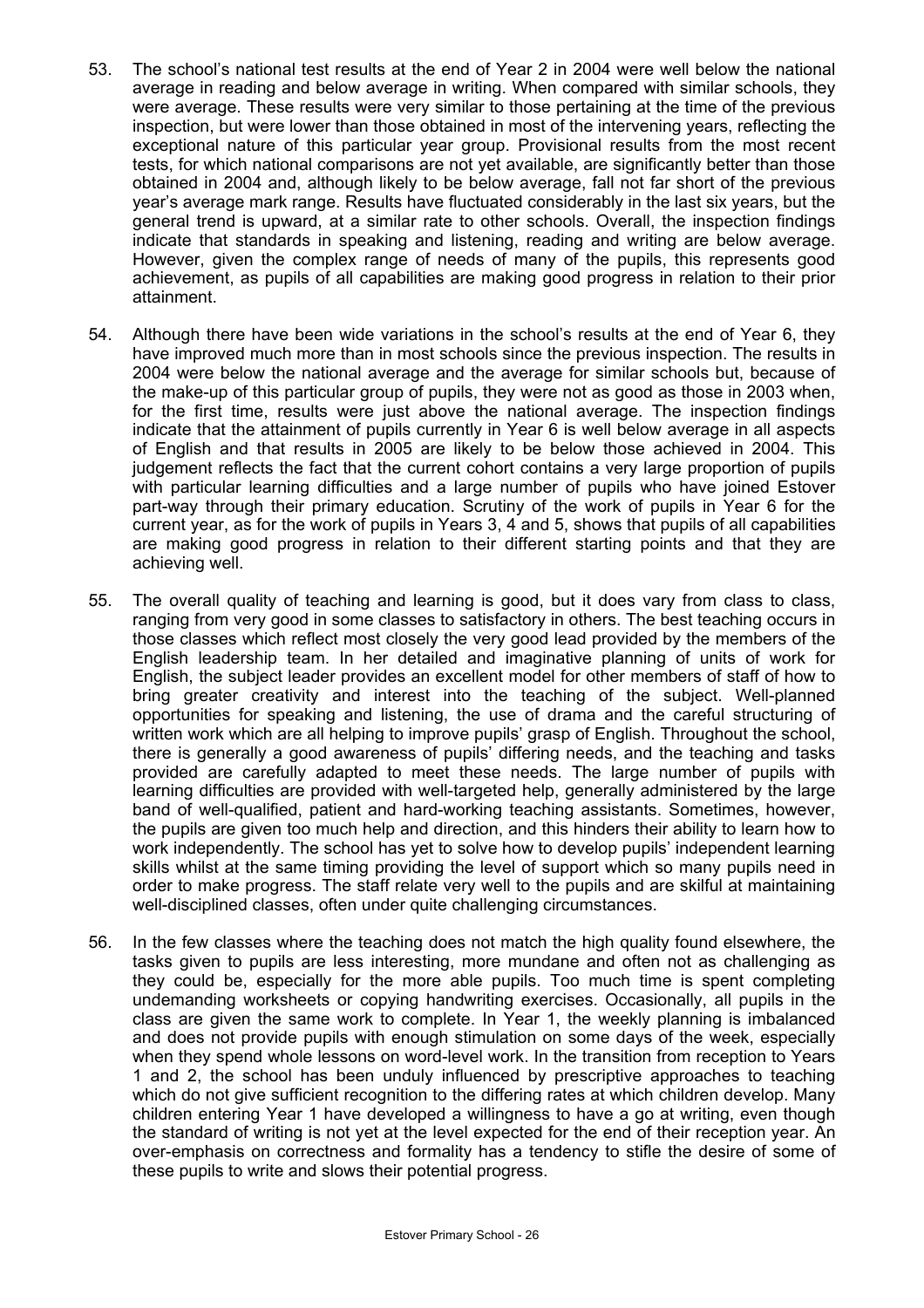- 53. The school's national test results at the end of Year 2 in 2004 were well below the national average in reading and below average in writing. When compared with similar schools, they were average. These results were very similar to those pertaining at the time of the previous inspection, but were lower than those obtained in most of the intervening years, reflecting the exceptional nature of this particular year group. Provisional results from the most recent tests, for which national comparisons are not yet available, are significantly better than those obtained in 2004 and, although likely to be below average, fall not far short of the previous year's average mark range. Results have fluctuated considerably in the last six years, but the general trend is upward, at a similar rate to other schools. Overall, the inspection findings indicate that standards in speaking and listening, reading and writing are below average. However, given the complex range of needs of many of the pupils, this represents good achievement, as pupils of all capabilities are making good progress in relation to their prior attainment.
- 54. Although there have been wide variations in the school's results at the end of Year 6, they have improved much more than in most schools since the previous inspection. The results in 2004 were below the national average and the average for similar schools but, because of the make-up of this particular group of pupils, they were not as good as those in 2003 when, for the first time, results were just above the national average. The inspection findings indicate that the attainment of pupils currently in Year 6 is well below average in all aspects of English and that results in 2005 are likely to be below those achieved in 2004. This judgement reflects the fact that the current cohort contains a very large proportion of pupils with particular learning difficulties and a large number of pupils who have joined Estover part-way through their primary education. Scrutiny of the work of pupils in Year 6 for the current year, as for the work of pupils in Years 3, 4 and 5, shows that pupils of all capabilities are making good progress in relation to their different starting points and that they are achieving well.
- 55. The overall quality of teaching and learning is good, but it does vary from class to class, ranging from very good in some classes to satisfactory in others. The best teaching occurs in those classes which reflect most closely the very good lead provided by the members of the English leadership team. In her detailed and imaginative planning of units of work for English, the subject leader provides an excellent model for other members of staff of how to bring greater creativity and interest into the teaching of the subject. Well-planned opportunities for speaking and listening, the use of drama and the careful structuring of written work which are all helping to improve pupils' grasp of English. Throughout the school, there is generally a good awareness of pupils' differing needs, and the teaching and tasks provided are carefully adapted to meet these needs. The large number of pupils with learning difficulties are provided with well-targeted help, generally administered by the large band of well-qualified, patient and hard-working teaching assistants. Sometimes, however, the pupils are given too much help and direction, and this hinders their ability to learn how to work independently. The school has yet to solve how to develop pupils' independent learning skills whilst at the same timing providing the level of support which so many pupils need in order to make progress. The staff relate very well to the pupils and are skilful at maintaining well-disciplined classes, often under quite challenging circumstances.
- 56. In the few classes where the teaching does not match the high quality found elsewhere, the tasks given to pupils are less interesting, more mundane and often not as challenging as they could be, especially for the more able pupils. Too much time is spent completing undemanding worksheets or copying handwriting exercises. Occasionally, all pupils in the class are given the same work to complete. In Year 1, the weekly planning is imbalanced and does not provide pupils with enough stimulation on some days of the week, especially when they spend whole lessons on word-level work. In the transition from reception to Years 1 and 2, the school has been unduly influenced by prescriptive approaches to teaching which do not give sufficient recognition to the differing rates at which children develop. Many children entering Year 1 have developed a willingness to have a go at writing, even though the standard of writing is not yet at the level expected for the end of their reception year. An over-emphasis on correctness and formality has a tendency to stifle the desire of some of these pupils to write and slows their potential progress.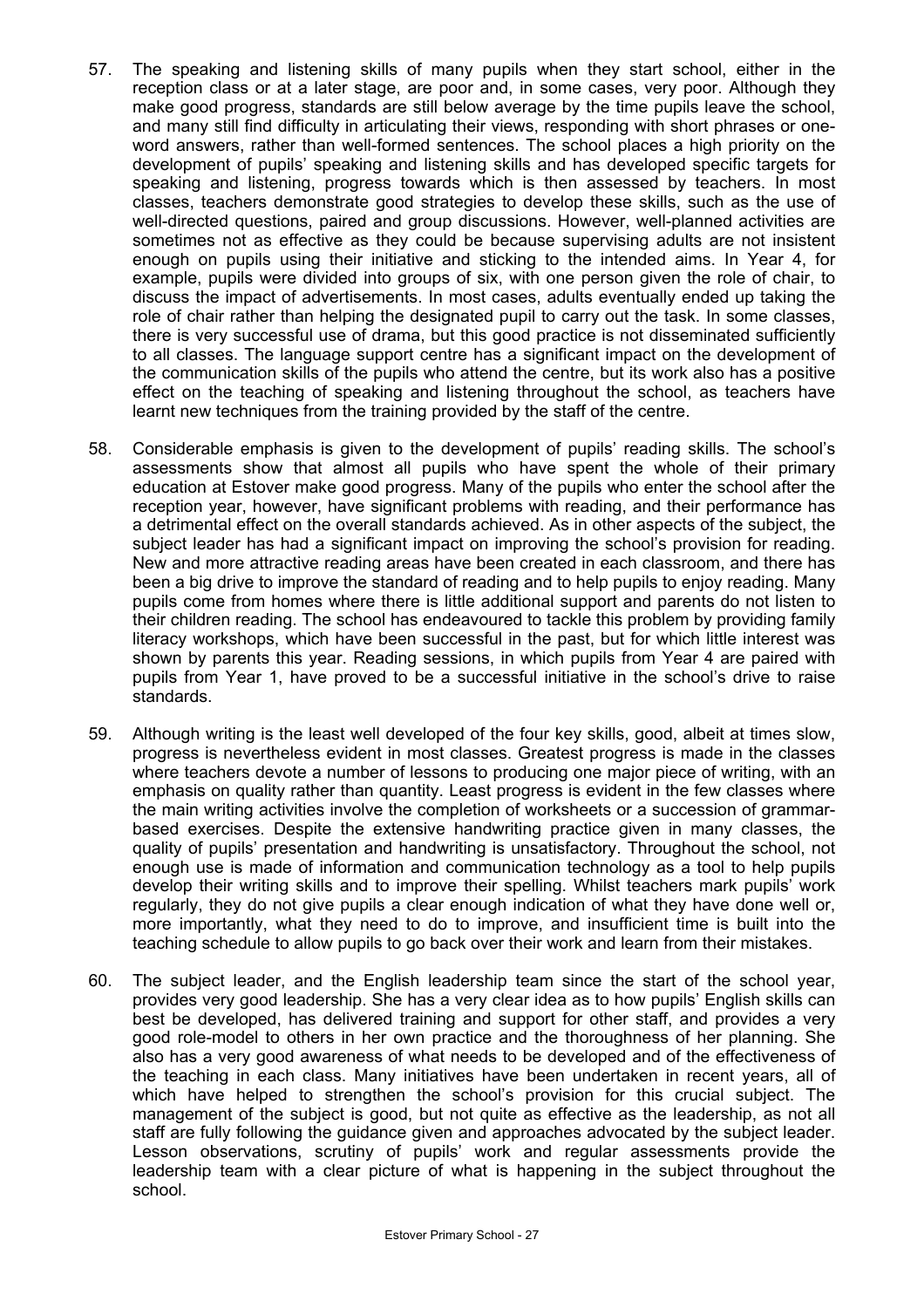- 57. The speaking and listening skills of many pupils when they start school, either in the reception class or at a later stage, are poor and, in some cases, very poor. Although they make good progress, standards are still below average by the time pupils leave the school, and many still find difficulty in articulating their views, responding with short phrases or oneword answers, rather than well-formed sentences. The school places a high priority on the development of pupils' speaking and listening skills and has developed specific targets for speaking and listening, progress towards which is then assessed by teachers. In most classes, teachers demonstrate good strategies to develop these skills, such as the use of well-directed questions, paired and group discussions. However, well-planned activities are sometimes not as effective as they could be because supervising adults are not insistent enough on pupils using their initiative and sticking to the intended aims. In Year 4, for example, pupils were divided into groups of six, with one person given the role of chair, to discuss the impact of advertisements. In most cases, adults eventually ended up taking the role of chair rather than helping the designated pupil to carry out the task. In some classes, there is very successful use of drama, but this good practice is not disseminated sufficiently to all classes. The language support centre has a significant impact on the development of the communication skills of the pupils who attend the centre, but its work also has a positive effect on the teaching of speaking and listening throughout the school, as teachers have learnt new techniques from the training provided by the staff of the centre.
- 58. Considerable emphasis is given to the development of pupils' reading skills. The school's assessments show that almost all pupils who have spent the whole of their primary education at Estover make good progress. Many of the pupils who enter the school after the reception year, however, have significant problems with reading, and their performance has a detrimental effect on the overall standards achieved. As in other aspects of the subject, the subject leader has had a significant impact on improving the school's provision for reading. New and more attractive reading areas have been created in each classroom, and there has been a big drive to improve the standard of reading and to help pupils to enjoy reading. Many pupils come from homes where there is little additional support and parents do not listen to their children reading. The school has endeavoured to tackle this problem by providing family literacy workshops, which have been successful in the past, but for which little interest was shown by parents this year. Reading sessions, in which pupils from Year 4 are paired with pupils from Year 1, have proved to be a successful initiative in the school's drive to raise standards.
- 59. Although writing is the least well developed of the four key skills, good, albeit at times slow, progress is nevertheless evident in most classes. Greatest progress is made in the classes where teachers devote a number of lessons to producing one major piece of writing, with an emphasis on quality rather than quantity. Least progress is evident in the few classes where the main writing activities involve the completion of worksheets or a succession of grammarbased exercises. Despite the extensive handwriting practice given in many classes, the quality of pupils' presentation and handwriting is unsatisfactory. Throughout the school, not enough use is made of information and communication technology as a tool to help pupils develop their writing skills and to improve their spelling. Whilst teachers mark pupils' work regularly, they do not give pupils a clear enough indication of what they have done well or, more importantly, what they need to do to improve, and insufficient time is built into the teaching schedule to allow pupils to go back over their work and learn from their mistakes.
- 60. The subject leader, and the English leadership team since the start of the school year, provides very good leadership. She has a very clear idea as to how pupils' English skills can best be developed, has delivered training and support for other staff, and provides a very good role-model to others in her own practice and the thoroughness of her planning. She also has a very good awareness of what needs to be developed and of the effectiveness of the teaching in each class. Many initiatives have been undertaken in recent years, all of which have helped to strengthen the school's provision for this crucial subject. The management of the subject is good, but not quite as effective as the leadership, as not all staff are fully following the guidance given and approaches advocated by the subject leader. Lesson observations, scrutiny of pupils' work and regular assessments provide the leadership team with a clear picture of what is happening in the subject throughout the school.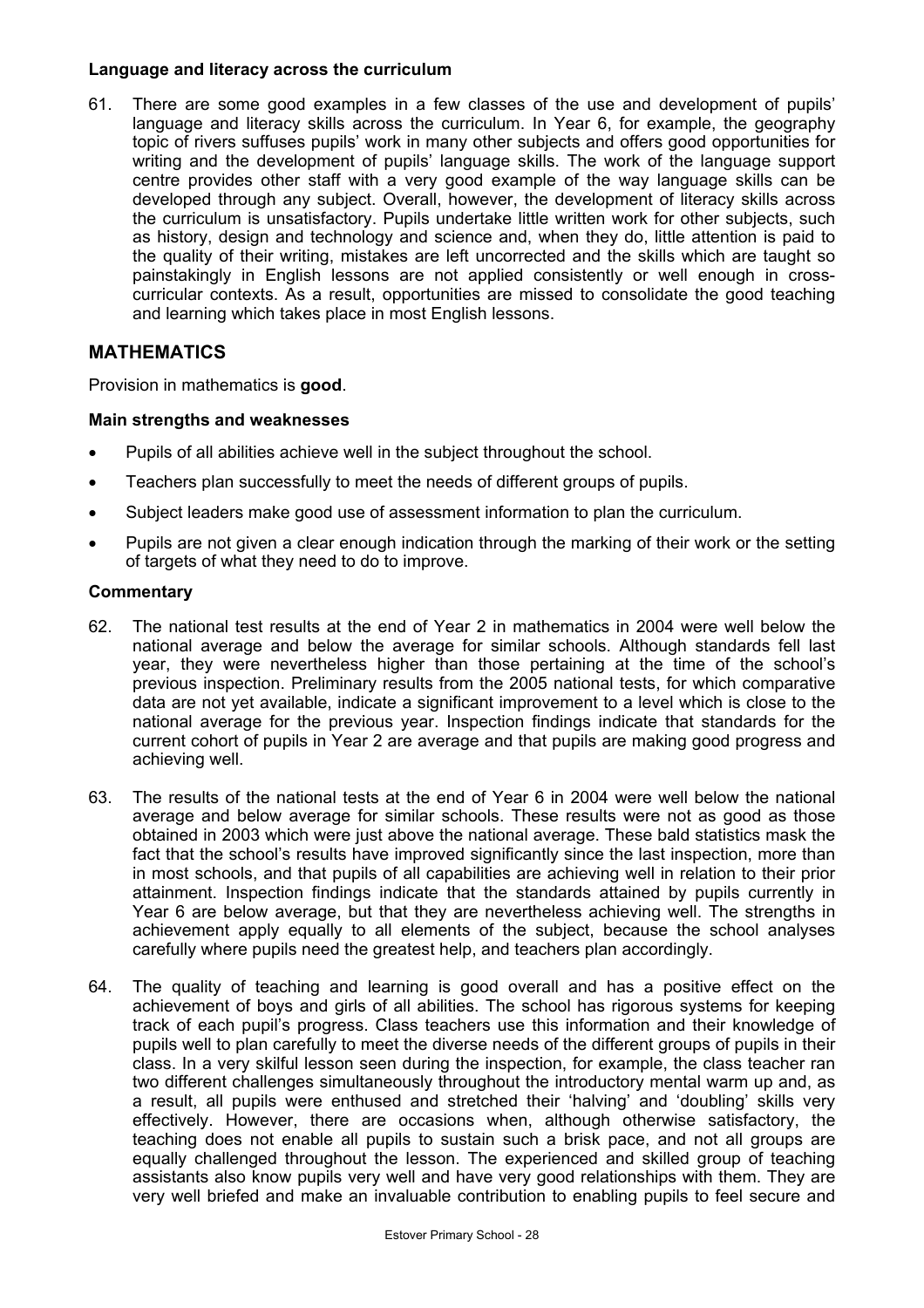#### **Language and literacy across the curriculum**

61. There are some good examples in a few classes of the use and development of pupils' language and literacy skills across the curriculum. In Year 6, for example, the geography topic of rivers suffuses pupils' work in many other subjects and offers good opportunities for writing and the development of pupils' language skills. The work of the language support centre provides other staff with a very good example of the way language skills can be developed through any subject. Overall, however, the development of literacy skills across the curriculum is unsatisfactory. Pupils undertake little written work for other subjects, such as history, design and technology and science and, when they do, little attention is paid to the quality of their writing, mistakes are left uncorrected and the skills which are taught so painstakingly in English lessons are not applied consistently or well enough in crosscurricular contexts. As a result, opportunities are missed to consolidate the good teaching and learning which takes place in most English lessons.

## **MATHEMATICS**

Provision in mathematics is **good**.

## **Main strengths and weaknesses**

- Pupils of all abilities achieve well in the subject throughout the school.
- Teachers plan successfully to meet the needs of different groups of pupils.
- Subject leaders make good use of assessment information to plan the curriculum.
- Pupils are not given a clear enough indication through the marking of their work or the setting of targets of what they need to do to improve.

- 62. The national test results at the end of Year 2 in mathematics in 2004 were well below the national average and below the average for similar schools. Although standards fell last year, they were nevertheless higher than those pertaining at the time of the school's previous inspection. Preliminary results from the 2005 national tests, for which comparative data are not yet available, indicate a significant improvement to a level which is close to the national average for the previous year. Inspection findings indicate that standards for the current cohort of pupils in Year 2 are average and that pupils are making good progress and achieving well.
- 63. The results of the national tests at the end of Year 6 in 2004 were well below the national average and below average for similar schools. These results were not as good as those obtained in 2003 which were just above the national average. These bald statistics mask the fact that the school's results have improved significantly since the last inspection, more than in most schools, and that pupils of all capabilities are achieving well in relation to their prior attainment. Inspection findings indicate that the standards attained by pupils currently in Year 6 are below average, but that they are nevertheless achieving well. The strengths in achievement apply equally to all elements of the subject, because the school analyses carefully where pupils need the greatest help, and teachers plan accordingly.
- 64. The quality of teaching and learning is good overall and has a positive effect on the achievement of boys and girls of all abilities. The school has rigorous systems for keeping track of each pupil's progress. Class teachers use this information and their knowledge of pupils well to plan carefully to meet the diverse needs of the different groups of pupils in their class. In a very skilful lesson seen during the inspection, for example, the class teacher ran two different challenges simultaneously throughout the introductory mental warm up and, as a result, all pupils were enthused and stretched their 'halving' and 'doubling' skills very effectively. However, there are occasions when, although otherwise satisfactory, the teaching does not enable all pupils to sustain such a brisk pace, and not all groups are equally challenged throughout the lesson. The experienced and skilled group of teaching assistants also know pupils very well and have very good relationships with them. They are very well briefed and make an invaluable contribution to enabling pupils to feel secure and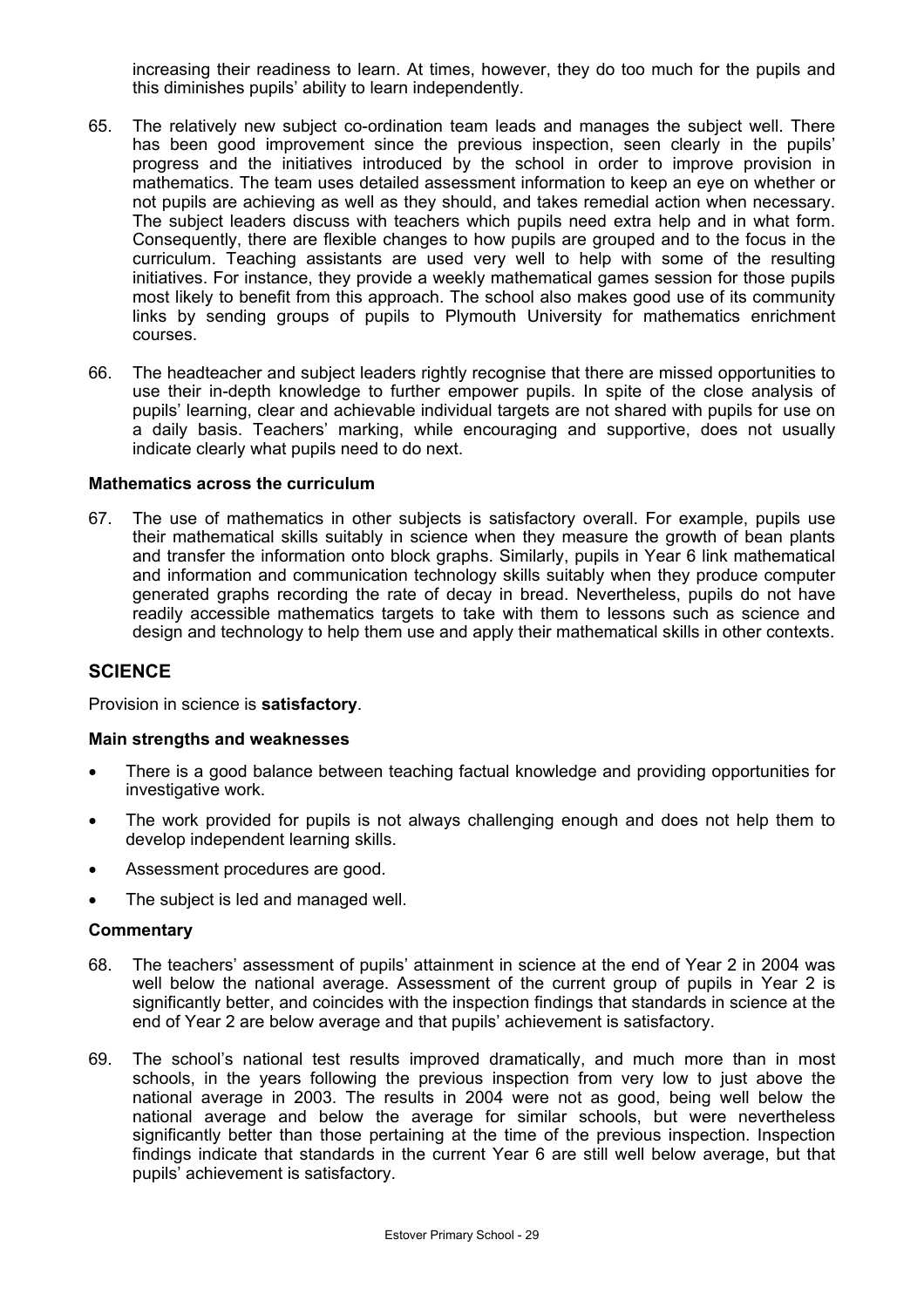increasing their readiness to learn. At times, however, they do too much for the pupils and this diminishes pupils' ability to learn independently.

- 65. The relatively new subject co-ordination team leads and manages the subject well. There has been good improvement since the previous inspection, seen clearly in the pupils' progress and the initiatives introduced by the school in order to improve provision in mathematics. The team uses detailed assessment information to keep an eye on whether or not pupils are achieving as well as they should, and takes remedial action when necessary. The subject leaders discuss with teachers which pupils need extra help and in what form. Consequently, there are flexible changes to how pupils are grouped and to the focus in the curriculum. Teaching assistants are used very well to help with some of the resulting initiatives. For instance, they provide a weekly mathematical games session for those pupils most likely to benefit from this approach. The school also makes good use of its community links by sending groups of pupils to Plymouth University for mathematics enrichment courses.
- 66. The headteacher and subject leaders rightly recognise that there are missed opportunities to use their in-depth knowledge to further empower pupils. In spite of the close analysis of pupils' learning, clear and achievable individual targets are not shared with pupils for use on a daily basis. Teachers' marking, while encouraging and supportive, does not usually indicate clearly what pupils need to do next.

#### **Mathematics across the curriculum**

67. The use of mathematics in other subjects is satisfactory overall. For example, pupils use their mathematical skills suitably in science when they measure the growth of bean plants and transfer the information onto block graphs. Similarly, pupils in Year 6 link mathematical and information and communication technology skills suitably when they produce computer generated graphs recording the rate of decay in bread. Nevertheless, pupils do not have readily accessible mathematics targets to take with them to lessons such as science and design and technology to help them use and apply their mathematical skills in other contexts.

#### **SCIENCE**

Provision in science is **satisfactory**.

#### **Main strengths and weaknesses**

- There is a good balance between teaching factual knowledge and providing opportunities for investigative work.
- The work provided for pupils is not always challenging enough and does not help them to develop independent learning skills.
- Assessment procedures are good.
- The subject is led and managed well.

- 68. The teachers' assessment of pupils' attainment in science at the end of Year 2 in 2004 was well below the national average. Assessment of the current group of pupils in Year 2 is significantly better, and coincides with the inspection findings that standards in science at the end of Year 2 are below average and that pupils' achievement is satisfactory.
- 69. The school's national test results improved dramatically, and much more than in most schools, in the years following the previous inspection from very low to just above the national average in 2003. The results in 2004 were not as good, being well below the national average and below the average for similar schools, but were nevertheless significantly better than those pertaining at the time of the previous inspection. Inspection findings indicate that standards in the current Year 6 are still well below average, but that pupils' achievement is satisfactory.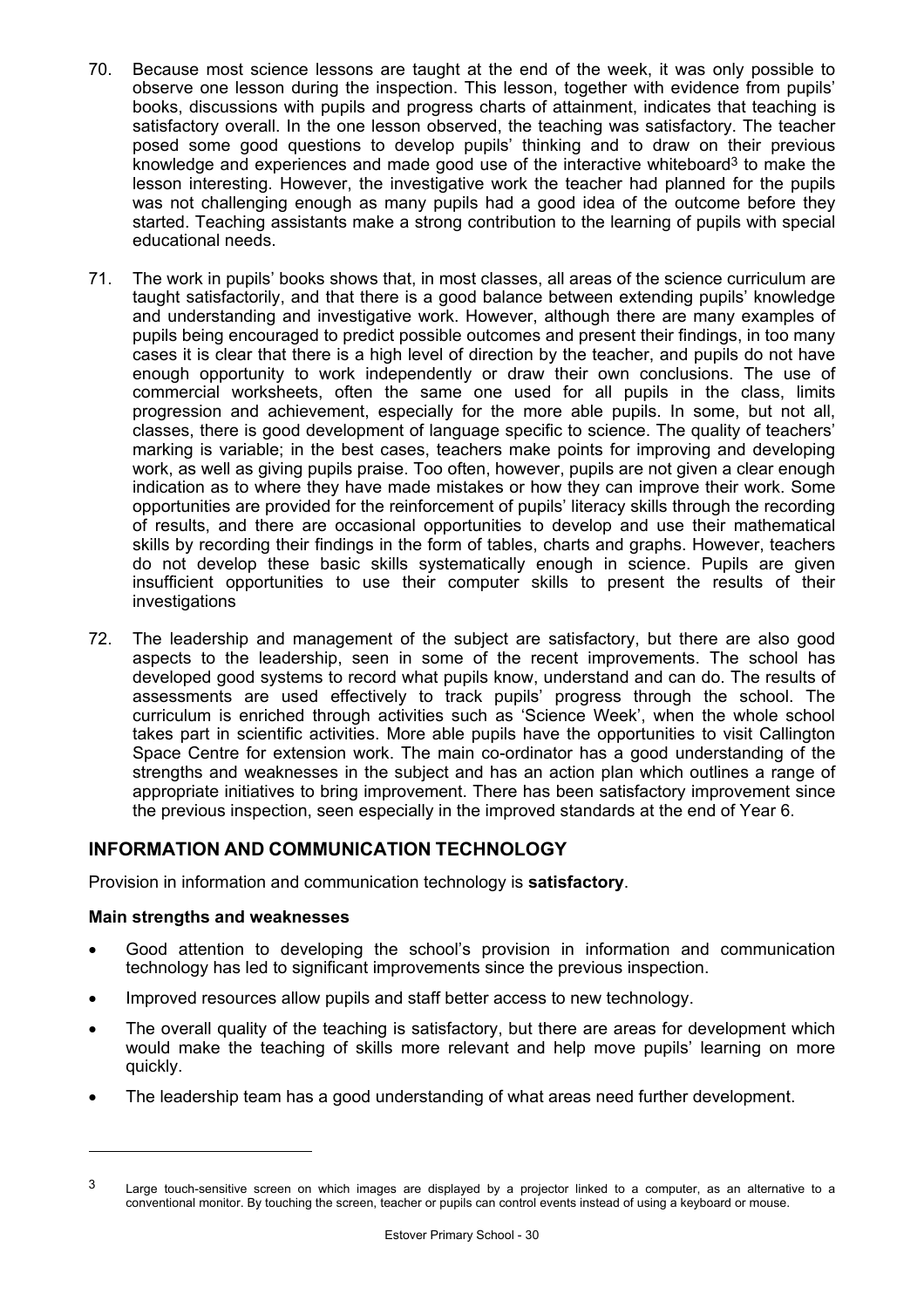- 70. Because most science lessons are taught at the end of the week, it was only possible to observe one lesson during the inspection. This lesson, together with evidence from pupils' books, discussions with pupils and progress charts of attainment, indicates that teaching is satisfactory overall. In the one lesson observed, the teaching was satisfactory. The teacher posed some good questions to develop pupils' thinking and to draw on their previous knowledge and experiences and made good use of the interactive whiteboard<sup>3</sup> to make the lesson interesting. However, the investigative work the teacher had planned for the pupils was not challenging enough as many pupils had a good idea of the outcome before they started. Teaching assistants make a strong contribution to the learning of pupils with special educational needs.
- 71. The work in pupils' books shows that, in most classes, all areas of the science curriculum are taught satisfactorily, and that there is a good balance between extending pupils' knowledge and understanding and investigative work. However, although there are many examples of pupils being encouraged to predict possible outcomes and present their findings, in too many cases it is clear that there is a high level of direction by the teacher, and pupils do not have enough opportunity to work independently or draw their own conclusions. The use of commercial worksheets, often the same one used for all pupils in the class, limits progression and achievement, especially for the more able pupils. In some, but not all, classes, there is good development of language specific to science. The quality of teachers' marking is variable; in the best cases, teachers make points for improving and developing work, as well as giving pupils praise. Too often, however, pupils are not given a clear enough indication as to where they have made mistakes or how they can improve their work. Some opportunities are provided for the reinforcement of pupils' literacy skills through the recording of results, and there are occasional opportunities to develop and use their mathematical skills by recording their findings in the form of tables, charts and graphs. However, teachers do not develop these basic skills systematically enough in science. Pupils are given insufficient opportunities to use their computer skills to present the results of their investigations
- 72. The leadership and management of the subject are satisfactory, but there are also good aspects to the leadership, seen in some of the recent improvements. The school has developed good systems to record what pupils know, understand and can do. The results of assessments are used effectively to track pupils' progress through the school. The curriculum is enriched through activities such as 'Science Week', when the whole school takes part in scientific activities. More able pupils have the opportunities to visit Callington Space Centre for extension work. The main co-ordinator has a good understanding of the strengths and weaknesses in the subject and has an action plan which outlines a range of appropriate initiatives to bring improvement. There has been satisfactory improvement since the previous inspection, seen especially in the improved standards at the end of Year 6.

## **INFORMATION AND COMMUNICATION TECHNOLOGY**

Provision in information and communication technology is **satisfactory**.

## **Main strengths and weaknesses**

- Good attention to developing the school's provision in information and communication technology has led to significant improvements since the previous inspection.
- Improved resources allow pupils and staff better access to new technology.
- The overall quality of the teaching is satisfactory, but there are areas for development which would make the teaching of skills more relevant and help move pupils' learning on more quickly.
- The leadership team has a good understanding of what areas need further development.

<sup>&</sup>lt;sup>3</sup> Large touch-sensitive screen on which images are displayed by a projector linked to a computer, as an alternative to a conventional monitor. By touching the screen, teacher or pupils can control events instead of using a keyboard or mouse.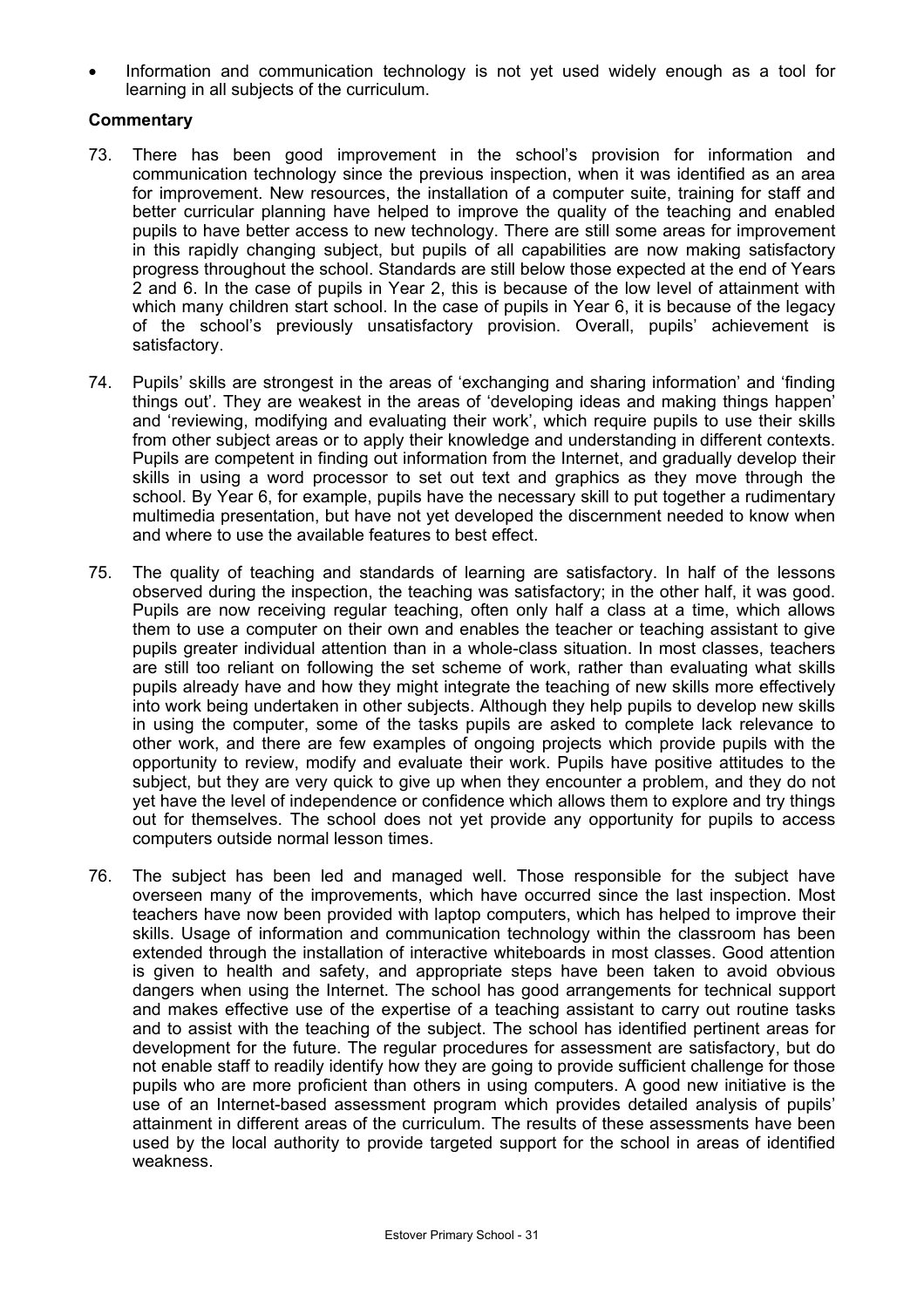Information and communication technology is not yet used widely enough as a tool for learning in all subjects of the curriculum.

- 73. There has been good improvement in the school's provision for information and communication technology since the previous inspection, when it was identified as an area for improvement. New resources, the installation of a computer suite, training for staff and better curricular planning have helped to improve the quality of the teaching and enabled pupils to have better access to new technology. There are still some areas for improvement in this rapidly changing subject, but pupils of all capabilities are now making satisfactory progress throughout the school. Standards are still below those expected at the end of Years 2 and 6. In the case of pupils in Year 2, this is because of the low level of attainment with which many children start school. In the case of pupils in Year 6, it is because of the legacy of the school's previously unsatisfactory provision. Overall, pupils' achievement is satisfactory.
- 74. Pupils' skills are strongest in the areas of 'exchanging and sharing information' and 'finding things out'. They are weakest in the areas of 'developing ideas and making things happen' and 'reviewing, modifying and evaluating their work', which require pupils to use their skills from other subject areas or to apply their knowledge and understanding in different contexts. Pupils are competent in finding out information from the Internet, and gradually develop their skills in using a word processor to set out text and graphics as they move through the school. By Year 6, for example, pupils have the necessary skill to put together a rudimentary multimedia presentation, but have not yet developed the discernment needed to know when and where to use the available features to best effect.
- 75. The quality of teaching and standards of learning are satisfactory. In half of the lessons observed during the inspection, the teaching was satisfactory; in the other half, it was good. Pupils are now receiving regular teaching, often only half a class at a time, which allows them to use a computer on their own and enables the teacher or teaching assistant to give pupils greater individual attention than in a whole-class situation. In most classes, teachers are still too reliant on following the set scheme of work, rather than evaluating what skills pupils already have and how they might integrate the teaching of new skills more effectively into work being undertaken in other subjects. Although they help pupils to develop new skills in using the computer, some of the tasks pupils are asked to complete lack relevance to other work, and there are few examples of ongoing projects which provide pupils with the opportunity to review, modify and evaluate their work. Pupils have positive attitudes to the subject, but they are very quick to give up when they encounter a problem, and they do not yet have the level of independence or confidence which allows them to explore and try things out for themselves. The school does not yet provide any opportunity for pupils to access computers outside normal lesson times.
- 76. The subject has been led and managed well. Those responsible for the subject have overseen many of the improvements, which have occurred since the last inspection. Most teachers have now been provided with laptop computers, which has helped to improve their skills. Usage of information and communication technology within the classroom has been extended through the installation of interactive whiteboards in most classes. Good attention is given to health and safety, and appropriate steps have been taken to avoid obvious dangers when using the Internet. The school has good arrangements for technical support and makes effective use of the expertise of a teaching assistant to carry out routine tasks and to assist with the teaching of the subject. The school has identified pertinent areas for development for the future. The regular procedures for assessment are satisfactory, but do not enable staff to readily identify how they are going to provide sufficient challenge for those pupils who are more proficient than others in using computers. A good new initiative is the use of an Internet-based assessment program which provides detailed analysis of pupils' attainment in different areas of the curriculum. The results of these assessments have been used by the local authority to provide targeted support for the school in areas of identified weakness.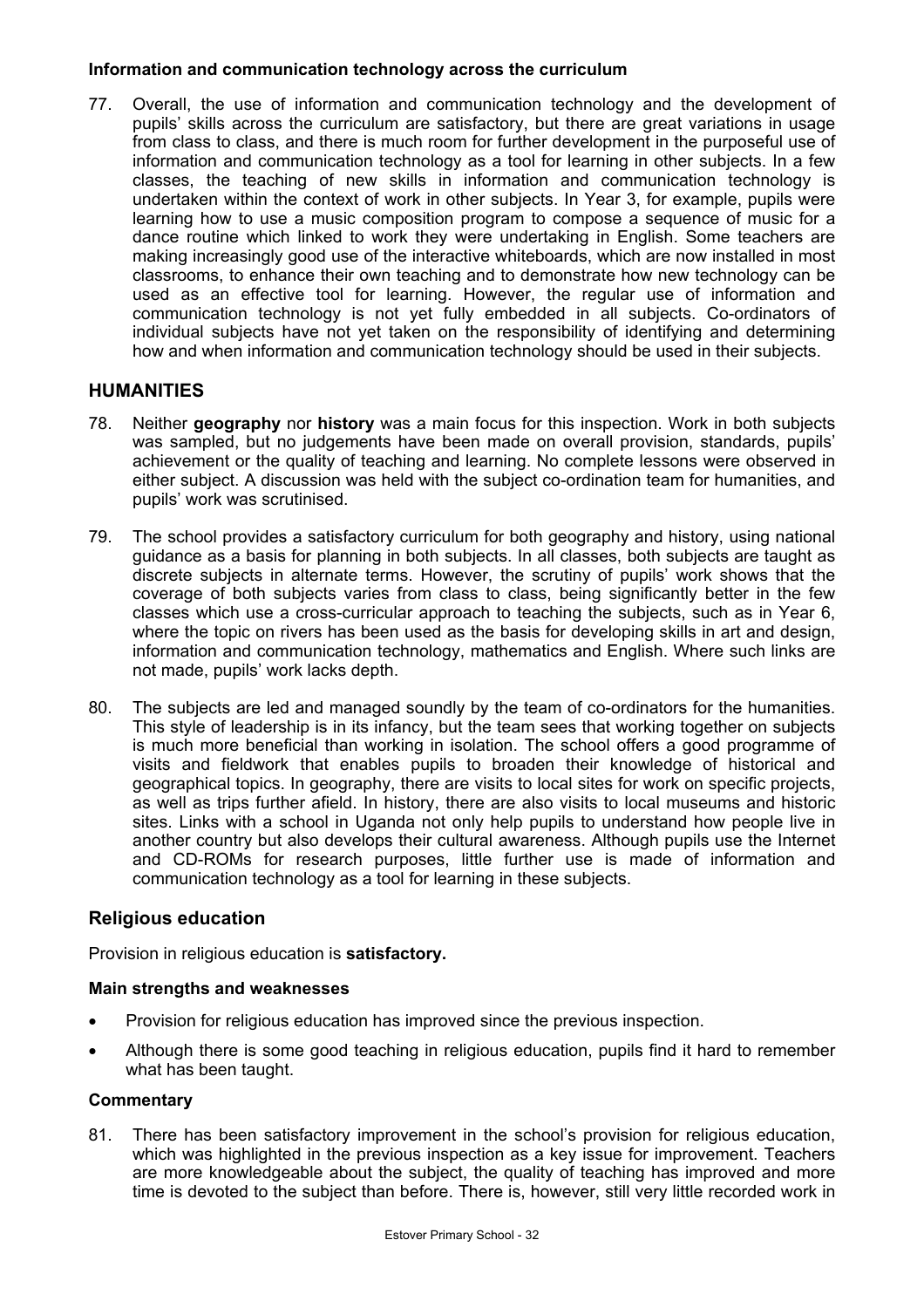### **Information and communication technology across the curriculum**

77. Overall, the use of information and communication technology and the development of pupils' skills across the curriculum are satisfactory, but there are great variations in usage from class to class, and there is much room for further development in the purposeful use of information and communication technology as a tool for learning in other subjects. In a few classes, the teaching of new skills in information and communication technology is undertaken within the context of work in other subjects. In Year 3, for example, pupils were learning how to use a music composition program to compose a sequence of music for a dance routine which linked to work they were undertaking in English. Some teachers are making increasingly good use of the interactive whiteboards, which are now installed in most classrooms, to enhance their own teaching and to demonstrate how new technology can be used as an effective tool for learning. However, the regular use of information and communication technology is not yet fully embedded in all subjects. Co-ordinators of individual subjects have not yet taken on the responsibility of identifying and determining how and when information and communication technology should be used in their subjects.

## **HUMANITIES**

- 78. Neither **geography** nor **history** was a main focus for this inspection. Work in both subjects was sampled, but no judgements have been made on overall provision, standards, pupils' achievement or the quality of teaching and learning. No complete lessons were observed in either subject. A discussion was held with the subject co-ordination team for humanities, and pupils' work was scrutinised.
- 79. The school provides a satisfactory curriculum for both geography and history, using national guidance as a basis for planning in both subjects. In all classes, both subjects are taught as discrete subjects in alternate terms. However, the scrutiny of pupils' work shows that the coverage of both subjects varies from class to class, being significantly better in the few classes which use a cross-curricular approach to teaching the subjects, such as in Year 6, where the topic on rivers has been used as the basis for developing skills in art and design, information and communication technology, mathematics and English. Where such links are not made, pupils' work lacks depth.
- 80. The subjects are led and managed soundly by the team of co-ordinators for the humanities. This style of leadership is in its infancy, but the team sees that working together on subjects is much more beneficial than working in isolation. The school offers a good programme of visits and fieldwork that enables pupils to broaden their knowledge of historical and geographical topics. In geography, there are visits to local sites for work on specific projects, as well as trips further afield. In history, there are also visits to local museums and historic sites. Links with a school in Uganda not only help pupils to understand how people live in another country but also develops their cultural awareness. Although pupils use the Internet and CD-ROMs for research purposes, little further use is made of information and communication technology as a tool for learning in these subjects.

## **Religious education**

Provision in religious education is **satisfactory.** 

#### **Main strengths and weaknesses**

- Provision for religious education has improved since the previous inspection.
- Although there is some good teaching in religious education, pupils find it hard to remember what has been taught.

#### **Commentary**

81. There has been satisfactory improvement in the school's provision for religious education, which was highlighted in the previous inspection as a key issue for improvement. Teachers are more knowledgeable about the subject, the quality of teaching has improved and more time is devoted to the subject than before. There is, however, still very little recorded work in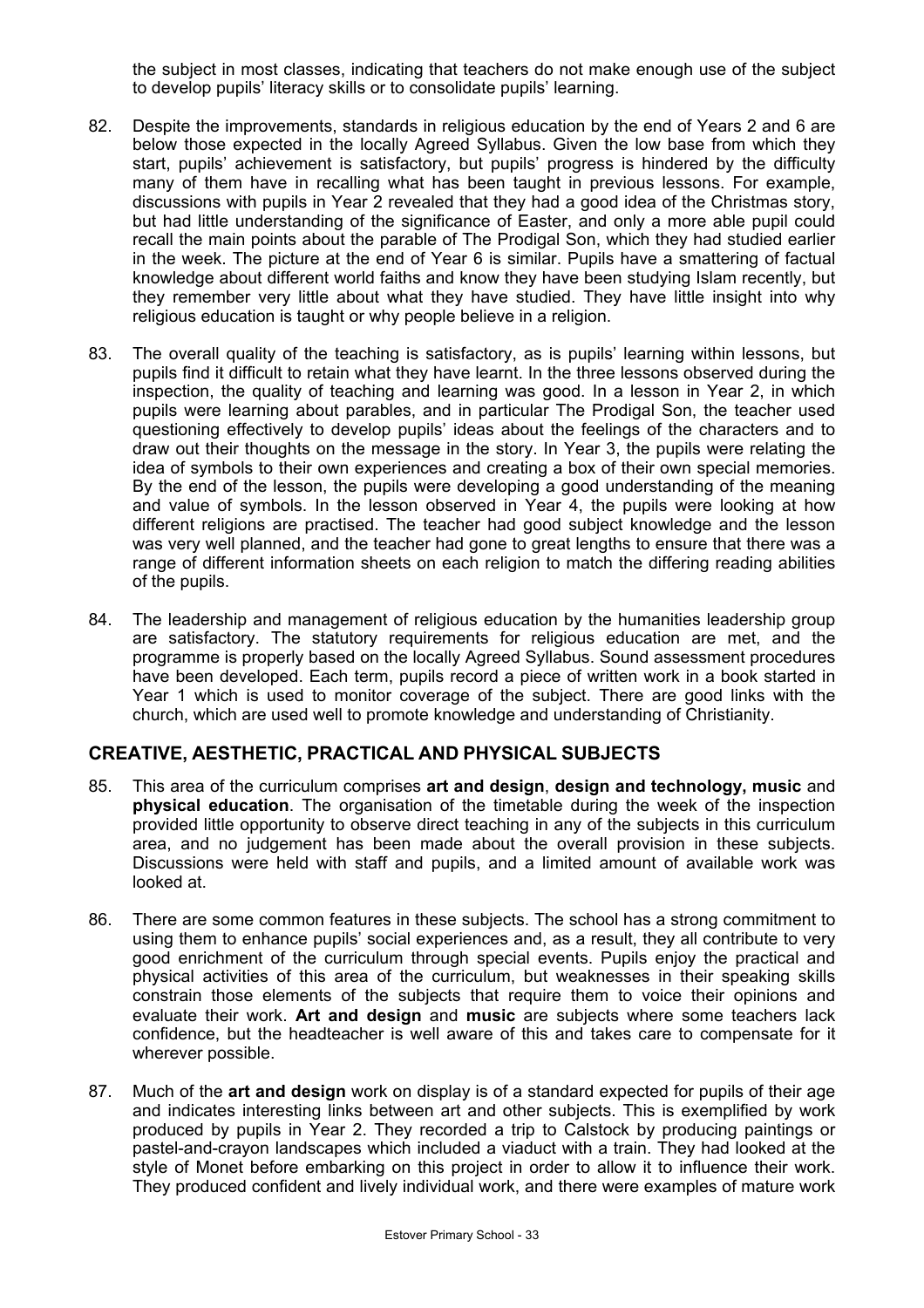the subject in most classes, indicating that teachers do not make enough use of the subject to develop pupils' literacy skills or to consolidate pupils' learning.

- 82. Despite the improvements, standards in religious education by the end of Years 2 and 6 are below those expected in the locally Agreed Syllabus. Given the low base from which they start, pupils' achievement is satisfactory, but pupils' progress is hindered by the difficulty many of them have in recalling what has been taught in previous lessons. For example, discussions with pupils in Year 2 revealed that they had a good idea of the Christmas story, but had little understanding of the significance of Easter, and only a more able pupil could recall the main points about the parable of The Prodigal Son, which they had studied earlier in the week. The picture at the end of Year 6 is similar. Pupils have a smattering of factual knowledge about different world faiths and know they have been studying Islam recently, but they remember very little about what they have studied. They have little insight into why religious education is taught or why people believe in a religion.
- 83. The overall quality of the teaching is satisfactory, as is pupils' learning within lessons, but pupils find it difficult to retain what they have learnt. In the three lessons observed during the inspection, the quality of teaching and learning was good. In a lesson in Year 2, in which pupils were learning about parables, and in particular The Prodigal Son, the teacher used questioning effectively to develop pupils' ideas about the feelings of the characters and to draw out their thoughts on the message in the story. In Year 3, the pupils were relating the idea of symbols to their own experiences and creating a box of their own special memories. By the end of the lesson, the pupils were developing a good understanding of the meaning and value of symbols. In the lesson observed in Year 4, the pupils were looking at how different religions are practised. The teacher had good subject knowledge and the lesson was very well planned, and the teacher had gone to great lengths to ensure that there was a range of different information sheets on each religion to match the differing reading abilities of the pupils.
- 84. The leadership and management of religious education by the humanities leadership group are satisfactory. The statutory requirements for religious education are met, and the programme is properly based on the locally Agreed Syllabus. Sound assessment procedures have been developed. Each term, pupils record a piece of written work in a book started in Year 1 which is used to monitor coverage of the subject. There are good links with the church, which are used well to promote knowledge and understanding of Christianity.

## **CREATIVE, AESTHETIC, PRACTICAL AND PHYSICAL SUBJECTS**

- 85. This area of the curriculum comprises **art and design**, **design and technology, music** and **physical education**. The organisation of the timetable during the week of the inspection provided little opportunity to observe direct teaching in any of the subjects in this curriculum area, and no judgement has been made about the overall provision in these subjects. Discussions were held with staff and pupils, and a limited amount of available work was looked at.
- 86. There are some common features in these subjects. The school has a strong commitment to using them to enhance pupils' social experiences and, as a result, they all contribute to very good enrichment of the curriculum through special events. Pupils enjoy the practical and physical activities of this area of the curriculum, but weaknesses in their speaking skills constrain those elements of the subjects that require them to voice their opinions and evaluate their work. **Art and design** and **music** are subjects where some teachers lack confidence, but the headteacher is well aware of this and takes care to compensate for it wherever possible.
- 87. Much of the **art and design** work on display is of a standard expected for pupils of their age and indicates interesting links between art and other subjects. This is exemplified by work produced by pupils in Year 2. They recorded a trip to Calstock by producing paintings or pastel-and-crayon landscapes which included a viaduct with a train. They had looked at the style of Monet before embarking on this project in order to allow it to influence their work. They produced confident and lively individual work, and there were examples of mature work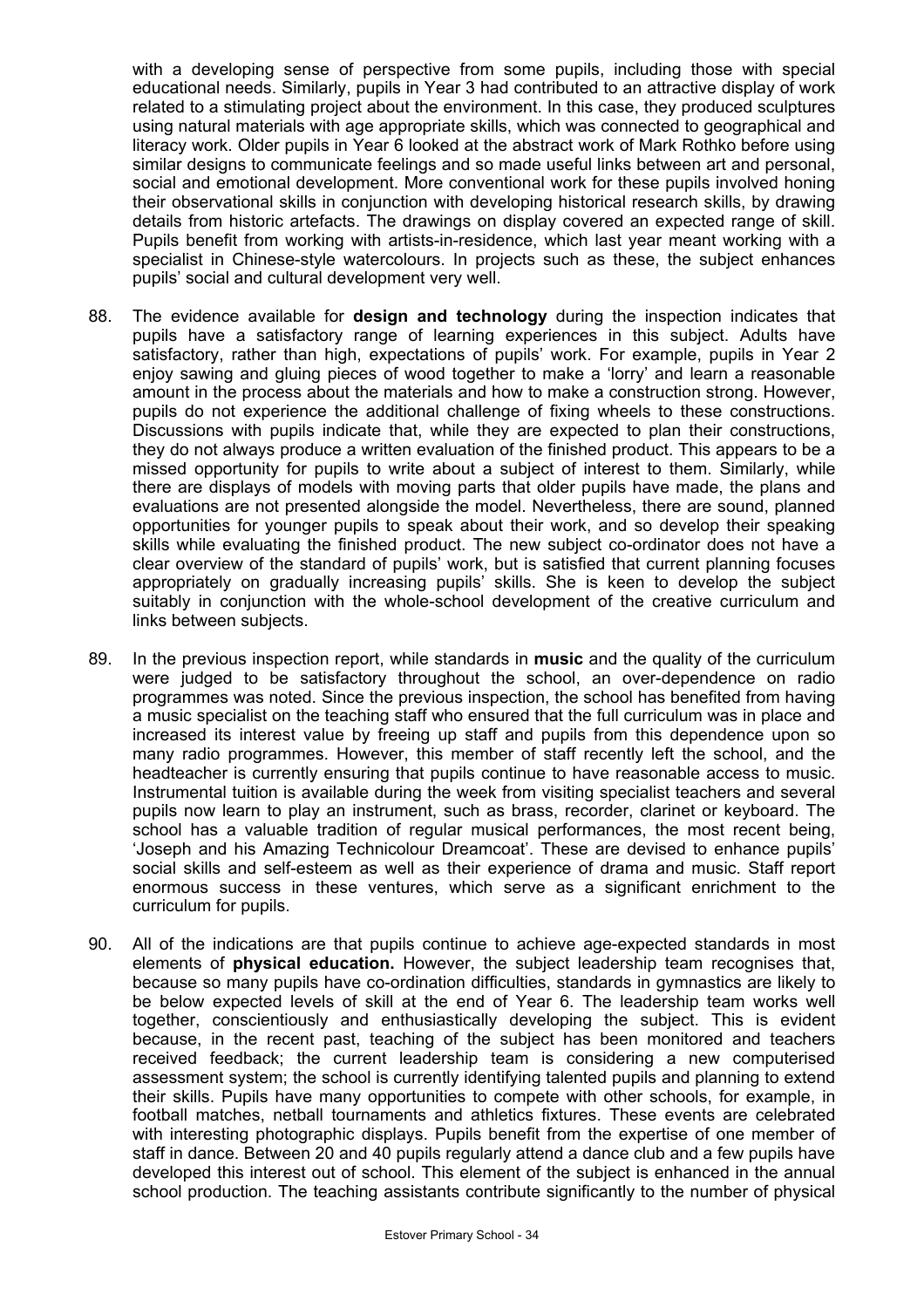with a developing sense of perspective from some pupils, including those with special educational needs. Similarly, pupils in Year 3 had contributed to an attractive display of work related to a stimulating project about the environment. In this case, they produced sculptures using natural materials with age appropriate skills, which was connected to geographical and literacy work. Older pupils in Year 6 looked at the abstract work of Mark Rothko before using similar designs to communicate feelings and so made useful links between art and personal, social and emotional development. More conventional work for these pupils involved honing their observational skills in conjunction with developing historical research skills, by drawing details from historic artefacts. The drawings on display covered an expected range of skill. Pupils benefit from working with artists-in-residence, which last year meant working with a specialist in Chinese-style watercolours. In projects such as these, the subject enhances pupils' social and cultural development very well.

- 88. The evidence available for **design and technology** during the inspection indicates that pupils have a satisfactory range of learning experiences in this subject. Adults have satisfactory, rather than high, expectations of pupils' work. For example, pupils in Year 2 enjoy sawing and gluing pieces of wood together to make a 'lorry' and learn a reasonable amount in the process about the materials and how to make a construction strong. However, pupils do not experience the additional challenge of fixing wheels to these constructions. Discussions with pupils indicate that, while they are expected to plan their constructions, they do not always produce a written evaluation of the finished product. This appears to be a missed opportunity for pupils to write about a subject of interest to them. Similarly, while there are displays of models with moving parts that older pupils have made, the plans and evaluations are not presented alongside the model. Nevertheless, there are sound, planned opportunities for younger pupils to speak about their work, and so develop their speaking skills while evaluating the finished product. The new subject co-ordinator does not have a clear overview of the standard of pupils' work, but is satisfied that current planning focuses appropriately on gradually increasing pupils' skills. She is keen to develop the subject suitably in conjunction with the whole-school development of the creative curriculum and links between subjects.
- 89. In the previous inspection report, while standards in **music** and the quality of the curriculum were judged to be satisfactory throughout the school, an over-dependence on radio programmes was noted. Since the previous inspection, the school has benefited from having a music specialist on the teaching staff who ensured that the full curriculum was in place and increased its interest value by freeing up staff and pupils from this dependence upon so many radio programmes. However, this member of staff recently left the school, and the headteacher is currently ensuring that pupils continue to have reasonable access to music. Instrumental tuition is available during the week from visiting specialist teachers and several pupils now learn to play an instrument, such as brass, recorder, clarinet or keyboard. The school has a valuable tradition of regular musical performances, the most recent being, 'Joseph and his Amazing Technicolour Dreamcoat'. These are devised to enhance pupils' social skills and self-esteem as well as their experience of drama and music. Staff report enormous success in these ventures, which serve as a significant enrichment to the curriculum for pupils.
- 90. All of the indications are that pupils continue to achieve age-expected standards in most elements of **physical education.** However, the subject leadership team recognises that, because so many pupils have co-ordination difficulties, standards in gymnastics are likely to be below expected levels of skill at the end of Year 6. The leadership team works well together, conscientiously and enthusiastically developing the subject. This is evident because, in the recent past, teaching of the subject has been monitored and teachers received feedback; the current leadership team is considering a new computerised assessment system; the school is currently identifying talented pupils and planning to extend their skills. Pupils have many opportunities to compete with other schools, for example, in football matches, netball tournaments and athletics fixtures. These events are celebrated with interesting photographic displays. Pupils benefit from the expertise of one member of staff in dance. Between 20 and 40 pupils regularly attend a dance club and a few pupils have developed this interest out of school. This element of the subject is enhanced in the annual school production. The teaching assistants contribute significantly to the number of physical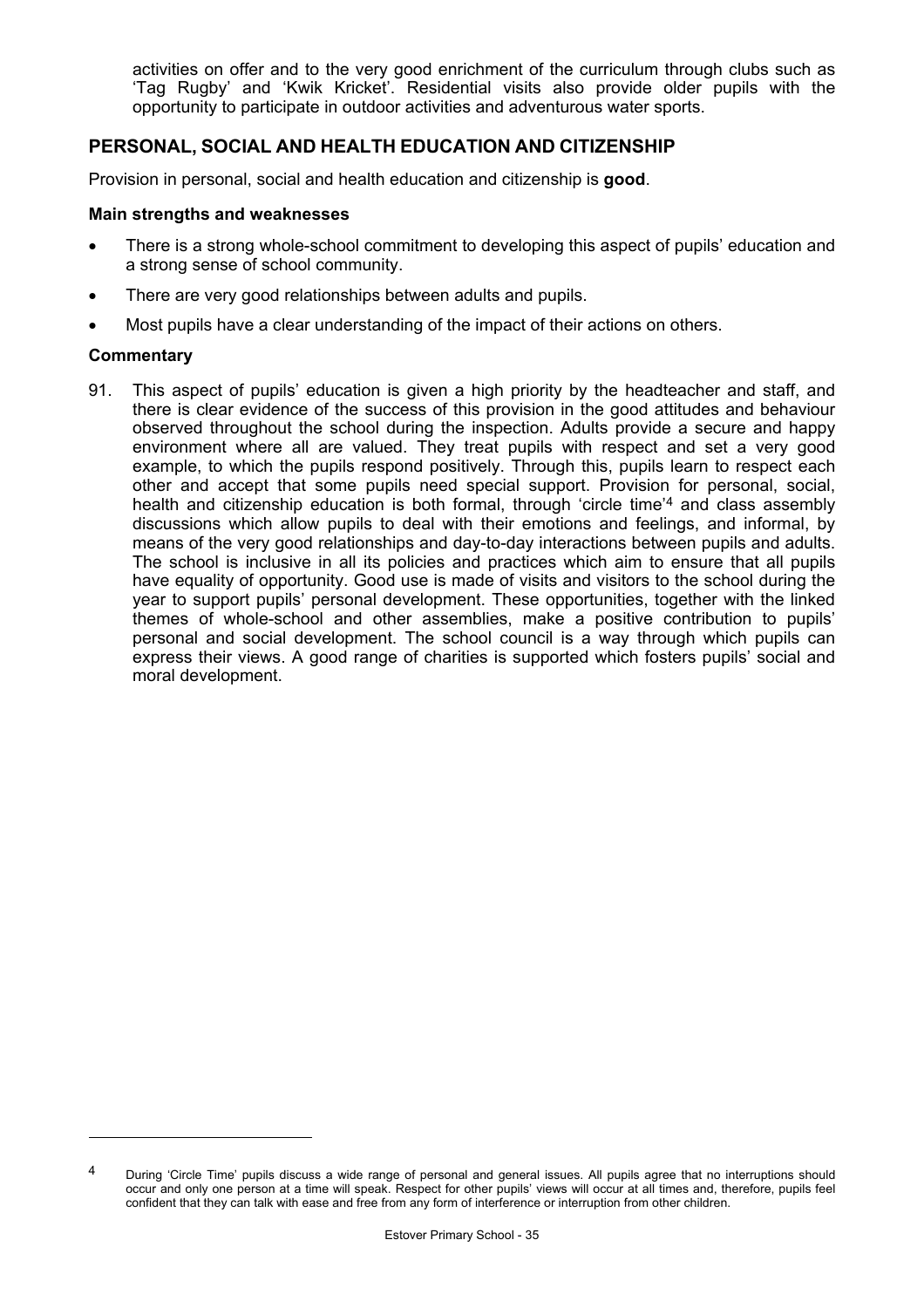activities on offer and to the very good enrichment of the curriculum through clubs such as 'Tag Rugby' and 'Kwik Kricket'. Residential visits also provide older pupils with the opportunity to participate in outdoor activities and adventurous water sports.

## **PERSONAL, SOCIAL AND HEALTH EDUCATION AND CITIZENSHIP**

Provision in personal, social and health education and citizenship is **good**.

#### **Main strengths and weaknesses**

- There is a strong whole-school commitment to developing this aspect of pupils' education and a strong sense of school community.
- There are very good relationships between adults and pupils.
- Most pupils have a clear understanding of the impact of their actions on others.

#### **Commentary**

91. This aspect of pupils' education is given a high priority by the headteacher and staff, and there is clear evidence of the success of this provision in the good attitudes and behaviour observed throughout the school during the inspection. Adults provide a secure and happy environment where all are valued. They treat pupils with respect and set a very good example, to which the pupils respond positively. Through this, pupils learn to respect each other and accept that some pupils need special support. Provision for personal, social, health and citizenship education is both formal, through 'circle time'4 and class assembly discussions which allow pupils to deal with their emotions and feelings, and informal, by means of the very good relationships and day-to-day interactions between pupils and adults. The school is inclusive in all its policies and practices which aim to ensure that all pupils have equality of opportunity. Good use is made of visits and visitors to the school during the year to support pupils' personal development. These opportunities, together with the linked themes of whole-school and other assemblies, make a positive contribution to pupils' personal and social development. The school council is a way through which pupils can express their views. A good range of charities is supported which fosters pupils' social and moral development.

<sup>&</sup>lt;sup>4</sup> During 'Circle Time' pupils discuss a wide range of personal and general issues. All pupils agree that no interruptions should occur and only one person at a time will speak. Respect for other pupils' views will occur at all times and, therefore, pupils feel confident that they can talk with ease and free from any form of interference or interruption from other children.